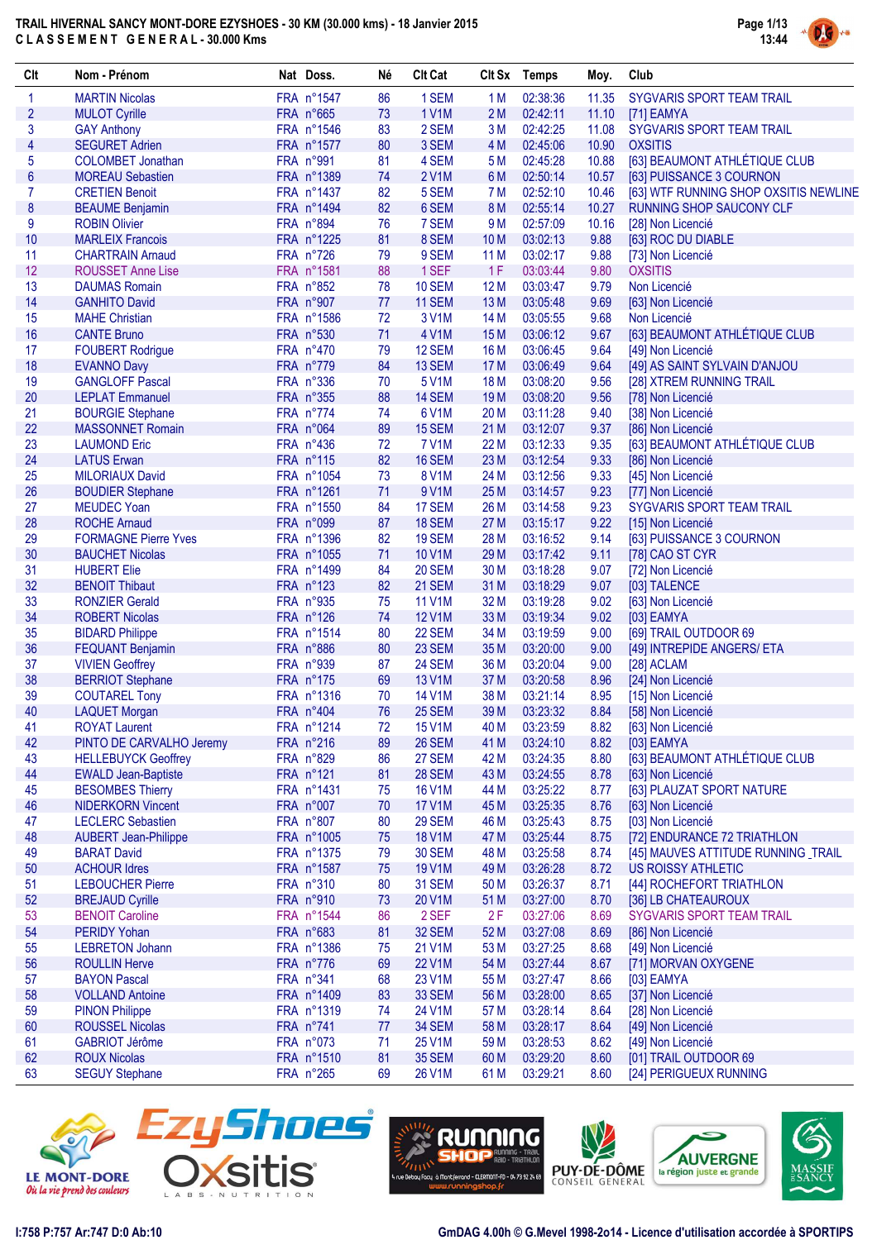

| Clt                     | Nom - Prénom                | Nat Doss.  | Né   | <b>Clt Cat</b> |                 | Clt Sx Temps | Moy.  | Club                                               |
|-------------------------|-----------------------------|------------|------|----------------|-----------------|--------------|-------|----------------------------------------------------|
| 1                       | <b>MARTIN Nicolas</b>       | FRA n°1547 | 86   | 1 SEM          | 1 M             | 02:38:36     | 11.35 | SYGVARIS SPORT TEAM TRAIL                          |
| $\overline{2}$          | <b>MULOT Cyrille</b>        | FRA n°665  | 73   | 1 V1M          | 2M              | 02:42:11     | 11.10 | [71] EAMYA                                         |
| 3                       | <b>GAY Anthony</b>          | FRA n°1546 | 83   | 2 SEM          | 3 M             | 02:42:25     | 11.08 | SYGVARIS SPORT TEAM TRAIL                          |
| $\overline{\mathbf{4}}$ | <b>SEGURET Adrien</b>       | FRA n°1577 | 80   | 3 SEM          | 4 M             | 02:45:06     | 10.90 | <b>OXSITIS</b>                                     |
| 5                       | <b>COLOMBET Jonathan</b>    | FRA n°991  | 81   | 4 SEM          | 5 M             | 02:45:28     | 10.88 | [63] BEAUMONT ATHLÉTIQUE CLUB                      |
| $6\phantom{a}$          | <b>MOREAU Sebastien</b>     | FRA n°1389 | 74   | <b>2V1M</b>    | 6 M             | 02:50:14     | 10.57 | [63] PUISSANCE 3 COURNON                           |
| $\overline{7}$          | <b>CRETIEN Benoit</b>       | FRA n°1437 | 82   | 5 SEM          | 7 M             | 02:52:10     | 10.46 | [63] WTF RUNNING SHOP OXSITIS NEWLINE              |
| 8                       | <b>BEAUME Benjamin</b>      | FRA n°1494 | 82   | 6 SEM          | 8 M             | 02:55:14     | 10.27 | <b>RUNNING SHOP SAUCONY CLF</b>                    |
| 9                       | <b>ROBIN Olivier</b>        | FRA n°894  | 76   | 7 SEM          | 9 M             | 02:57:09     | 10.16 | [28] Non Licencié                                  |
| 10                      | <b>MARLEIX Francois</b>     | FRA n°1225 | 81   | 8 SEM          | 10 <sub>M</sub> | 03:02:13     | 9.88  | [63] ROC DU DIABLE                                 |
| 11                      | <b>CHARTRAIN Arnaud</b>     | FRA n°726  | 79   | 9 SEM          | 11 M            | 03:02:17     | 9.88  | [73] Non Licencié                                  |
| 12                      | <b>ROUSSET Anne Lise</b>    | FRA n°1581 | 88   | 1 SEF          | 1F              | 03:03:44     | 9.80  | <b>OXSITIS</b>                                     |
| 13                      | <b>DAUMAS Romain</b>        | FRA n°852  | 78   | <b>10 SEM</b>  | 12 M            | 03:03:47     | 9.79  | Non Licencié                                       |
| 14                      | <b>GANHITO David</b>        | FRA n°907  | 77   | 11 SEM         | 13 M            | 03:05:48     | 9.69  | [63] Non Licencié                                  |
| 15                      | <b>MAHE Christian</b>       | FRA n°1586 | 72   | 3 V1M          | 14 M            | 03:05:55     | 9.68  | Non Licencié                                       |
| 16                      | <b>CANTE Bruno</b>          | FRA n°530  | 71   | 4 V1M          | 15 M            | 03:06:12     | 9.67  | [63] BEAUMONT ATHLÉTIQUE CLUB                      |
| 17                      | <b>FOUBERT Rodrigue</b>     | FRA n°470  | 79   | 12 SEM         | 16 M            | 03:06:45     | 9.64  | [49] Non Licencié                                  |
| 18                      | <b>EVANNO Davy</b>          | FRA n°779  | 84   | 13 SEM         | 17 M            | 03:06:49     | 9.64  | [49] AS SAINT SYLVAIN D'ANJOU                      |
| 19                      | <b>GANGLOFF Pascal</b>      | FRA n°336  | 70   | 5 V1M          | 18 M            | 03:08:20     | 9.56  | [28] XTREM RUNNING TRAIL                           |
| 20                      | <b>LEPLAT Emmanuel</b>      | FRA n°355  | 88   | 14 SEM         | 19 <sub>M</sub> | 03:08:20     | 9.56  | [78] Non Licencié                                  |
| 21                      | <b>BOURGIE Stephane</b>     | FRA n°774  | 74   | 6 V1M          | 20 M            | 03:11:28     | 9.40  | [38] Non Licencié                                  |
| 22                      |                             | FRA n°064  |      |                |                 |              |       |                                                    |
|                         | <b>MASSONNET Romain</b>     |            | 89   | 15 SEM         | 21 M            | 03:12:07     | 9.37  | [86] Non Licencié<br>[63] BEAUMONT ATHLÉTIQUE CLUB |
| 23                      | <b>LAUMOND Eric</b>         | FRA n°436  | 72   | 7 V1M          | 22 M            | 03:12:33     | 9.35  |                                                    |
| 24                      | <b>LATUS Erwan</b>          | FRA n°115  | 82   | 16 SEM         | 23 M            | 03:12:54     | 9.33  | [86] Non Licencié                                  |
| 25                      | <b>MILORIAUX David</b>      | FRA n°1054 | 73   | 8 V1M          | 24 M            | 03:12:56     | 9.33  | [45] Non Licencié                                  |
| 26                      | <b>BOUDIER Stephane</b>     | FRA n°1261 | 71   | 9 V1M          | 25 M            | 03:14:57     | 9.23  | [77] Non Licencié                                  |
| 27                      | <b>MEUDEC Yoan</b>          | FRA n°1550 | 84   | 17 SEM         | 26 M            | 03:14:58     | 9.23  | SYGVARIS SPORT TEAM TRAIL                          |
| 28                      | <b>ROCHE Arnaud</b>         | FRA n°099  | 87   | <b>18 SEM</b>  | 27 M            | 03:15:17     | 9.22  | [15] Non Licencié                                  |
| 29                      | <b>FORMAGNE Pierre Yves</b> | FRA n°1396 | 82   | <b>19 SEM</b>  | 28 M            | 03:16:52     | 9.14  | [63] PUISSANCE 3 COURNON                           |
| 30                      | <b>BAUCHET Nicolas</b>      | FRA n°1055 | 71   | 10 V1M         | 29 M            | 03:17:42     | 9.11  | [78] CAO ST CYR                                    |
| 31                      | <b>HUBERT Elie</b>          | FRA n°1499 | 84   | 20 SEM         | 30 M            | 03:18:28     | 9.07  | [72] Non Licencié                                  |
| 32                      | <b>BENOIT Thibaut</b>       | FRA n°123  | 82   | 21 SEM         | 31 M            | 03:18:29     | 9.07  | [03] TALENCE                                       |
| 33                      | <b>RONZIER Gerald</b>       | FRA n°935  | 75   | 11 V1M         | 32 M            | 03:19:28     | 9.02  | [63] Non Licencié                                  |
| 34                      | <b>ROBERT Nicolas</b>       | FRA n°126  | 74   | 12 V1M         | 33 M            | 03:19:34     | 9.02  | [03] EAMYA                                         |
| 35                      | <b>BIDARD Philippe</b>      | FRA n°1514 | 80   | 22 SEM         | 34 M            | 03:19:59     | 9.00  | [69] TRAIL OUTDOOR 69                              |
| 36                      | <b>FEQUANT Benjamin</b>     | FRA n°886  | 80   | 23 SEM         | 35 M            | 03:20:00     | 9.00  | [49] INTREPIDE ANGERS/ ETA                         |
| 37                      | <b>VIVIEN Geoffrey</b>      | FRA n°939  | 87   | <b>24 SEM</b>  | 36 M            | 03:20:04     | 9.00  | [28] ACLAM                                         |
| 38                      | <b>BERRIOT Stephane</b>     | FRA n°175  | 69   | 13 V1M         | 37 M            | 03:20:58     | 8.96  | [24] Non Licencié                                  |
| 39                      | <b>COUTAREL Tony</b>        | FRA n°1316 | 70   | 14 V1M         | 38 M            | 03:21:14     | 8.95  | [15] Non Licencié                                  |
| 40                      | <b>LAQUET Morgan</b>        | FRA n°404  | 76   | 25 SEM         | 39 M            | 03:23:32     | 8.84  | [58] Non Licencié                                  |
| 41                      | <b>ROYAT Laurent</b>        | FRA n°1214 | 72   | 15 V1M         | 40 M            | 03:23:59     | 8.82  | [63] Non Licencié                                  |
| 42                      | PINTO DE CARVALHO Jeremy    | FRA n°216  | 89   | <b>26 SEM</b>  | 41 M            | 03:24:10     | 8.82  | [03] EAMYA                                         |
| 43                      | <b>HELLEBUYCK Geoffrey</b>  | FRA n°829  | 86   | 27 SEM         | 42 M            | 03:24:35     | 8.80  | [63] BEAUMONT ATHLÉTIQUE CLUB                      |
| 44                      | <b>EWALD Jean-Baptiste</b>  | FRA n°121  | 81   | <b>28 SEM</b>  | 43 M            | 03:24:55     | 8.78  | [63] Non Licencié                                  |
| 45                      | <b>BESOMBES Thierry</b>     | FRA n°1431 | 75   | <b>16 V1M</b>  | 44 M            | 03:25:22     | 8.77  | [63] PLAUZAT SPORT NATURE                          |
| 46                      | <b>NIDERKORN Vincent</b>    | FRA n°007  | 70   | <b>17 V1M</b>  | 45 M            | 03:25:35     | 8.76  | [63] Non Licencié                                  |
| 47                      | <b>LECLERC Sebastien</b>    | FRA n°807  | 80   | 29 SEM         | 46 M            | 03:25:43     | 8.75  | [03] Non Licencié                                  |
| 48                      | <b>AUBERT Jean-Philippe</b> | FRA n°1005 | 75   | <b>18 V1M</b>  | 47 M            | 03:25:44     | 8.75  | [72] ENDURANCE 72 TRIATHLON                        |
| 49                      | <b>BARAT David</b>          | FRA n°1375 | 79   | <b>30 SEM</b>  | 48 M            | 03:25:58     | 8.74  | [45] MAUVES ATTITUDE RUNNING TRAIL                 |
| 50                      | <b>ACHOUR Idres</b>         | FRA n°1587 | 75   | 19 V1M         | 49 M            | 03:26:28     | 8.72  | <b>US ROISSY ATHLETIC</b>                          |
| 51                      | <b>LEBOUCHER Pierre</b>     | FRA n°310  | 80   | <b>31 SEM</b>  | 50 M            | 03:26:37     | 8.71  | [44] ROCHEFORT TRIATHLON                           |
| 52                      | <b>BREJAUD Cyrille</b>      | FRA n°910  | 73   | 20 V1M         | 51 M            | 03:27:00     | 8.70  | [36] LB CHATEAUROUX                                |
| 53                      | <b>BENOIT Caroline</b>      | FRA n°1544 | 86   | 2 SEF          | 2F              | 03:27:06     | 8.69  | SYGVARIS SPORT TEAM TRAIL                          |
| 54                      | <b>PERIDY Yohan</b>         | FRA n°683  | 81   | 32 SEM         | 52 M            | 03:27:08     | 8.69  | [86] Non Licencié                                  |
| 55                      | <b>LEBRETON Johann</b>      | FRA n°1386 | 75   | 21 V1M         | 53 M            | 03:27:25     | 8.68  | [49] Non Licencié                                  |
| 56                      | <b>ROULLIN Herve</b>        | FRA n°776  | 69   | 22 V1M         | 54 M            | 03:27:44     | 8.67  | [71] MORVAN OXYGENE                                |
| 57                      | <b>BAYON Pascal</b>         | FRA n°341  | 68   | 23 V1M         | 55 M            | 03:27:47     | 8.66  | [03] EAMYA                                         |
| 58                      | <b>VOLLAND Antoine</b>      | FRA n°1409 | 83   | 33 SEM         | 56 M            | 03:28:00     | 8.65  | [37] Non Licencié                                  |
| 59                      | <b>PINON Philippe</b>       | FRA n°1319 | 74   | 24 V1M         | 57 M            | 03:28:14     | 8.64  | [28] Non Licencié                                  |
| 60                      | <b>ROUSSEL Nicolas</b>      | FRA n°741  | $77$ | 34 SEM         | 58 M            | 03:28:17     | 8.64  | [49] Non Licencié                                  |
| 61                      | GABRIOT Jérôme              | FRA n°073  | 71   | 25 V1M         | 59 M            | 03:28:53     | 8.62  | [49] Non Licencié                                  |
| 62                      | <b>ROUX Nicolas</b>         | FRA n°1510 | 81   | <b>35 SEM</b>  | 60 M            | 03:29:20     | 8.60  | [01] TRAIL OUTDOOR 69                              |
| 63                      | <b>SEGUY Stephane</b>       | FRA n°265  | 69   | 26 V1M         | 61 M            | 03:29:21     | 8.60  | [24] PERIGUEUX RUNNING                             |
|                         |                             |            |      |                |                 |              |       |                                                    |









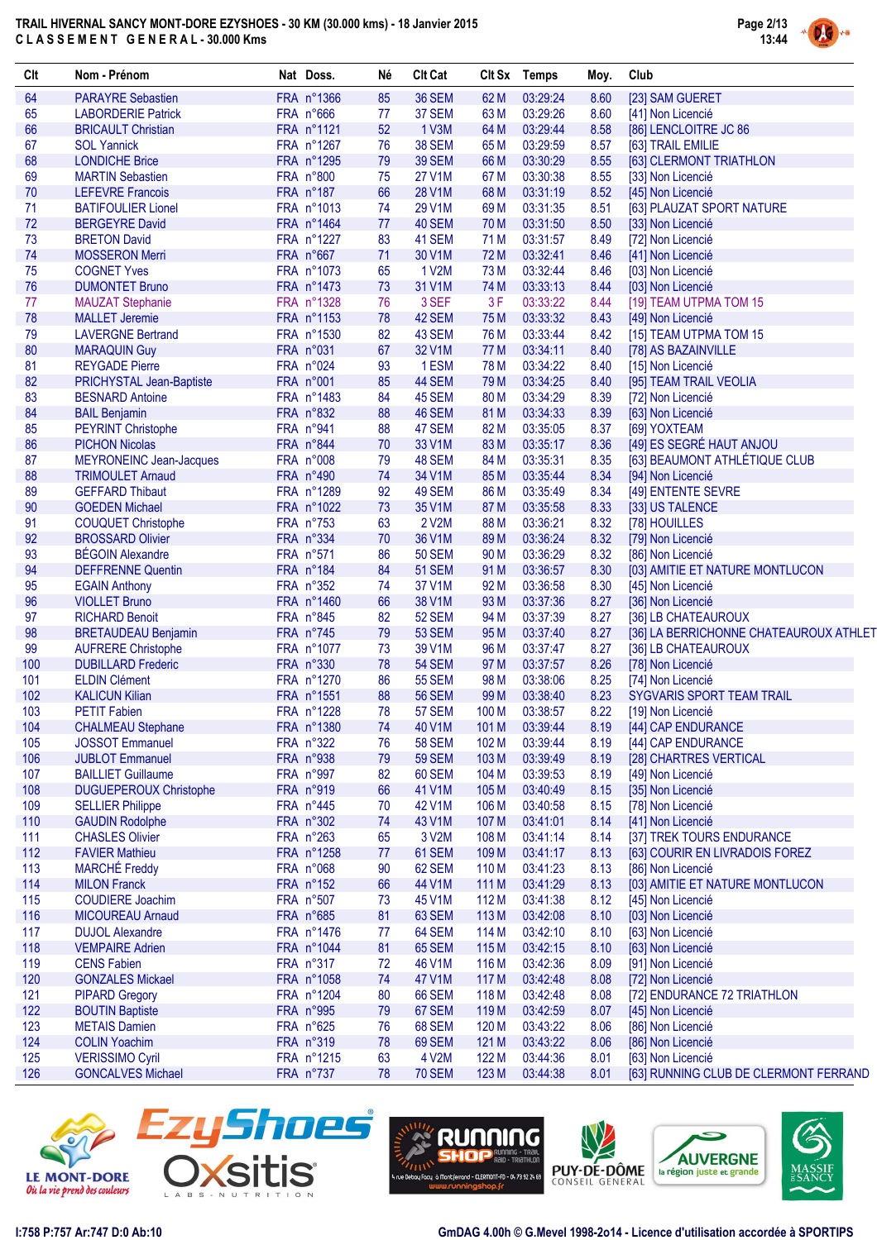

DG

| Clt        | Nom - Prénom                                       | Nat Doss.               | Né         | <b>Clt Cat</b>         |                  | Clt Sx Temps         | Moy.         | Club                                                       |
|------------|----------------------------------------------------|-------------------------|------------|------------------------|------------------|----------------------|--------------|------------------------------------------------------------|
| 64         | <b>PARAYRE Sebastien</b>                           | FRA n°1366              | 85         | <b>36 SEM</b>          | 62 M             | 03:29:24             | 8.60         | [23] SAM GUERET                                            |
| 65         | <b>LABORDERIE Patrick</b>                          | FRA n°666               | 77         | 37 SEM                 | 63 M             | 03:29:26             | 8.60         | [41] Non Licencié                                          |
| 66         | <b>BRICAULT Christian</b>                          | FRA n°1121              | 52         | 1 <sub>V3M</sub>       | 64 M             | 03:29:44             | 8.58         | [86] LENCLOITRE JC 86                                      |
| 67         | <b>SOL Yannick</b>                                 | FRA n°1267              | 76         | <b>38 SEM</b>          | 65 M             | 03:29:59             | 8.57         | [63] TRAIL EMILIE                                          |
| 68         | <b>LONDICHE Brice</b>                              | FRA n°1295              | 79         | <b>39 SEM</b>          | 66 M             | 03:30:29             | 8.55         | [63] CLERMONT TRIATHLON                                    |
| 69         | <b>MARTIN Sebastien</b>                            | FRA n°800               | 75         | 27 V1M                 | 67 M             | 03:30:38             | 8.55         | [33] Non Licencié                                          |
| 70         | <b>LEFEVRE Francois</b>                            | FRA n°187               | 66         | 28 V1M                 | 68 M             | 03:31:19             | 8.52         | [45] Non Licencié                                          |
| 71         | <b>BATIFOULIER Lionel</b>                          | FRA n°1013              | 74         | 29 V1M                 | 69 <sub>M</sub>  | 03:31:35             | 8.51         | [63] PLAUZAT SPORT NATURE                                  |
| 72         | <b>BERGEYRE David</b>                              | FRA n°1464              | 77         | 40 SEM                 | 70 M             | 03:31:50             | 8.50         | [33] Non Licencié                                          |
| 73         | <b>BRETON David</b>                                | FRA n°1227              | 83         | 41 SEM                 | 71 M             | 03:31:57             | 8.49         | [72] Non Licencié                                          |
| 74         | <b>MOSSERON Merri</b>                              | FRA n°667               | 71         | 30 V1M                 | 72 M             | 03:32:41             | 8.46         | [41] Non Licencié                                          |
| 75         | <b>COGNET Yves</b>                                 | FRA n°1073              | 65         | 1 V2M                  | 73 M             | 03:32:44             | 8.46         | [03] Non Licencié                                          |
| 76         | <b>DUMONTET Bruno</b>                              | FRA n°1473              | 73         | 31 V1M                 | 74 M             | 03:33:13             | 8.44         | [03] Non Licencié                                          |
| 77         | <b>MAUZAT Stephanie</b>                            | FRA n°1328              | 76         | 3 SEF                  | 3F               | 03:33:22             | 8.44         | [19] TEAM UTPMA TOM 15                                     |
| 78         | <b>MALLET Jeremie</b>                              | FRA n°1153              | 78         | 42 SEM                 | 75 M             | 03:33:32             | 8.43         | [49] Non Licencié                                          |
| 79         | <b>LAVERGNE Bertrand</b>                           | FRA n°1530              | 82         | 43 SEM                 | 76 M             | 03:33:44             | 8.42         | [15] TEAM UTPMA TOM 15                                     |
| 80         | <b>MARAQUIN Guy</b>                                | FRA n°031               | 67         | 32 V1M                 | 77 M             | 03:34:11             | 8.40         | [78] AS BAZAINVILLE                                        |
| 81         | <b>REYGADE Pierre</b>                              | FRA n°024               | 93         | 1ESM                   | 78 M             | 03:34:22             | 8.40         | [15] Non Licencié                                          |
| 82         | PRICHYSTAL Jean-Baptiste                           | FRA n°001               | 85         | 44 SEM                 | 79 M             | 03:34:25             | 8.40         | [95] TEAM TRAIL VEOLIA                                     |
| 83         | <b>BESNARD Antoine</b>                             | FRA n°1483              | 84         | 45 SEM                 | 80 M             | 03:34:29             | 8.39         | [72] Non Licencié                                          |
| 84         | <b>BAIL Benjamin</b>                               | FRA n°832               | 88         | 46 SEM                 | 81 M             | 03:34:33             | 8.39         | [63] Non Licencié                                          |
| 85         | <b>PEYRINT Christophe</b>                          | FRA n°941               | 88         | 47 SEM                 | 82 M             | 03:35:05             | 8.37         | [69] YOXTEAM                                               |
| 86         | <b>PICHON Nicolas</b>                              | FRA n°844               | 70         | 33 V1M                 | 83 M             | 03:35:17             | 8.36         | [49] ES SEGRÉ HAUT ANJOU                                   |
| 87         | MEYRONEINC Jean-Jacques                            | FRA n°008               | 79         | 48 SEM                 | 84 M             | 03:35:31             | 8.35         | [63] BEAUMONT ATHLÉTIQUE CLUB                              |
| 88         | <b>TRIMOULET Arnaud</b>                            | FRA n°490               | 74         | 34 V1M                 | 85 M             | 03:35:44             | 8.34         | [94] Non Licencié                                          |
| 89         | <b>GEFFARD Thibaut</b>                             | FRA n°1289              | 92         | 49 SEM                 | 86 M             | 03:35:49             | 8.34         | [49] ENTENTE SEVRE                                         |
| 90         | <b>GOEDEN Michael</b>                              | FRA n°1022              | 73         | 35 V1M                 | 87 M             | 03:35:58             | 8.33         | [33] US TALENCE                                            |
| 91         | <b>COUQUET Christophe</b>                          | FRA n°753               | 63         | 2 V2M                  | 88 M             | 03:36:21             | 8.32         | [78] HOUILLES                                              |
| 92         | <b>BROSSARD Olivier</b>                            | FRA n°334               | 70         | 36 V1M                 | 89 M             | 03:36:24             | 8.32         | [79] Non Licencié                                          |
| 93         | <b>BÉGOIN Alexandre</b>                            | FRA n°571               | 86         | <b>50 SEM</b>          | 90 M             | 03:36:29             | 8.32         | [86] Non Licencié                                          |
| 94         | <b>DEFFRENNE Quentin</b>                           | FRA n°184               | 84         | <b>51 SEM</b>          | 91 M             | 03:36:57             | 8.30         | [03] AMITIE ET NATURE MONTLUCON                            |
| 95         | <b>EGAIN Anthony</b>                               | FRA n°352               | 74         | 37 V1M                 | 92 M             | 03:36:58             | 8.30         | [45] Non Licencié                                          |
| 96         | <b>VIOLLET Bruno</b>                               | FRA n°1460              | 66         | 38 V1M                 | 93 M             | 03:37:36             | 8.27         | [36] Non Licencié                                          |
| 97         | <b>RICHARD Benoit</b>                              | FRA n°845               | 82         | <b>52 SEM</b>          | 94 M             | 03:37:39             | 8.27         | [36] LB CHATEAUROUX                                        |
| 98         | <b>BRETAUDEAU Benjamin</b>                         | FRA n°745               | 79         | <b>53 SEM</b>          | 95 M             | 03:37:40             | 8.27         | [36] LA BERRICHONNE CHATEAUROUX ATHLET                     |
| 99         | <b>AUFRERE Christophe</b>                          | FRA n°1077              | 73         | 39 V1M                 | 96 M             | 03:37:47             | 8.27         | [36] LB CHATEAUROUX                                        |
| 100        | <b>DUBILLARD Frederic</b>                          | FRA n°330               | 78         | <b>54 SEM</b>          | 97 M             | 03:37:57             | 8.26         | [78] Non Licencié                                          |
| 101        | <b>ELDIN Clément</b>                               | FRA n°1270              | 86         | <b>55 SEM</b>          | 98 M             | 03:38:06             | 8.25         | [74] Non Licencié                                          |
| 102        | <b>KALICUN Kilian</b>                              | FRA n°1551              | 88         | <b>56 SEM</b>          | 99 M             | 03:38:40             | 8.23         | <b>SYGVARIS SPORT TEAM TRAIL</b>                           |
| 103        | <b>PETIT Fabien</b>                                | FRA n°1228              | 78         | 57 SEM                 | 100 M            | 03:38:57             | 8.22         | [19] Non Licencié                                          |
| 104        | <b>CHALMEAU Stephane</b>                           | FRA n°1380              | $\sqrt{4}$ | 40 V1M                 | 101 M            | 03:39:44             | 8.19         | [44] CAP ENDURANCE                                         |
| 105        | <b>JOSSOT Emmanuel</b>                             | FRA n°322               | 76         | <b>58 SEM</b>          | 102 M            | 03:39:44             | 8.19         | [44] CAP ENDURANCE                                         |
| 106        | <b>JUBLOT Emmanuel</b>                             | FRA n°938               | 79         | <b>59 SEM</b>          | 103 M            | 03:39:49             | 8.19         | [28] CHARTRES VERTICAL                                     |
| 107        | <b>BAILLIET Guillaume</b>                          | FRA n°997               | 82         | <b>60 SEM</b>          | 104 M            | 03:39:53             | 8.19         | [49] Non Licencié                                          |
| 108        | <b>DUGUEPEROUX Christophe</b>                      | FRA n°919               | 66         | 41 V1M                 | 105 M            | 03:40:49             | 8.15         | [35] Non Licencié                                          |
| 109        | <b>SELLIER Philippe</b>                            | FRA n°445               | 70         | 42 V1M                 | 106 M            | 03:40:58             | 8.15         | [78] Non Licencié                                          |
| 110        | <b>GAUDIN Rodolphe</b>                             | FRA n°302               | 74         | 43 V1M                 | 107 M            | 03:41:01             | 8.14         | [41] Non Licencié                                          |
| 111        | <b>CHASLES Olivier</b>                             | FRA n°263               | 65         | 3 V2M                  | 108 M            | 03:41:14             | 8.14         | [37] TREK TOURS ENDURANCE                                  |
| 112        | <b>FAVIER Mathieu</b>                              | FRA n°1258              | 77         | 61 SEM                 | 109 M            | 03:41:17             | 8.13         | [63] COURIR EN LIVRADOIS FOREZ                             |
| 113        | <b>MARCHÉ Freddy</b>                               | FRA n°068               | 90         | 62 SEM                 | 110 M            | 03:41:23             | 8.13         | [86] Non Licencié                                          |
| 114        | <b>MILON Franck</b>                                | FRA n°152               | 66         | 44 V1M                 | 111 M            | 03:41:29             | 8.13         | [03] AMITIE ET NATURE MONTLUCON                            |
| 115        | <b>COUDIERE Joachim</b>                            | FRA n°507               | 73         | 45 V1M                 | 112 M            | 03:41:38             | 8.12         | [45] Non Licencié                                          |
| 116        | <b>MICOUREAU Arnaud</b>                            | FRA n°685               | 81         | 63 SEM                 | 113 M            | 03:42:08             | 8.10         | [03] Non Licencié                                          |
| 117        | <b>DUJOL Alexandre</b>                             | FRA n°1476              | 77         | 64 SEM                 | 114 M            | 03:42:10             | 8.10         | [63] Non Licencié                                          |
| 118        | <b>VEMPAIRE Adrien</b>                             | FRA n°1044              | 81         | 65 SEM                 | 115 M            | 03:42:15             | 8.10         | [63] Non Licencié                                          |
| 119        | <b>CENS Fabien</b>                                 | FRA n°317               | 72         | 46 V1M                 | 116 M            | 03:42:36             | 8.09         | [91] Non Licencié                                          |
| 120        | <b>GONZALES Mickael</b>                            | FRA n°1058              | 74         | 47 V1M                 | 117 M            | 03:42:48             | 8.08         | [72] Non Licencié                                          |
| 121        | <b>PIPARD Gregory</b>                              | FRA n°1204              | 80         | <b>66 SEM</b>          | 118 M            | 03:42:48             | 8.08         | [72] ENDURANCE 72 TRIATHLON                                |
| 122        | <b>BOUTIN Baptiste</b>                             | FRA n°995               | 79         | 67 SEM                 | 119 <sub>M</sub> | 03:42:59             | 8.07         | [45] Non Licencié                                          |
| 123        | <b>METAIS Damien</b>                               | FRA n°625               | 76         | <b>68 SEM</b>          | 120 M            | 03:43:22             | 8.06         | [86] Non Licencié                                          |
| 124        | <b>COLIN Yoachim</b>                               | FRA n°319               | 78         | 69 SEM                 | 121 M            | 03:43:22             | 8.06         | [86] Non Licencié                                          |
|            |                                                    |                         |            |                        |                  |                      |              |                                                            |
| 125<br>126 | <b>VERISSIMO Cyril</b><br><b>GONCALVES Michael</b> | FRA n°1215<br>FRA n°737 | 63<br>78   | 4 V2M<br><b>70 SEM</b> | 122 M<br>123 M   | 03:44:36<br>03:44:38 | 8.01<br>8.01 | [63] Non Licencié<br>[63] RUNNING CLUB DE CLERMONT FERRAND |









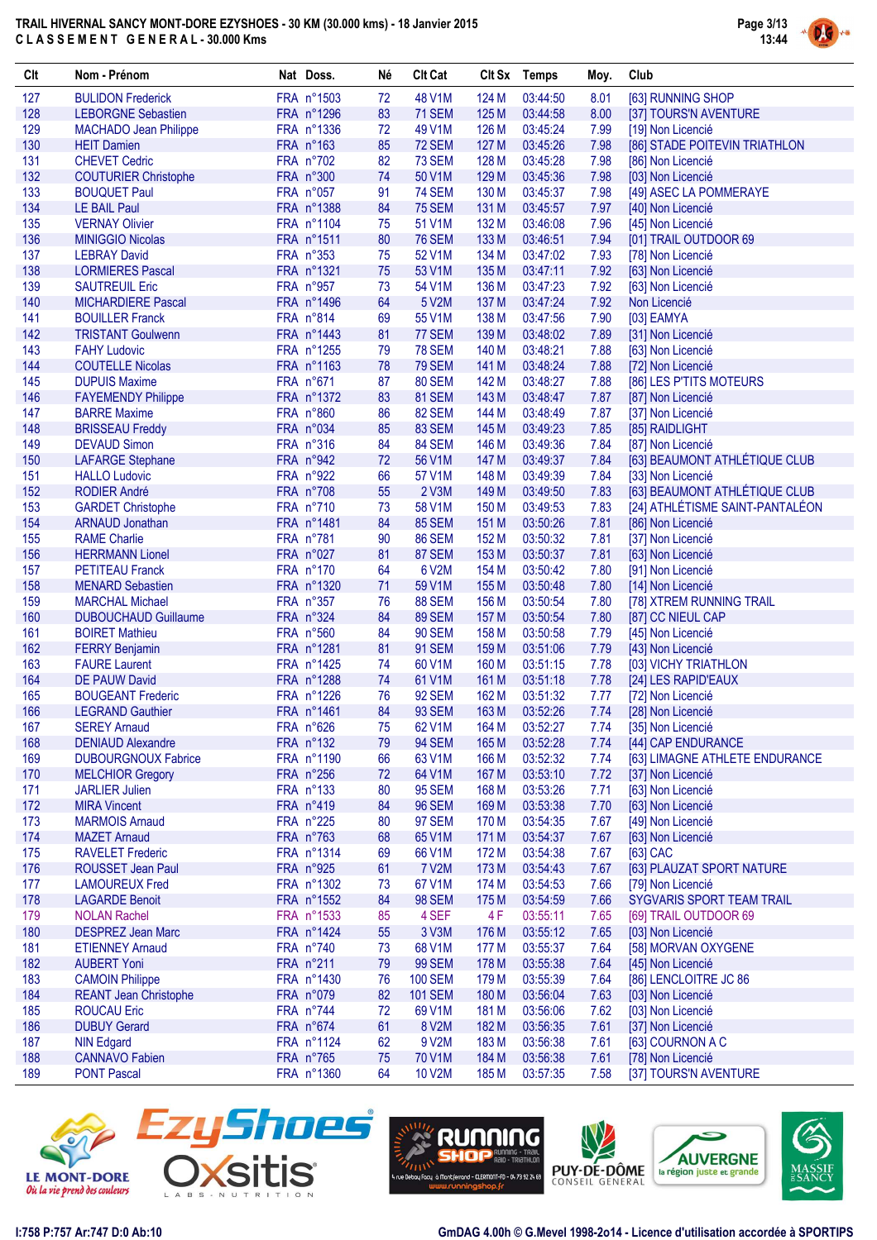

| Clt        | Nom - Prénom                                        | Nat Doss.               | Né       | <b>Clt Cat</b>          |                | Clt Sx Temps         | Moy.         | Club                                           |
|------------|-----------------------------------------------------|-------------------------|----------|-------------------------|----------------|----------------------|--------------|------------------------------------------------|
| 127        | <b>BULIDON Frederick</b>                            | FRA n°1503              | 72       | 48 V1M                  | 124 M          | 03:44:50             | 8.01         | [63] RUNNING SHOP                              |
| 128        | <b>LEBORGNE Sebastien</b>                           | FRA n°1296              | 83       | 71 SEM                  | 125 M          | 03:44:58             | 8.00         | [37] TOURS'N AVENTURE                          |
| 129        | <b>MACHADO Jean Philippe</b>                        | FRA n°1336              | 72       | 49 V1M                  | 126 M          | 03:45:24             | 7.99         | [19] Non Licencié                              |
| 130        | <b>HEIT Damien</b>                                  | FRA n°163               | 85       | <b>72 SEM</b>           | 127 M          | 03:45:26             | 7.98         | [86] STADE POITEVIN TRIATHLON                  |
| 131        | <b>CHEVET Cedric</b>                                | FRA n°702               | 82       | <b>73 SEM</b>           | 128 M          | 03:45:28             | 7.98         | [86] Non Licencié                              |
| 132        | <b>COUTURIER Christophe</b>                         | FRA n°300               | 74       | 50 V1M                  | 129 M          | 03:45:36             | 7.98         | [03] Non Licencié                              |
| 133        | <b>BOUQUET Paul</b>                                 | FRA n°057               | 91       | <b>74 SEM</b>           | 130 M          | 03:45:37             | 7.98         | [49] ASEC LA POMMERAYE                         |
| 134        | <b>LE BAIL Paul</b>                                 | FRA n°1388              | 84       | <b>75 SEM</b>           | 131 M          | 03:45:57             | 7.97         | [40] Non Licencié                              |
| 135        | <b>VERNAY Olivier</b>                               | FRA n°1104              | 75       | 51 V1M                  | 132 M          | 03:46:08             | 7.96         | [45] Non Licencié                              |
| 136        | <b>MINIGGIO Nicolas</b>                             | FRA n°1511              | 80       | <b>76 SEM</b>           | 133 M          | 03:46:51             | 7.94         | [01] TRAIL OUTDOOR 69                          |
| 137        | <b>LEBRAY David</b>                                 | FRA n°353               | 75       | 52 V1M                  | 134 M          | 03:47:02             | 7.93         | [78] Non Licencié                              |
| 138        | <b>LORMIERES Pascal</b>                             | FRA n°1321              | 75       | 53 V1M                  | 135 M          | 03:47:11             | 7.92         | [63] Non Licencié                              |
| 139        | <b>SAUTREUIL Eric</b>                               | FRA n°957               | 73       | 54 V1M                  | 136 M          | 03:47:23             | 7.92         | [63] Non Licencié                              |
| 140        | <b>MICHARDIERE Pascal</b><br><b>BOUILLER Franck</b> | FRA n°1496              | 64       | 5 V2M                   | 137 M          | 03:47:24             | 7.92         | Non Licencié                                   |
| 141<br>142 |                                                     | FRA n°814<br>FRA n°1443 | 69<br>81 | 55 V1M                  | 138 M<br>139 M | 03:47:56<br>03:48:02 | 7.90         | [03] EAMYA                                     |
| 143        | <b>TRISTANT Goulwenn</b><br><b>FAHY Ludovic</b>     | FRA n°1255              | 79       | 77 SEM<br><b>78 SEM</b> | 140 M          | 03:48:21             | 7.89<br>7.88 | [31] Non Licencié<br>[63] Non Licencié         |
| 144        | <b>COUTELLE Nicolas</b>                             | FRA n°1163              | 78       | <b>79 SEM</b>           | 141 M          | 03:48:24             | 7.88         | [72] Non Licencié                              |
| 145        | <b>DUPUIS Maxime</b>                                | FRA n°671               | 87       | 80 SEM                  | 142 M          | 03:48:27             | 7.88         | [86] LES P'TITS MOTEURS                        |
| 146        | <b>FAYEMENDY Philippe</b>                           | FRA n°1372              | 83       | 81 SEM                  | 143 M          | 03:48:47             | 7.87         | [87] Non Licencié                              |
| 147        | <b>BARRE Maxime</b>                                 | FRA n°860               | 86       | 82 SEM                  | 144 M          | 03:48:49             | 7.87         | [37] Non Licencié                              |
| 148        | <b>BRISSEAU Freddy</b>                              | FRA n°034               | 85       | 83 SEM                  | 145 M          | 03:49:23             | 7.85         | [85] RAIDLIGHT                                 |
| 149        | <b>DEVAUD Simon</b>                                 | FRA n°316               | 84       | 84 SEM                  | 146 M          | 03:49:36             | 7.84         | [87] Non Licencié                              |
| 150        | <b>LAFARGE Stephane</b>                             | FRA n°942               | 72       | 56 V1M                  | 147 M          | 03:49:37             | 7.84         | [63] BEAUMONT ATHLÉTIQUE CLUB                  |
| 151        | <b>HALLO Ludovic</b>                                | FRA n°922               | 66       | 57 V1M                  | 148 M          | 03:49:39             | 7.84         | [33] Non Licencié                              |
| 152        | <b>RODIER André</b>                                 | FRA n°708               | 55       | 2 V3M                   | 149 M          | 03:49:50             | 7.83         | [63] BEAUMONT ATHLÉTIQUE CLUB                  |
| 153        | <b>GARDET Christophe</b>                            | FRA n°710               | 73       | 58 V1M                  | 150 M          | 03:49:53             | 7.83         | [24] ATHLÉTISME SAINT-PANTALÉON                |
| 154        | <b>ARNAUD Jonathan</b>                              | FRA n°1481              | 84       | <b>85 SEM</b>           | 151 M          | 03:50:26             | 7.81         | [86] Non Licencié                              |
| 155        | <b>RAME Charlie</b>                                 | FRA n°781               | 90       | <b>86 SEM</b>           | 152 M          | 03:50:32             | 7.81         | [37] Non Licencié                              |
| 156        | <b>HERRMANN Lionel</b>                              | FRA n°027               | 81       | 87 SEM                  | 153 M          | 03:50:37             | 7.81         | [63] Non Licencié                              |
| 157        | <b>PETITEAU Franck</b>                              | FRA n°170               | 64       | 6 V2M                   | 154 M          | 03:50:42             | 7.80         | [91] Non Licencié                              |
| 158        | <b>MENARD Sebastien</b>                             | FRA n°1320              | 71       | 59 V1M                  | 155 M          | 03:50:48             | 7.80         | [14] Non Licencié                              |
| 159        | <b>MARCHAL Michael</b>                              | FRA n°357               | 76       | <b>88 SEM</b>           | 156 M          | 03:50:54             | 7.80         | [78] XTREM RUNNING TRAIL                       |
| 160        | <b>DUBOUCHAUD Guillaume</b>                         | FRA n°324               | 84       | 89 SEM                  | 157 M          | 03:50:54             | 7.80         | [87] CC NIEUL CAP                              |
| 161        | <b>BOIRET Mathieu</b>                               | FRA n°560               | 84       | <b>90 SEM</b>           | 158 M          | 03:50:58             | 7.79         | [45] Non Licencié                              |
| 162        | <b>FERRY Benjamin</b>                               | FRA n°1281              | 81       | <b>91 SEM</b>           | 159 M          | 03:51:06             | 7.79         | [43] Non Licencié                              |
| 163        | <b>FAURE Laurent</b>                                | FRA n°1425              | 74       | 60 V1M                  | 160 M          | 03:51:15             | 7.78         | [03] VICHY TRIATHLON                           |
| 164        | <b>DE PAUW David</b>                                | FRA n°1288              | 74       | 61 V1M                  | 161 M          | 03:51:18             | 7.78         | [24] LES RAPID'EAUX                            |
| 165        | <b>BOUGEANT Frederic</b>                            | FRA n°1226              | 76       | <b>92 SEM</b>           | 162 M          | 03:51:32             | 7.77         | [72] Non Licencié                              |
| 166        | <b>LEGRAND Gauthier</b>                             | FRA n°1461              | 84       | <b>93 SEM</b>           | 163 M          | 03:52:26             | 7.74         | [28] Non Licencié                              |
| 167        | <b>SEREY Arnaud</b>                                 | FRA n°626               | 75       | 62 V1M                  | 164 M          | 03:52:27             | 7.74         | [35] Non Licencié                              |
| 168        | <b>DENIAUD Alexandre</b>                            | FRA n°132               | 79       | <b>94 SEM</b>           | 165 M          | 03:52:28             | 7.74         | [44] CAP ENDURANCE                             |
| 169        | <b>DUBOURGNOUX Fabrice</b>                          | FRA n°1190              | 66       | 63 V1M                  | 166 M          | 03:52:32             | 7.74         | [63] LIMAGNE ATHLETE ENDURANCE                 |
| 170        | <b>MELCHIOR Gregory</b>                             | FRA n°256               | 72       | 64 V1M                  | 167 M          | 03:53:10             | 7.72         | [37] Non Licencié                              |
| 171        | <b>JARLIER Julien</b>                               | FRA n°133               | 80       | <b>95 SEM</b>           | 168 M          | 03:53:26             | 7.71         | [63] Non Licencié                              |
| 172        | <b>MIRA Vincent</b>                                 | FRA n°419               | 84       | <b>96 SEM</b>           | 169 M          | 03:53:38             | 7.70         | [63] Non Licencié                              |
| 173        | <b>MARMOIS Arnaud</b>                               | FRA n°225               | 80       | 97 SEM                  | 170 M          | 03:54:35             | 7.67         | [49] Non Licencié                              |
| 174        | <b>MAZET Arnaud</b>                                 | FRA n°763               | 68       | 65 V1M                  | 171 M          | 03:54:37             | 7.67         | [63] Non Licencié                              |
| 175        | <b>RAVELET Frederic</b>                             | FRA n°1314              | 69       | 66 V1M                  | 172 M          | 03:54:38             | 7.67         | [63] CAC<br>[63] PLAUZAT SPORT NATURE          |
| 176<br>177 | <b>ROUSSET Jean Paul</b>                            | FRA n°925<br>FRA n°1302 | 61       | <b>7 V2M</b><br>67 V1M  | 173 M          | 03:54:43             | 7.67         |                                                |
| 178        | <b>LAMOUREUX Fred</b><br><b>LAGARDE Benoit</b>      | FRA n°1552              | 73<br>84 | <b>98 SEM</b>           | 174 M<br>175 M | 03:54:53<br>03:54:59 | 7.66<br>7.66 | [79] Non Licencié<br>SYGVARIS SPORT TEAM TRAIL |
| 179        | <b>NOLAN Rachel</b>                                 | FRA n°1533              | 85       | 4 SEF                   | 4 F            | 03:55:11             | 7.65         | [69] TRAIL OUTDOOR 69                          |
| 180        | <b>DESPREZ Jean Marc</b>                            | FRA n°1424              | 55       | 3 V3M                   | 176 M          | 03:55:12             | 7.65         | [03] Non Licencié                              |
| 181        | <b>ETIENNEY Arnaud</b>                              | FRA n°740               | 73       | 68 V1M                  | 177 M          | 03:55:37             | 7.64         | [58] MORVAN OXYGENE                            |
| 182        | <b>AUBERT Yoni</b>                                  | FRA n°211               | 79       | <b>99 SEM</b>           | 178 M          | 03:55:38             | 7.64         | [45] Non Licencié                              |
| 183        | <b>CAMOIN Philippe</b>                              | FRA n°1430              | 76       | <b>100 SEM</b>          | 179 M          | 03:55:39             | 7.64         | [86] LENCLOITRE JC 86                          |
| 184        | <b>REANT Jean Christophe</b>                        | FRA n°079               | 82       | <b>101 SEM</b>          | 180 M          | 03:56:04             | 7.63         | [03] Non Licencié                              |
| 185        | <b>ROUCAU Eric</b>                                  | FRA n°744               | 72       | 69 V1M                  | 181 M          | 03:56:06             | 7.62         | [03] Non Licencié                              |
| 186        | <b>DUBUY Gerard</b>                                 | FRA n°674               | 61       | 8 V2M                   | 182 M          | 03:56:35             | 7.61         | [37] Non Licencié                              |
| 187        | <b>NIN Edgard</b>                                   | FRA n°1124              | 62       | 9 V2M                   | 183 M          | 03:56:38             | 7.61         | [63] COURNON A C                               |
| 188        | <b>CANNAVO Fabien</b>                               | FRA n°765               | 75       | 70 V1M                  | 184 M          | 03:56:38             | 7.61         | [78] Non Licencié                              |
| 189        | <b>PONT Pascal</b>                                  | FRA n°1360              | 64       | <b>10 V2M</b>           | 185 M          | 03:57:35             | 7.58         | [37] TOURS'N AVENTURE                          |
|            |                                                     |                         |          |                         |                |                      |              |                                                |









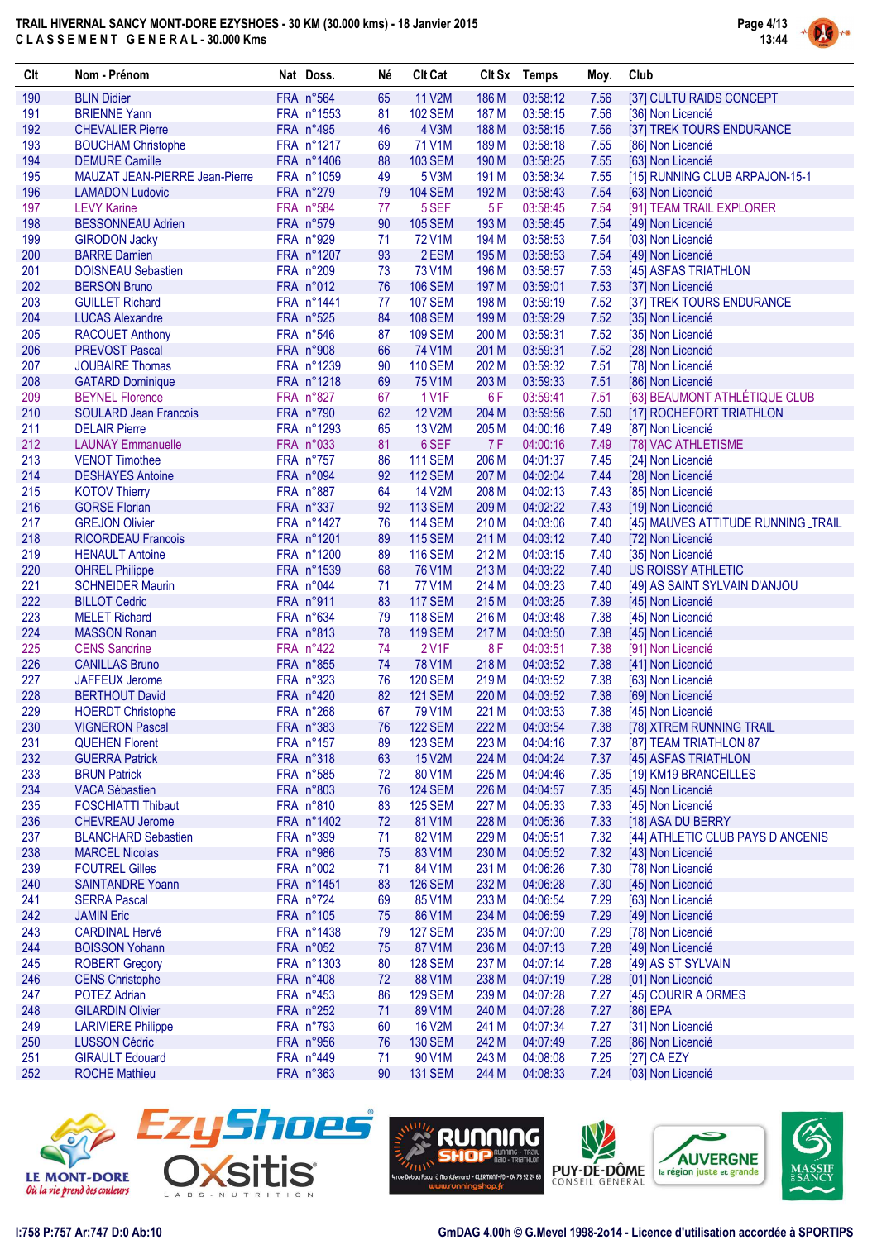

| Clt        | Nom - Prénom                                         | Nat Doss.               | Né       | <b>Clt Cat</b>           |                    | Clt Sx Temps         | Moy.         | Club                                                   |
|------------|------------------------------------------------------|-------------------------|----------|--------------------------|--------------------|----------------------|--------------|--------------------------------------------------------|
| 190        | <b>BLIN Didier</b>                                   | FRA n°564               | 65       | 11 V2M                   | 186 M              | 03:58:12             | 7.56         | [37] CULTU RAIDS CONCEPT                               |
| 191        | <b>BRIENNE Yann</b>                                  | FRA n°1553              | 81       | <b>102 SEM</b>           | 187 M              | 03:58:15             | 7.56         | [36] Non Licencié                                      |
| 192        | <b>CHEVALIER Pierre</b>                              | FRA n°495               | 46       | 4 V3M                    | 188 M              | 03:58:15             | 7.56         | [37] TREK TOURS ENDURANCE                              |
| 193        | <b>BOUCHAM Christophe</b>                            | FRA n°1217              | 69       | 71 V1M                   | 189 M              | 03:58:18             | 7.55         | [86] Non Licencié                                      |
| 194        | <b>DEMURE Camille</b>                                | FRA n°1406              | 88       | <b>103 SEM</b>           | 190 M              | 03:58:25             | 7.55         | [63] Non Licencié                                      |
| 195        | MAUZAT JEAN-PIERRE Jean-Pierre                       | FRA n°1059              | 49       | 5 V3M                    | 191 M              | 03:58:34             | 7.55         | [15] RUNNING CLUB ARPAJON-15-1                         |
| 196        | <b>LAMADON Ludovic</b>                               | FRA n°279               | 79       | <b>104 SEM</b>           | 192 M              | 03:58:43             | 7.54         | [63] Non Licencié                                      |
| 197<br>198 | <b>LEVY Karine</b><br><b>BESSONNEAU Adrien</b>       | FRA n°584<br>FRA n°579  | 77<br>90 | 5 SEF<br><b>105 SEM</b>  | 5F<br>193 M        | 03:58:45<br>03:58:45 | 7.54<br>7.54 | [91] TEAM TRAIL EXPLORER<br>[49] Non Licencié          |
| 199        | <b>GIRODON Jacky</b>                                 | FRA n°929               | 71       | 72 V1M                   | 194 M              | 03:58:53             | 7.54         | [03] Non Licencié                                      |
| 200        | <b>BARRE Damien</b>                                  | FRA n°1207              | 93       | 2 ESM                    | 195 M              | 03:58:53             | 7.54         | [49] Non Licencié                                      |
| 201        | <b>DOISNEAU Sebastien</b>                            | FRA n°209               | 73       | 73 V1M                   | 196 M              | 03:58:57             | 7.53         | [45] ASFAS TRIATHLON                                   |
| 202        | <b>BERSON Bruno</b>                                  | FRA n°012               | 76       | <b>106 SEM</b>           | 197 M              | 03:59:01             | 7.53         | [37] Non Licencié                                      |
| 203        | <b>GUILLET Richard</b>                               | FRA n°1441              | 77       | <b>107 SEM</b>           | 198 M              | 03:59:19             | 7.52         | [37] TREK TOURS ENDURANCE                              |
| 204        | <b>LUCAS Alexandre</b>                               | FRA n°525               | 84       | <b>108 SEM</b>           | 199 M              | 03:59:29             | 7.52         | [35] Non Licencié                                      |
| 205        | <b>RACOUET Anthony</b>                               | FRA n°546               | 87       | <b>109 SEM</b>           | 200 M              | 03:59:31             | 7.52         | [35] Non Licencié                                      |
| 206        | <b>PREVOST Pascal</b>                                | FRA n°908               | 66       | 74 V1M                   | 201 M              | 03:59:31             | 7.52         | [28] Non Licencié                                      |
| 207        | <b>JOUBAIRE Thomas</b>                               | FRA n°1239              | 90       | <b>110 SEM</b>           | 202 M              | 03:59:32             | 7.51         | [78] Non Licencié                                      |
| 208        | <b>GATARD Dominique</b>                              | FRA n°1218              | 69       | 75 V1M                   | 203 M              | 03:59:33             | 7.51         | [86] Non Licencié                                      |
| 209        | <b>BEYNEL Florence</b>                               | FRA n°827               | 67       | 1 V1F                    | 6F                 | 03:59:41             | 7.51         | [63] BEAUMONT ATHLÉTIQUE CLUB                          |
| 210        | <b>SOULARD Jean Francois</b>                         | FRA n°790               | 62       | <b>12 V2M</b>            | 204 M              | 03:59:56             | 7.50         | [17] ROCHEFORT TRIATHLON                               |
| 211<br>212 | <b>DELAIR Pierre</b><br><b>LAUNAY Emmanuelle</b>     | FRA n°1293<br>FRA n°033 | 65<br>81 | 13 V2M<br>6 SEF          | 205 M<br><b>7F</b> | 04:00:16<br>04:00:16 | 7.49<br>7.49 | [87] Non Licencié<br>[78] VAC ATHLETISME               |
| 213        | <b>VENOT Timothee</b>                                | FRA n°757               | 86       | <b>111 SEM</b>           | 206 M              | 04:01:37             | 7.45         | [24] Non Licencié                                      |
| 214        | <b>DESHAYES Antoine</b>                              | FRA n°094               | 92       | <b>112 SEM</b>           | 207 M              | 04:02:04             | 7.44         | [28] Non Licencié                                      |
| 215        | <b>KOTOV Thierry</b>                                 | FRA n°887               | 64       | 14 V2M                   | 208 M              | 04:02:13             | 7.43         | [85] Non Licencié                                      |
| 216        | <b>GORSE Florian</b>                                 | FRA n°337               | 92       | <b>113 SEM</b>           | 209 M              | 04:02:22             | 7.43         | [19] Non Licencié                                      |
| 217        | <b>GREJON Olivier</b>                                | FRA n°1427              | 76       | <b>114 SEM</b>           | 210 M              | 04:03:06             | 7.40         | [45] MAUVES ATTITUDE RUNNING _TRAIL                    |
| 218        | <b>RICORDEAU Francois</b>                            | FRA n°1201              | 89       | <b>115 SEM</b>           | 211 M              | 04:03:12             | 7.40         | [72] Non Licencié                                      |
| 219        | <b>HENAULT Antoine</b>                               | FRA n°1200              | 89       | <b>116 SEM</b>           | 212 M              | 04:03:15             | 7.40         | [35] Non Licencié                                      |
| 220        | <b>OHREL Philippe</b>                                | FRA n°1539              | 68       | 76 V1M                   | 213 M              | 04:03:22             | 7.40         | <b>US ROISSY ATHLETIC</b>                              |
| 221        | <b>SCHNEIDER Maurin</b>                              | FRA n°044               | 71       | 77 V1M                   | 214 M              | 04:03:23             | 7.40         | [49] AS SAINT SYLVAIN D'ANJOU                          |
| 222        | <b>BILLOT Cedric</b>                                 | FRA n°911               | 83       | <b>117 SEM</b>           | 215 M              | 04:03:25             | 7.39         | [45] Non Licencié                                      |
| 223        | <b>MELET Richard</b>                                 | FRA n°634               | 79       | <b>118 SEM</b>           | 216 M              | 04:03:48             | 7.38         | [45] Non Licencié                                      |
| 224<br>225 | <b>MASSON Ronan</b><br><b>CENS Sandrine</b>          | FRA n°813<br>FRA n°422  | 78<br>74 | <b>119 SEM</b><br>2 V1F  | 217 M<br>8F        | 04:03:50<br>04:03:51 | 7.38<br>7.38 | [45] Non Licencié                                      |
| 226        | <b>CANILLAS Bruno</b>                                | FRA n°855               | 74       | 78 V1M                   | 218 M              | 04:03:52             | 7.38         | [91] Non Licencié<br>[41] Non Licencié                 |
| 227        | JAFFEUX Jerome                                       | FRA n°323               | 76       | <b>120 SEM</b>           | 219 M              | 04:03:52             | 7.38         | [63] Non Licencié                                      |
| 228        | <b>BERTHOUT David</b>                                | FRA n°420               | 82       | <b>121 SEM</b>           | 220 M              | 04:03:52             | 7.38         | [69] Non Licencié                                      |
| 229        | <b>HOERDT Christophe</b>                             | FRA n°268               | 67       | 79 V1M                   | 221 M              | 04:03:53             | 7.38         | [45] Non Licencié                                      |
| 230        | <b>VIGNERON Pascal</b>                               | FRA n°383               | 76       | <b>122 SEM</b>           | 222 M              | 04:03:54             | 7.38         | [78] XTREM RUNNING TRAIL                               |
| 231        | <b>QUEHEN Florent</b>                                | FRA n°157               | 89       | <b>123 SEM</b>           | 223 M              | 04:04:16             | 7.37         | [87] TEAM TRIATHLON 87                                 |
| 232        | <b>GUERRA Patrick</b>                                | FRA n°318               | 63       | 15 V2M                   | 224 M              | 04:04:24             | 7.37         | [45] ASFAS TRIATHLON                                   |
| 233        | <b>BRUN Patrick</b>                                  | FRA n°585               | 72       | 80 V1M                   | 225 M              | 04:04:46             | 7.35         | [19] KM19 BRANCEILLES                                  |
| 234        | <b>VACA Sébastien</b>                                | FRA n°803               | 76       | <b>124 SEM</b>           | 226 M              | 04:04:57             | 7.35         | [45] Non Licencié                                      |
| 235        | <b>FOSCHIATTI Thibaut</b>                            | FRA n°810               | 83       | <b>125 SEM</b>           | 227 M              | 04:05:33             | 7.33         | [45] Non Licencié                                      |
| 236<br>237 | <b>CHEVREAU Jerome</b><br><b>BLANCHARD Sebastien</b> | FRA n°1402<br>FRA n°399 | 72<br>71 | 81 V1M<br>82 V1M         | 228 M<br>229 M     | 04:05:36<br>04:05:51 | 7.33<br>7.32 | [18] ASA DU BERRY                                      |
| 238        | <b>MARCEL Nicolas</b>                                | FRA n°986               | 75       | 83 V1M                   | 230 M              | 04:05:52             | 7.32         | [44] ATHLETIC CLUB PAYS D ANCENIS<br>[43] Non Licencié |
| 239        | <b>FOUTREL Gilles</b>                                | FRA n°002               | 71       | 84 V1M                   | 231 M              | 04:06:26             | 7.30         | [78] Non Licencié                                      |
| 240        | <b>SAINTANDRE Yoann</b>                              | FRA n°1451              | 83       | <b>126 SEM</b>           | 232 M              | 04:06:28             | 7.30         | [45] Non Licencié                                      |
| 241        | <b>SERRA Pascal</b>                                  | FRA n°724               | 69       | 85 V1M                   | 233 M              | 04:06:54             | 7.29         | [63] Non Licencié                                      |
| 242        | <b>JAMIN Eric</b>                                    | FRA n°105               | 75       | 86 V1M                   | 234 M              | 04:06:59             | 7.29         | [49] Non Licencié                                      |
| 243        | <b>CARDINAL Hervé</b>                                | FRA n°1438              | 79       | <b>127 SEM</b>           | 235 M              | 04:07:00             | 7.29         | [78] Non Licencié                                      |
| 244        | <b>BOISSON Yohann</b>                                | FRA n°052               | 75       | 87 V1M                   | 236 M              | 04:07:13             | 7.28         | [49] Non Licencié                                      |
| 245        | <b>ROBERT Gregory</b>                                | FRA n°1303              | 80       | <b>128 SEM</b>           | 237 M              | 04:07:14             | 7.28         | [49] AS ST SYLVAIN                                     |
| 246        | <b>CENS Christophe</b>                               | FRA n°408               | 72       | 88 V1M                   | 238 M              | 04:07:19             | 7.28         | [01] Non Licencié                                      |
| 247        | <b>POTEZ Adrian</b>                                  | FRA n°453               | 86       | <b>129 SEM</b>           | 239 M              | 04:07:28             | 7.27         | [45] COURIR A ORMES                                    |
| 248        | <b>GILARDIN Olivier</b>                              | FRA n°252               | 71       | 89 V1M                   | 240 M              | 04:07:28             | 7.27         | [86] EPA                                               |
| 249        | <b>LARIVIERE Philippe</b>                            | FRA n°793               | 60       | <b>16 V2M</b>            | 241 M              | 04:07:34             | 7.27         | [31] Non Licencié                                      |
| 250<br>251 | <b>LUSSON Cédric</b><br><b>GIRAULT Edouard</b>       | FRA n°956<br>FRA n°449  | 76<br>71 | <b>130 SEM</b>           | 242 M              | 04:07:49             | 7.26         | [86] Non Licencié                                      |
| 252        | <b>ROCHE Mathieu</b>                                 | FRA n°363               | 90       | 90 V1M<br><b>131 SEM</b> | 243 M<br>244 M     | 04:08:08<br>04:08:33 | 7.25<br>7.24 | [27] CA EZY<br>[03] Non Licencié                       |
|            |                                                      |                         |          |                          |                    |                      |              |                                                        |









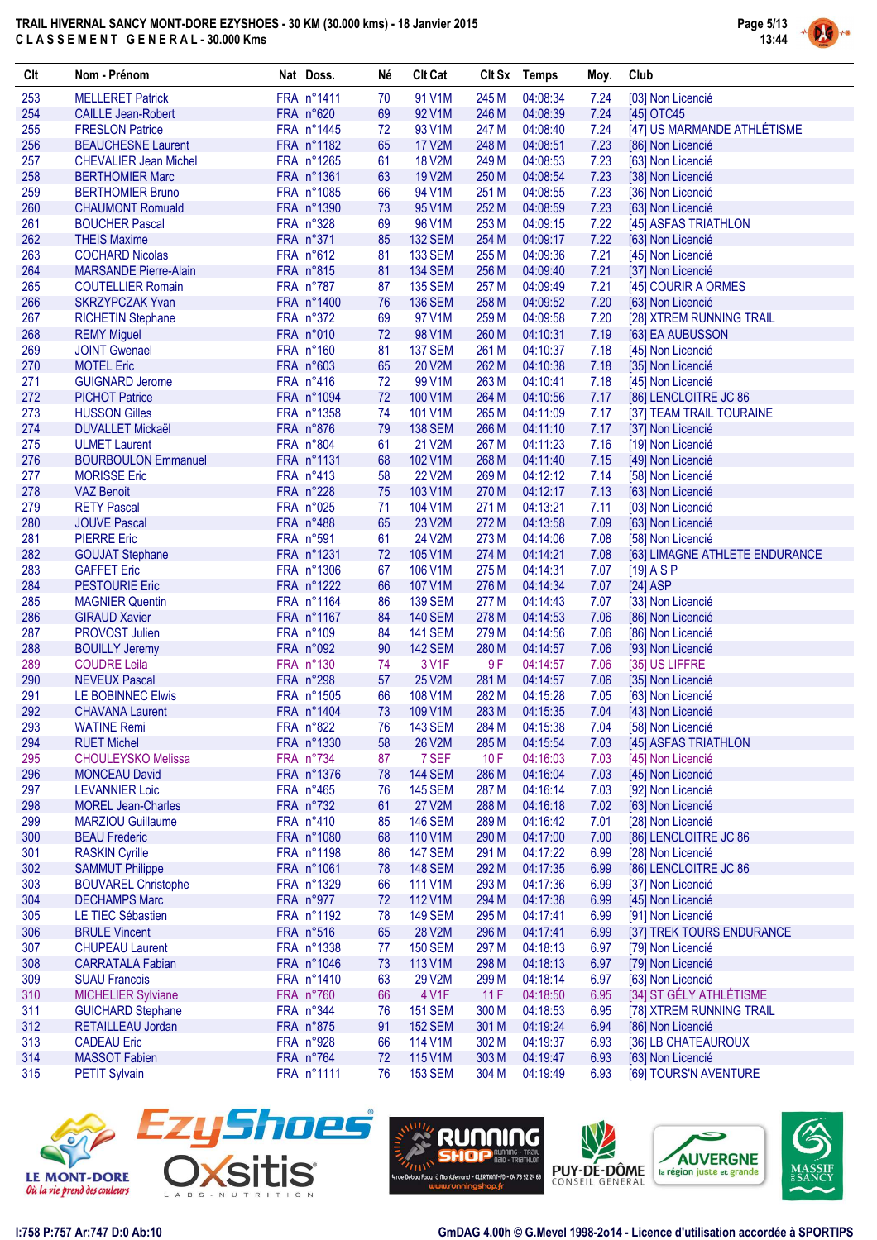

| 253<br><b>MELLERET Patrick</b><br>FRA n°1411<br>70<br>91 V1M<br>245 M<br>04:08:34<br>7.24<br>[03] Non Licencié<br>254<br>FRA n°620<br>69<br>92 V1M<br>246 M<br>04:08:39<br>7.24<br><b>CAILLE Jean-Robert</b><br>[45] OTC45<br>[47] US MARMANDE ATHLÉTISME<br>255<br><b>FRESLON Patrice</b><br>FRA n°1445<br>93 V1M<br>247 M<br>04:08:40<br>7.24<br>72<br>256<br>FRA n°1182<br>65<br><b>17 V2M</b><br>248 M<br>04:08:51<br>7.23<br><b>BEAUCHESNE Laurent</b><br>[86] Non Licencié<br>257<br>FRA n°1265<br>61<br><b>18 V2M</b><br>249 M<br>04:08:53<br>7.23<br>[63] Non Licencié<br><b>CHEVALIER Jean Michel</b><br>258<br>FRA n°1361<br>7.23<br><b>BERTHOMIER Marc</b><br>63<br>19 V2M<br>250 M<br>04:08:54<br>[38] Non Licencié<br>259<br>FRA n°1085<br>94 V1M<br>251 M<br>04:08:55<br>7.23<br><b>BERTHOMIER Bruno</b><br>66<br>[36] Non Licencié<br>260<br>FRA n°1390<br>252 M<br>7.23<br><b>CHAUMONT Romuald</b><br>73<br>95 V1M<br>04:08:59<br>[63] Non Licencié<br>261<br>FRA n°328<br>69<br>96 V1M<br>253 M<br>7.22<br>[45] ASFAS TRIATHLON<br><b>BOUCHER Pascal</b><br>04:09:15<br>262<br>FRA n°371<br><b>THEIS Maxime</b><br>85<br><b>132 SEM</b><br>254 M<br>04:09:17<br>7.22<br>[63] Non Licencié<br>263<br><b>COCHARD Nicolas</b><br>FRA n°612<br>81<br><b>133 SEM</b><br>255 M<br>04:09:36<br>7.21<br>[45] Non Licencié<br>264<br>FRA n°815<br>81<br><b>134 SEM</b><br>256 M<br>04:09:40<br>7.21<br><b>MARSANDE Pierre-Alain</b><br>[37] Non Licencié<br>265<br><b>135 SEM</b><br>257 M<br>04:09:49<br>7.21<br><b>COUTELLIER Romain</b><br>FRA n°787<br>87<br>[45] COURIR A ORMES<br>266<br>76<br><b>136 SEM</b><br>258 M<br><b>SKRZYPCZAK Yvan</b><br>FRA n°1400<br>04:09:52<br>7.20<br>[63] Non Licencié<br>267<br>FRA n°372<br>69<br>97 V1M<br>259 M<br>7.20<br><b>RICHETIN Stephane</b><br>04:09:58<br>[28] XTREM RUNNING TRAIL<br>268<br>FRA n°010<br>72<br>98 V1M<br>260 M<br>04:10:31<br><b>REMY Miguel</b><br>7.19<br>[63] EA AUBUSSON<br>269<br>FRA n°160<br><b>137 SEM</b><br>261 M<br><b>JOINT Gwenael</b><br>81<br>04:10:37<br>7.18<br>[45] Non Licencié<br>270<br><b>MOTEL Eric</b><br>FRA n°603<br>65<br>20 V2M<br>262 M<br>04:10:38<br>7.18<br>[35] Non Licencié<br>271<br>FRA n°416<br>72<br>99 V1M<br>263 M<br>04:10:41<br>7.18<br><b>GUIGNARD Jerome</b><br>[45] Non Licencié<br>272<br><b>PICHOT Patrice</b><br>FRA n°1094<br>72<br>100 V1M<br>264 M<br>04:10:56<br>7.17<br>[86] LENCLOITRE JC 86<br>273<br><b>HUSSON Gilles</b><br>FRA n°1358<br>74<br>101 V1M<br>265 M<br>04:11:09<br>7.17<br>[37] TEAM TRAIL TOURAINE<br>274<br><b>DUVALLET Mickaël</b><br>FRA n°876<br>79<br><b>138 SEM</b><br>266 M<br>04:11:10<br>7.17<br>[37] Non Licencié<br>275<br>FRA n°804<br>61<br>21 V2M<br>267 M<br>04:11:23<br>7.16<br><b>ULMET Laurent</b><br>[19] Non Licencié<br>276<br><b>BOURBOULON Emmanuel</b><br>FRA n°1131<br>68<br>102 V1M<br>268 M<br>04:11:40<br>7.15<br>[49] Non Licencié<br>277<br>FRA n°413<br><b>22 V2M</b><br>269 M<br>04:12:12<br><b>MORISSE Eric</b><br>58<br>7.14<br>[58] Non Licencié<br>278<br>FRA n°228<br>75<br>103 V1M<br>270 M<br>04:12:17<br>7.13<br>[63] Non Licencié<br><b>VAZ Benoit</b><br>279<br>FRA n°025<br>271 M<br>04:13:21<br>7.11<br><b>RETY Pascal</b><br>71<br>104 V1M<br>[03] Non Licencié<br>280<br>65<br><b>JOUVE Pascal</b><br>FRA n°488<br>23 V2M<br>272 M<br>04:13:58<br>7.09<br>[63] Non Licencié<br>281<br><b>PIERRE Eric</b><br>FRA n°591<br>61<br>24 V2M<br>273 M<br>04:14:06<br>7.08<br>[58] Non Licencié<br>282<br>FRA n°1231<br>72<br>105 V1M<br>274 M<br>04:14:21<br>7.08<br><b>GOUJAT Stephane</b><br>[63] LIMAGNE ATHLETE ENDURANCE<br>283<br>FRA n°1306<br>106 V1M<br>275 M<br><b>GAFFET Eric</b><br>67<br>04:14:31<br>7.07<br>$[19]$ A S P<br>284<br>276 M<br><b>PESTOURIE Eric</b><br>FRA n°1222<br>66<br>107 V1M<br>04:14:34<br>7.07<br>$[24]$ ASP<br>285<br><b>MAGNIER Quentin</b><br>FRA n°1164<br>86<br><b>139 SEM</b><br>277 M<br>04:14:43<br>7.07<br>[33] Non Licencié<br>286<br><b>GIRAUD Xavier</b><br>FRA n°1167<br>84<br><b>140 SEM</b><br>278 M<br>04:14:53<br>7.06<br>[86] Non Licencié<br>287<br>FRA n°109<br>84<br><b>141 SEM</b><br>279 M<br>04:14:56<br>[86] Non Licencié<br><b>PROVOST Julien</b><br>7.06<br>280 M<br>288<br>FRA n°092<br>90<br><b>142 SEM</b><br>04:14:57<br>7.06<br><b>BOUILLY Jeremy</b><br>[93] Non Licencié<br>289<br><b>COUDRE Leila</b><br>FRA n°130<br>74<br>3 V1F<br>9F<br>04:14:57<br>7.06<br>[35] US LIFFRE<br>FRA n°298<br>57<br>290<br><b>NEVEUX Pascal</b><br>25 V2M<br>281 M<br>04:14:57<br>7.06<br>[35] Non Licencié<br>291<br>FRA n°1505<br>66<br>108 V1M<br>282 M<br>04:15:28<br>LE BOBINNEC Elwis<br>7.05<br>[63] Non Licencié<br>73<br>292<br>FRA n°1404<br>109 V1M<br>283 M<br>04:15:35<br>7.04<br><b>CHAVANA Laurent</b><br>[43] Non Licencié<br>293<br>76<br>7.04<br><b>WATINE Remi</b><br>FRA n°822<br><b>143 SEM</b><br>284 M 04:15:38<br>[58] Non Licencié<br>294<br>FRA n°1330<br>58<br>26 V2M<br>04:15:54<br>[45] ASFAS TRIATHLON<br><b>RUET Michel</b><br>285 M<br>7.03<br>295<br>FRA n°734<br>7 SEF<br>10F<br>04:16:03<br><b>CHOULEYSKO Melissa</b><br>87<br>7.03<br>[45] Non Licencié<br>296<br>FRA n°1376<br><b>144 SEM</b><br>286 M<br>04:16:04<br><b>MONCEAU David</b><br>78<br>7.03<br>[45] Non Licencié<br>297<br>287 M<br>7.03<br><b>LEVANNIER Loic</b><br>FRA n°465<br>76<br><b>145 SEM</b><br>04:16:14<br>[92] Non Licencié<br>288 M<br>298<br><b>MOREL Jean-Charles</b><br>FRA n°732<br>61<br>27 V2M<br>04:16:18<br>7.02<br>[63] Non Licencié<br>299<br>FRA n°410<br><b>146 SEM</b><br><b>MARZIOU Guillaume</b><br>85<br>289 M<br>04:16:42<br>7.01<br>[28] Non Licencié<br>300<br><b>BEAU Frederic</b><br>110 V1M<br>290 M<br>04:17:00<br>FRA n°1080<br>68<br>7.00<br>[86] LENCLOITRE JC 86<br>301<br><b>RASKIN Cyrille</b><br>FRA n°1198<br>86<br><b>147 SEM</b><br>291 M<br>04:17:22<br>6.99<br>[28] Non Licencié<br>302<br><b>SAMMUT Philippe</b><br>FRA n°1061<br>292 M<br>04:17:35<br>6.99<br>78<br><b>148 SEM</b><br>[86] LENCLOITRE JC 86<br>303<br><b>BOUVAREL Christophe</b><br>FRA n°1329<br>293 M<br>66<br>111 V1M<br>04:17:36<br>6.99<br>[37] Non Licencié<br>304<br><b>DECHAMPS Marc</b><br>FRA n°977<br>72<br>112 V1M<br>294 M<br>6.99<br>04:17:38<br>[45] Non Licencié<br>305<br>FRA n°1192<br><b>149 SEM</b><br>295 M<br>6.99<br>[91] Non Licencié<br>LE TIEC Sébastien<br>78<br>04:17:41<br>306<br>FRA n°516<br>65<br>28 V2M<br>296 M<br>04:17:41<br>[37] TREK TOURS ENDURANCE<br><b>BRULE Vincent</b><br>6.99<br>307<br><b>CHUPEAU Laurent</b><br>FRA n°1338<br><b>150 SEM</b><br>297 M<br>04:18:13<br>77<br>6.97<br>[79] Non Licencié<br>308<br>FRA n°1046<br>73<br>113 V1M<br>298 M<br><b>CARRATALA Fabian</b><br>04:18:13<br>6.97<br>[79] Non Licencié<br>309<br><b>SUAU Francois</b><br>FRA n°1410<br>29 V2M<br>299 M<br>[63] Non Licencié<br>63<br>04:18:14<br>6.97<br>[34] ST GÉLY ATHLÉTISME<br>310<br>66<br>4 V1F<br>11F<br>6.95<br><b>MICHELIER Sylviane</b><br>FRA n°760<br>04:18:50<br>311<br><b>GUICHARD Stephane</b><br>FRA n°344<br>300 M<br>[78] XTREM RUNNING TRAIL<br>76<br><b>151 SEM</b><br>04:18:53<br>6.95<br>312<br>RETAILLEAU Jordan<br>FRA n°875<br>91<br><b>152 SEM</b><br>6.94<br>301 M<br>04:19:24<br>[86] Non Licencié<br>313<br>FRA n°928<br>302 M<br>[36] LB CHATEAUROUX<br><b>CADEAU Eric</b><br>66<br>114 V1M<br>04:19:37<br>6.93<br>314<br><b>MASSOT Fabien</b><br>FRA n°764<br>115 V1M<br>303 M<br>6.93<br>72<br>04:19:47<br>[63] Non Licencié<br>315<br><b>PETIT Sylvain</b><br>FRA n°1111<br>[69] TOURS'N AVENTURE<br>76<br><b>153 SEM</b><br>304 M<br>04:19:49<br>6.93 | Clt | Nom - Prénom | Nat Doss. | Né | <b>Clt Cat</b> | Clt Sx Temps | Moy. | Club |
|------------------------------------------------------------------------------------------------------------------------------------------------------------------------------------------------------------------------------------------------------------------------------------------------------------------------------------------------------------------------------------------------------------------------------------------------------------------------------------------------------------------------------------------------------------------------------------------------------------------------------------------------------------------------------------------------------------------------------------------------------------------------------------------------------------------------------------------------------------------------------------------------------------------------------------------------------------------------------------------------------------------------------------------------------------------------------------------------------------------------------------------------------------------------------------------------------------------------------------------------------------------------------------------------------------------------------------------------------------------------------------------------------------------------------------------------------------------------------------------------------------------------------------------------------------------------------------------------------------------------------------------------------------------------------------------------------------------------------------------------------------------------------------------------------------------------------------------------------------------------------------------------------------------------------------------------------------------------------------------------------------------------------------------------------------------------------------------------------------------------------------------------------------------------------------------------------------------------------------------------------------------------------------------------------------------------------------------------------------------------------------------------------------------------------------------------------------------------------------------------------------------------------------------------------------------------------------------------------------------------------------------------------------------------------------------------------------------------------------------------------------------------------------------------------------------------------------------------------------------------------------------------------------------------------------------------------------------------------------------------------------------------------------------------------------------------------------------------------------------------------------------------------------------------------------------------------------------------------------------------------------------------------------------------------------------------------------------------------------------------------------------------------------------------------------------------------------------------------------------------------------------------------------------------------------------------------------------------------------------------------------------------------------------------------------------------------------------------------------------------------------------------------------------------------------------------------------------------------------------------------------------------------------------------------------------------------------------------------------------------------------------------------------------------------------------------------------------------------------------------------------------------------------------------------------------------------------------------------------------------------------------------------------------------------------------------------------------------------------------------------------------------------------------------------------------------------------------------------------------------------------------------------------------------------------------------------------------------------------------------------------------------------------------------------------------------------------------------------------------------------------------------------------------------------------------------------------------------------------------------------------------------------------------------------------------------------------------------------------------------------------------------------------------------------------------------------------------------------------------------------------------------------------------------------------------------------------------------------------------------------------------------------------------------------------------------------------------------------------------------------------------------------------------------------------------------------------------------------------------------------------------------------------------------------------------------------------------------------------------------------------------------------------------------------------------------------------------------------------------------------------------------------------------------------------------------------------------------------------------------------------------------------------------------------------------------------------------------------------------------------------------------------------------------------------------------------------------------------------------------------------------------------------------------------------------------------------------------------------------------------------------------------------------------------------------------------------------------------------------------------------------------------------------------------------------------------------------------------------------------------------------------------------------------------------------------------------------------------------------------------------------------------------------------------------------------------------------------------------------------------------------------------------------------------------------------------------------------------------------------------------------------------------------------------------------------------------------------------------------------------------------------------------------------------------------------------------------------------------------------------------------------------------------------------------------------------------------------------------------------------------------------------------------------------------------------------------------------------------------------------------------------------------------------------------------------------------------------------------------------------------------------------------------------------------------------------------------------|-----|--------------|-----------|----|----------------|--------------|------|------|
|                                                                                                                                                                                                                                                                                                                                                                                                                                                                                                                                                                                                                                                                                                                                                                                                                                                                                                                                                                                                                                                                                                                                                                                                                                                                                                                                                                                                                                                                                                                                                                                                                                                                                                                                                                                                                                                                                                                                                                                                                                                                                                                                                                                                                                                                                                                                                                                                                                                                                                                                                                                                                                                                                                                                                                                                                                                                                                                                                                                                                                                                                                                                                                                                                                                                                                                                                                                                                                                                                                                                                                                                                                                                                                                                                                                                                                                                                                                                                                                                                                                                                                                                                                                                                                                                                                                                                                                                                                                                                                                                                                                                                                                                                                                                                                                                                                                                                                                                                                                                                                                                                                                                                                                                                                                                                                                                                                                                                                                                                                                                                                                                                                                                                                                                                                                                                                                                                                                                                                                                                                                                                                                                                                                                                                                                                                                                                                                                                                                                                                                                                                                                                                                                                                                                                                                                                                                                                                                                                                                                                                                                                                                                                                                                                                                                                                                                                                                                                                                                                                                                                                                                |     |              |           |    |                |              |      |      |
|                                                                                                                                                                                                                                                                                                                                                                                                                                                                                                                                                                                                                                                                                                                                                                                                                                                                                                                                                                                                                                                                                                                                                                                                                                                                                                                                                                                                                                                                                                                                                                                                                                                                                                                                                                                                                                                                                                                                                                                                                                                                                                                                                                                                                                                                                                                                                                                                                                                                                                                                                                                                                                                                                                                                                                                                                                                                                                                                                                                                                                                                                                                                                                                                                                                                                                                                                                                                                                                                                                                                                                                                                                                                                                                                                                                                                                                                                                                                                                                                                                                                                                                                                                                                                                                                                                                                                                                                                                                                                                                                                                                                                                                                                                                                                                                                                                                                                                                                                                                                                                                                                                                                                                                                                                                                                                                                                                                                                                                                                                                                                                                                                                                                                                                                                                                                                                                                                                                                                                                                                                                                                                                                                                                                                                                                                                                                                                                                                                                                                                                                                                                                                                                                                                                                                                                                                                                                                                                                                                                                                                                                                                                                                                                                                                                                                                                                                                                                                                                                                                                                                                                                |     |              |           |    |                |              |      |      |
|                                                                                                                                                                                                                                                                                                                                                                                                                                                                                                                                                                                                                                                                                                                                                                                                                                                                                                                                                                                                                                                                                                                                                                                                                                                                                                                                                                                                                                                                                                                                                                                                                                                                                                                                                                                                                                                                                                                                                                                                                                                                                                                                                                                                                                                                                                                                                                                                                                                                                                                                                                                                                                                                                                                                                                                                                                                                                                                                                                                                                                                                                                                                                                                                                                                                                                                                                                                                                                                                                                                                                                                                                                                                                                                                                                                                                                                                                                                                                                                                                                                                                                                                                                                                                                                                                                                                                                                                                                                                                                                                                                                                                                                                                                                                                                                                                                                                                                                                                                                                                                                                                                                                                                                                                                                                                                                                                                                                                                                                                                                                                                                                                                                                                                                                                                                                                                                                                                                                                                                                                                                                                                                                                                                                                                                                                                                                                                                                                                                                                                                                                                                                                                                                                                                                                                                                                                                                                                                                                                                                                                                                                                                                                                                                                                                                                                                                                                                                                                                                                                                                                                                                |     |              |           |    |                |              |      |      |
|                                                                                                                                                                                                                                                                                                                                                                                                                                                                                                                                                                                                                                                                                                                                                                                                                                                                                                                                                                                                                                                                                                                                                                                                                                                                                                                                                                                                                                                                                                                                                                                                                                                                                                                                                                                                                                                                                                                                                                                                                                                                                                                                                                                                                                                                                                                                                                                                                                                                                                                                                                                                                                                                                                                                                                                                                                                                                                                                                                                                                                                                                                                                                                                                                                                                                                                                                                                                                                                                                                                                                                                                                                                                                                                                                                                                                                                                                                                                                                                                                                                                                                                                                                                                                                                                                                                                                                                                                                                                                                                                                                                                                                                                                                                                                                                                                                                                                                                                                                                                                                                                                                                                                                                                                                                                                                                                                                                                                                                                                                                                                                                                                                                                                                                                                                                                                                                                                                                                                                                                                                                                                                                                                                                                                                                                                                                                                                                                                                                                                                                                                                                                                                                                                                                                                                                                                                                                                                                                                                                                                                                                                                                                                                                                                                                                                                                                                                                                                                                                                                                                                                                                |     |              |           |    |                |              |      |      |
|                                                                                                                                                                                                                                                                                                                                                                                                                                                                                                                                                                                                                                                                                                                                                                                                                                                                                                                                                                                                                                                                                                                                                                                                                                                                                                                                                                                                                                                                                                                                                                                                                                                                                                                                                                                                                                                                                                                                                                                                                                                                                                                                                                                                                                                                                                                                                                                                                                                                                                                                                                                                                                                                                                                                                                                                                                                                                                                                                                                                                                                                                                                                                                                                                                                                                                                                                                                                                                                                                                                                                                                                                                                                                                                                                                                                                                                                                                                                                                                                                                                                                                                                                                                                                                                                                                                                                                                                                                                                                                                                                                                                                                                                                                                                                                                                                                                                                                                                                                                                                                                                                                                                                                                                                                                                                                                                                                                                                                                                                                                                                                                                                                                                                                                                                                                                                                                                                                                                                                                                                                                                                                                                                                                                                                                                                                                                                                                                                                                                                                                                                                                                                                                                                                                                                                                                                                                                                                                                                                                                                                                                                                                                                                                                                                                                                                                                                                                                                                                                                                                                                                                                |     |              |           |    |                |              |      |      |
|                                                                                                                                                                                                                                                                                                                                                                                                                                                                                                                                                                                                                                                                                                                                                                                                                                                                                                                                                                                                                                                                                                                                                                                                                                                                                                                                                                                                                                                                                                                                                                                                                                                                                                                                                                                                                                                                                                                                                                                                                                                                                                                                                                                                                                                                                                                                                                                                                                                                                                                                                                                                                                                                                                                                                                                                                                                                                                                                                                                                                                                                                                                                                                                                                                                                                                                                                                                                                                                                                                                                                                                                                                                                                                                                                                                                                                                                                                                                                                                                                                                                                                                                                                                                                                                                                                                                                                                                                                                                                                                                                                                                                                                                                                                                                                                                                                                                                                                                                                                                                                                                                                                                                                                                                                                                                                                                                                                                                                                                                                                                                                                                                                                                                                                                                                                                                                                                                                                                                                                                                                                                                                                                                                                                                                                                                                                                                                                                                                                                                                                                                                                                                                                                                                                                                                                                                                                                                                                                                                                                                                                                                                                                                                                                                                                                                                                                                                                                                                                                                                                                                                                                |     |              |           |    |                |              |      |      |
|                                                                                                                                                                                                                                                                                                                                                                                                                                                                                                                                                                                                                                                                                                                                                                                                                                                                                                                                                                                                                                                                                                                                                                                                                                                                                                                                                                                                                                                                                                                                                                                                                                                                                                                                                                                                                                                                                                                                                                                                                                                                                                                                                                                                                                                                                                                                                                                                                                                                                                                                                                                                                                                                                                                                                                                                                                                                                                                                                                                                                                                                                                                                                                                                                                                                                                                                                                                                                                                                                                                                                                                                                                                                                                                                                                                                                                                                                                                                                                                                                                                                                                                                                                                                                                                                                                                                                                                                                                                                                                                                                                                                                                                                                                                                                                                                                                                                                                                                                                                                                                                                                                                                                                                                                                                                                                                                                                                                                                                                                                                                                                                                                                                                                                                                                                                                                                                                                                                                                                                                                                                                                                                                                                                                                                                                                                                                                                                                                                                                                                                                                                                                                                                                                                                                                                                                                                                                                                                                                                                                                                                                                                                                                                                                                                                                                                                                                                                                                                                                                                                                                                                                |     |              |           |    |                |              |      |      |
|                                                                                                                                                                                                                                                                                                                                                                                                                                                                                                                                                                                                                                                                                                                                                                                                                                                                                                                                                                                                                                                                                                                                                                                                                                                                                                                                                                                                                                                                                                                                                                                                                                                                                                                                                                                                                                                                                                                                                                                                                                                                                                                                                                                                                                                                                                                                                                                                                                                                                                                                                                                                                                                                                                                                                                                                                                                                                                                                                                                                                                                                                                                                                                                                                                                                                                                                                                                                                                                                                                                                                                                                                                                                                                                                                                                                                                                                                                                                                                                                                                                                                                                                                                                                                                                                                                                                                                                                                                                                                                                                                                                                                                                                                                                                                                                                                                                                                                                                                                                                                                                                                                                                                                                                                                                                                                                                                                                                                                                                                                                                                                                                                                                                                                                                                                                                                                                                                                                                                                                                                                                                                                                                                                                                                                                                                                                                                                                                                                                                                                                                                                                                                                                                                                                                                                                                                                                                                                                                                                                                                                                                                                                                                                                                                                                                                                                                                                                                                                                                                                                                                                                                |     |              |           |    |                |              |      |      |
|                                                                                                                                                                                                                                                                                                                                                                                                                                                                                                                                                                                                                                                                                                                                                                                                                                                                                                                                                                                                                                                                                                                                                                                                                                                                                                                                                                                                                                                                                                                                                                                                                                                                                                                                                                                                                                                                                                                                                                                                                                                                                                                                                                                                                                                                                                                                                                                                                                                                                                                                                                                                                                                                                                                                                                                                                                                                                                                                                                                                                                                                                                                                                                                                                                                                                                                                                                                                                                                                                                                                                                                                                                                                                                                                                                                                                                                                                                                                                                                                                                                                                                                                                                                                                                                                                                                                                                                                                                                                                                                                                                                                                                                                                                                                                                                                                                                                                                                                                                                                                                                                                                                                                                                                                                                                                                                                                                                                                                                                                                                                                                                                                                                                                                                                                                                                                                                                                                                                                                                                                                                                                                                                                                                                                                                                                                                                                                                                                                                                                                                                                                                                                                                                                                                                                                                                                                                                                                                                                                                                                                                                                                                                                                                                                                                                                                                                                                                                                                                                                                                                                                                                |     |              |           |    |                |              |      |      |
|                                                                                                                                                                                                                                                                                                                                                                                                                                                                                                                                                                                                                                                                                                                                                                                                                                                                                                                                                                                                                                                                                                                                                                                                                                                                                                                                                                                                                                                                                                                                                                                                                                                                                                                                                                                                                                                                                                                                                                                                                                                                                                                                                                                                                                                                                                                                                                                                                                                                                                                                                                                                                                                                                                                                                                                                                                                                                                                                                                                                                                                                                                                                                                                                                                                                                                                                                                                                                                                                                                                                                                                                                                                                                                                                                                                                                                                                                                                                                                                                                                                                                                                                                                                                                                                                                                                                                                                                                                                                                                                                                                                                                                                                                                                                                                                                                                                                                                                                                                                                                                                                                                                                                                                                                                                                                                                                                                                                                                                                                                                                                                                                                                                                                                                                                                                                                                                                                                                                                                                                                                                                                                                                                                                                                                                                                                                                                                                                                                                                                                                                                                                                                                                                                                                                                                                                                                                                                                                                                                                                                                                                                                                                                                                                                                                                                                                                                                                                                                                                                                                                                                                                |     |              |           |    |                |              |      |      |
|                                                                                                                                                                                                                                                                                                                                                                                                                                                                                                                                                                                                                                                                                                                                                                                                                                                                                                                                                                                                                                                                                                                                                                                                                                                                                                                                                                                                                                                                                                                                                                                                                                                                                                                                                                                                                                                                                                                                                                                                                                                                                                                                                                                                                                                                                                                                                                                                                                                                                                                                                                                                                                                                                                                                                                                                                                                                                                                                                                                                                                                                                                                                                                                                                                                                                                                                                                                                                                                                                                                                                                                                                                                                                                                                                                                                                                                                                                                                                                                                                                                                                                                                                                                                                                                                                                                                                                                                                                                                                                                                                                                                                                                                                                                                                                                                                                                                                                                                                                                                                                                                                                                                                                                                                                                                                                                                                                                                                                                                                                                                                                                                                                                                                                                                                                                                                                                                                                                                                                                                                                                                                                                                                                                                                                                                                                                                                                                                                                                                                                                                                                                                                                                                                                                                                                                                                                                                                                                                                                                                                                                                                                                                                                                                                                                                                                                                                                                                                                                                                                                                                                                                |     |              |           |    |                |              |      |      |
|                                                                                                                                                                                                                                                                                                                                                                                                                                                                                                                                                                                                                                                                                                                                                                                                                                                                                                                                                                                                                                                                                                                                                                                                                                                                                                                                                                                                                                                                                                                                                                                                                                                                                                                                                                                                                                                                                                                                                                                                                                                                                                                                                                                                                                                                                                                                                                                                                                                                                                                                                                                                                                                                                                                                                                                                                                                                                                                                                                                                                                                                                                                                                                                                                                                                                                                                                                                                                                                                                                                                                                                                                                                                                                                                                                                                                                                                                                                                                                                                                                                                                                                                                                                                                                                                                                                                                                                                                                                                                                                                                                                                                                                                                                                                                                                                                                                                                                                                                                                                                                                                                                                                                                                                                                                                                                                                                                                                                                                                                                                                                                                                                                                                                                                                                                                                                                                                                                                                                                                                                                                                                                                                                                                                                                                                                                                                                                                                                                                                                                                                                                                                                                                                                                                                                                                                                                                                                                                                                                                                                                                                                                                                                                                                                                                                                                                                                                                                                                                                                                                                                                                                |     |              |           |    |                |              |      |      |
|                                                                                                                                                                                                                                                                                                                                                                                                                                                                                                                                                                                                                                                                                                                                                                                                                                                                                                                                                                                                                                                                                                                                                                                                                                                                                                                                                                                                                                                                                                                                                                                                                                                                                                                                                                                                                                                                                                                                                                                                                                                                                                                                                                                                                                                                                                                                                                                                                                                                                                                                                                                                                                                                                                                                                                                                                                                                                                                                                                                                                                                                                                                                                                                                                                                                                                                                                                                                                                                                                                                                                                                                                                                                                                                                                                                                                                                                                                                                                                                                                                                                                                                                                                                                                                                                                                                                                                                                                                                                                                                                                                                                                                                                                                                                                                                                                                                                                                                                                                                                                                                                                                                                                                                                                                                                                                                                                                                                                                                                                                                                                                                                                                                                                                                                                                                                                                                                                                                                                                                                                                                                                                                                                                                                                                                                                                                                                                                                                                                                                                                                                                                                                                                                                                                                                                                                                                                                                                                                                                                                                                                                                                                                                                                                                                                                                                                                                                                                                                                                                                                                                                                                |     |              |           |    |                |              |      |      |
|                                                                                                                                                                                                                                                                                                                                                                                                                                                                                                                                                                                                                                                                                                                                                                                                                                                                                                                                                                                                                                                                                                                                                                                                                                                                                                                                                                                                                                                                                                                                                                                                                                                                                                                                                                                                                                                                                                                                                                                                                                                                                                                                                                                                                                                                                                                                                                                                                                                                                                                                                                                                                                                                                                                                                                                                                                                                                                                                                                                                                                                                                                                                                                                                                                                                                                                                                                                                                                                                                                                                                                                                                                                                                                                                                                                                                                                                                                                                                                                                                                                                                                                                                                                                                                                                                                                                                                                                                                                                                                                                                                                                                                                                                                                                                                                                                                                                                                                                                                                                                                                                                                                                                                                                                                                                                                                                                                                                                                                                                                                                                                                                                                                                                                                                                                                                                                                                                                                                                                                                                                                                                                                                                                                                                                                                                                                                                                                                                                                                                                                                                                                                                                                                                                                                                                                                                                                                                                                                                                                                                                                                                                                                                                                                                                                                                                                                                                                                                                                                                                                                                                                                |     |              |           |    |                |              |      |      |
|                                                                                                                                                                                                                                                                                                                                                                                                                                                                                                                                                                                                                                                                                                                                                                                                                                                                                                                                                                                                                                                                                                                                                                                                                                                                                                                                                                                                                                                                                                                                                                                                                                                                                                                                                                                                                                                                                                                                                                                                                                                                                                                                                                                                                                                                                                                                                                                                                                                                                                                                                                                                                                                                                                                                                                                                                                                                                                                                                                                                                                                                                                                                                                                                                                                                                                                                                                                                                                                                                                                                                                                                                                                                                                                                                                                                                                                                                                                                                                                                                                                                                                                                                                                                                                                                                                                                                                                                                                                                                                                                                                                                                                                                                                                                                                                                                                                                                                                                                                                                                                                                                                                                                                                                                                                                                                                                                                                                                                                                                                                                                                                                                                                                                                                                                                                                                                                                                                                                                                                                                                                                                                                                                                                                                                                                                                                                                                                                                                                                                                                                                                                                                                                                                                                                                                                                                                                                                                                                                                                                                                                                                                                                                                                                                                                                                                                                                                                                                                                                                                                                                                                                |     |              |           |    |                |              |      |      |
|                                                                                                                                                                                                                                                                                                                                                                                                                                                                                                                                                                                                                                                                                                                                                                                                                                                                                                                                                                                                                                                                                                                                                                                                                                                                                                                                                                                                                                                                                                                                                                                                                                                                                                                                                                                                                                                                                                                                                                                                                                                                                                                                                                                                                                                                                                                                                                                                                                                                                                                                                                                                                                                                                                                                                                                                                                                                                                                                                                                                                                                                                                                                                                                                                                                                                                                                                                                                                                                                                                                                                                                                                                                                                                                                                                                                                                                                                                                                                                                                                                                                                                                                                                                                                                                                                                                                                                                                                                                                                                                                                                                                                                                                                                                                                                                                                                                                                                                                                                                                                                                                                                                                                                                                                                                                                                                                                                                                                                                                                                                                                                                                                                                                                                                                                                                                                                                                                                                                                                                                                                                                                                                                                                                                                                                                                                                                                                                                                                                                                                                                                                                                                                                                                                                                                                                                                                                                                                                                                                                                                                                                                                                                                                                                                                                                                                                                                                                                                                                                                                                                                                                                |     |              |           |    |                |              |      |      |
|                                                                                                                                                                                                                                                                                                                                                                                                                                                                                                                                                                                                                                                                                                                                                                                                                                                                                                                                                                                                                                                                                                                                                                                                                                                                                                                                                                                                                                                                                                                                                                                                                                                                                                                                                                                                                                                                                                                                                                                                                                                                                                                                                                                                                                                                                                                                                                                                                                                                                                                                                                                                                                                                                                                                                                                                                                                                                                                                                                                                                                                                                                                                                                                                                                                                                                                                                                                                                                                                                                                                                                                                                                                                                                                                                                                                                                                                                                                                                                                                                                                                                                                                                                                                                                                                                                                                                                                                                                                                                                                                                                                                                                                                                                                                                                                                                                                                                                                                                                                                                                                                                                                                                                                                                                                                                                                                                                                                                                                                                                                                                                                                                                                                                                                                                                                                                                                                                                                                                                                                                                                                                                                                                                                                                                                                                                                                                                                                                                                                                                                                                                                                                                                                                                                                                                                                                                                                                                                                                                                                                                                                                                                                                                                                                                                                                                                                                                                                                                                                                                                                                                                                |     |              |           |    |                |              |      |      |
|                                                                                                                                                                                                                                                                                                                                                                                                                                                                                                                                                                                                                                                                                                                                                                                                                                                                                                                                                                                                                                                                                                                                                                                                                                                                                                                                                                                                                                                                                                                                                                                                                                                                                                                                                                                                                                                                                                                                                                                                                                                                                                                                                                                                                                                                                                                                                                                                                                                                                                                                                                                                                                                                                                                                                                                                                                                                                                                                                                                                                                                                                                                                                                                                                                                                                                                                                                                                                                                                                                                                                                                                                                                                                                                                                                                                                                                                                                                                                                                                                                                                                                                                                                                                                                                                                                                                                                                                                                                                                                                                                                                                                                                                                                                                                                                                                                                                                                                                                                                                                                                                                                                                                                                                                                                                                                                                                                                                                                                                                                                                                                                                                                                                                                                                                                                                                                                                                                                                                                                                                                                                                                                                                                                                                                                                                                                                                                                                                                                                                                                                                                                                                                                                                                                                                                                                                                                                                                                                                                                                                                                                                                                                                                                                                                                                                                                                                                                                                                                                                                                                                                                                |     |              |           |    |                |              |      |      |
|                                                                                                                                                                                                                                                                                                                                                                                                                                                                                                                                                                                                                                                                                                                                                                                                                                                                                                                                                                                                                                                                                                                                                                                                                                                                                                                                                                                                                                                                                                                                                                                                                                                                                                                                                                                                                                                                                                                                                                                                                                                                                                                                                                                                                                                                                                                                                                                                                                                                                                                                                                                                                                                                                                                                                                                                                                                                                                                                                                                                                                                                                                                                                                                                                                                                                                                                                                                                                                                                                                                                                                                                                                                                                                                                                                                                                                                                                                                                                                                                                                                                                                                                                                                                                                                                                                                                                                                                                                                                                                                                                                                                                                                                                                                                                                                                                                                                                                                                                                                                                                                                                                                                                                                                                                                                                                                                                                                                                                                                                                                                                                                                                                                                                                                                                                                                                                                                                                                                                                                                                                                                                                                                                                                                                                                                                                                                                                                                                                                                                                                                                                                                                                                                                                                                                                                                                                                                                                                                                                                                                                                                                                                                                                                                                                                                                                                                                                                                                                                                                                                                                                                                |     |              |           |    |                |              |      |      |
|                                                                                                                                                                                                                                                                                                                                                                                                                                                                                                                                                                                                                                                                                                                                                                                                                                                                                                                                                                                                                                                                                                                                                                                                                                                                                                                                                                                                                                                                                                                                                                                                                                                                                                                                                                                                                                                                                                                                                                                                                                                                                                                                                                                                                                                                                                                                                                                                                                                                                                                                                                                                                                                                                                                                                                                                                                                                                                                                                                                                                                                                                                                                                                                                                                                                                                                                                                                                                                                                                                                                                                                                                                                                                                                                                                                                                                                                                                                                                                                                                                                                                                                                                                                                                                                                                                                                                                                                                                                                                                                                                                                                                                                                                                                                                                                                                                                                                                                                                                                                                                                                                                                                                                                                                                                                                                                                                                                                                                                                                                                                                                                                                                                                                                                                                                                                                                                                                                                                                                                                                                                                                                                                                                                                                                                                                                                                                                                                                                                                                                                                                                                                                                                                                                                                                                                                                                                                                                                                                                                                                                                                                                                                                                                                                                                                                                                                                                                                                                                                                                                                                                                                |     |              |           |    |                |              |      |      |
|                                                                                                                                                                                                                                                                                                                                                                                                                                                                                                                                                                                                                                                                                                                                                                                                                                                                                                                                                                                                                                                                                                                                                                                                                                                                                                                                                                                                                                                                                                                                                                                                                                                                                                                                                                                                                                                                                                                                                                                                                                                                                                                                                                                                                                                                                                                                                                                                                                                                                                                                                                                                                                                                                                                                                                                                                                                                                                                                                                                                                                                                                                                                                                                                                                                                                                                                                                                                                                                                                                                                                                                                                                                                                                                                                                                                                                                                                                                                                                                                                                                                                                                                                                                                                                                                                                                                                                                                                                                                                                                                                                                                                                                                                                                                                                                                                                                                                                                                                                                                                                                                                                                                                                                                                                                                                                                                                                                                                                                                                                                                                                                                                                                                                                                                                                                                                                                                                                                                                                                                                                                                                                                                                                                                                                                                                                                                                                                                                                                                                                                                                                                                                                                                                                                                                                                                                                                                                                                                                                                                                                                                                                                                                                                                                                                                                                                                                                                                                                                                                                                                                                                                |     |              |           |    |                |              |      |      |
|                                                                                                                                                                                                                                                                                                                                                                                                                                                                                                                                                                                                                                                                                                                                                                                                                                                                                                                                                                                                                                                                                                                                                                                                                                                                                                                                                                                                                                                                                                                                                                                                                                                                                                                                                                                                                                                                                                                                                                                                                                                                                                                                                                                                                                                                                                                                                                                                                                                                                                                                                                                                                                                                                                                                                                                                                                                                                                                                                                                                                                                                                                                                                                                                                                                                                                                                                                                                                                                                                                                                                                                                                                                                                                                                                                                                                                                                                                                                                                                                                                                                                                                                                                                                                                                                                                                                                                                                                                                                                                                                                                                                                                                                                                                                                                                                                                                                                                                                                                                                                                                                                                                                                                                                                                                                                                                                                                                                                                                                                                                                                                                                                                                                                                                                                                                                                                                                                                                                                                                                                                                                                                                                                                                                                                                                                                                                                                                                                                                                                                                                                                                                                                                                                                                                                                                                                                                                                                                                                                                                                                                                                                                                                                                                                                                                                                                                                                                                                                                                                                                                                                                                |     |              |           |    |                |              |      |      |
|                                                                                                                                                                                                                                                                                                                                                                                                                                                                                                                                                                                                                                                                                                                                                                                                                                                                                                                                                                                                                                                                                                                                                                                                                                                                                                                                                                                                                                                                                                                                                                                                                                                                                                                                                                                                                                                                                                                                                                                                                                                                                                                                                                                                                                                                                                                                                                                                                                                                                                                                                                                                                                                                                                                                                                                                                                                                                                                                                                                                                                                                                                                                                                                                                                                                                                                                                                                                                                                                                                                                                                                                                                                                                                                                                                                                                                                                                                                                                                                                                                                                                                                                                                                                                                                                                                                                                                                                                                                                                                                                                                                                                                                                                                                                                                                                                                                                                                                                                                                                                                                                                                                                                                                                                                                                                                                                                                                                                                                                                                                                                                                                                                                                                                                                                                                                                                                                                                                                                                                                                                                                                                                                                                                                                                                                                                                                                                                                                                                                                                                                                                                                                                                                                                                                                                                                                                                                                                                                                                                                                                                                                                                                                                                                                                                                                                                                                                                                                                                                                                                                                                                                |     |              |           |    |                |              |      |      |
|                                                                                                                                                                                                                                                                                                                                                                                                                                                                                                                                                                                                                                                                                                                                                                                                                                                                                                                                                                                                                                                                                                                                                                                                                                                                                                                                                                                                                                                                                                                                                                                                                                                                                                                                                                                                                                                                                                                                                                                                                                                                                                                                                                                                                                                                                                                                                                                                                                                                                                                                                                                                                                                                                                                                                                                                                                                                                                                                                                                                                                                                                                                                                                                                                                                                                                                                                                                                                                                                                                                                                                                                                                                                                                                                                                                                                                                                                                                                                                                                                                                                                                                                                                                                                                                                                                                                                                                                                                                                                                                                                                                                                                                                                                                                                                                                                                                                                                                                                                                                                                                                                                                                                                                                                                                                                                                                                                                                                                                                                                                                                                                                                                                                                                                                                                                                                                                                                                                                                                                                                                                                                                                                                                                                                                                                                                                                                                                                                                                                                                                                                                                                                                                                                                                                                                                                                                                                                                                                                                                                                                                                                                                                                                                                                                                                                                                                                                                                                                                                                                                                                                                                |     |              |           |    |                |              |      |      |
|                                                                                                                                                                                                                                                                                                                                                                                                                                                                                                                                                                                                                                                                                                                                                                                                                                                                                                                                                                                                                                                                                                                                                                                                                                                                                                                                                                                                                                                                                                                                                                                                                                                                                                                                                                                                                                                                                                                                                                                                                                                                                                                                                                                                                                                                                                                                                                                                                                                                                                                                                                                                                                                                                                                                                                                                                                                                                                                                                                                                                                                                                                                                                                                                                                                                                                                                                                                                                                                                                                                                                                                                                                                                                                                                                                                                                                                                                                                                                                                                                                                                                                                                                                                                                                                                                                                                                                                                                                                                                                                                                                                                                                                                                                                                                                                                                                                                                                                                                                                                                                                                                                                                                                                                                                                                                                                                                                                                                                                                                                                                                                                                                                                                                                                                                                                                                                                                                                                                                                                                                                                                                                                                                                                                                                                                                                                                                                                                                                                                                                                                                                                                                                                                                                                                                                                                                                                                                                                                                                                                                                                                                                                                                                                                                                                                                                                                                                                                                                                                                                                                                                                                |     |              |           |    |                |              |      |      |
|                                                                                                                                                                                                                                                                                                                                                                                                                                                                                                                                                                                                                                                                                                                                                                                                                                                                                                                                                                                                                                                                                                                                                                                                                                                                                                                                                                                                                                                                                                                                                                                                                                                                                                                                                                                                                                                                                                                                                                                                                                                                                                                                                                                                                                                                                                                                                                                                                                                                                                                                                                                                                                                                                                                                                                                                                                                                                                                                                                                                                                                                                                                                                                                                                                                                                                                                                                                                                                                                                                                                                                                                                                                                                                                                                                                                                                                                                                                                                                                                                                                                                                                                                                                                                                                                                                                                                                                                                                                                                                                                                                                                                                                                                                                                                                                                                                                                                                                                                                                                                                                                                                                                                                                                                                                                                                                                                                                                                                                                                                                                                                                                                                                                                                                                                                                                                                                                                                                                                                                                                                                                                                                                                                                                                                                                                                                                                                                                                                                                                                                                                                                                                                                                                                                                                                                                                                                                                                                                                                                                                                                                                                                                                                                                                                                                                                                                                                                                                                                                                                                                                                                                |     |              |           |    |                |              |      |      |
|                                                                                                                                                                                                                                                                                                                                                                                                                                                                                                                                                                                                                                                                                                                                                                                                                                                                                                                                                                                                                                                                                                                                                                                                                                                                                                                                                                                                                                                                                                                                                                                                                                                                                                                                                                                                                                                                                                                                                                                                                                                                                                                                                                                                                                                                                                                                                                                                                                                                                                                                                                                                                                                                                                                                                                                                                                                                                                                                                                                                                                                                                                                                                                                                                                                                                                                                                                                                                                                                                                                                                                                                                                                                                                                                                                                                                                                                                                                                                                                                                                                                                                                                                                                                                                                                                                                                                                                                                                                                                                                                                                                                                                                                                                                                                                                                                                                                                                                                                                                                                                                                                                                                                                                                                                                                                                                                                                                                                                                                                                                                                                                                                                                                                                                                                                                                                                                                                                                                                                                                                                                                                                                                                                                                                                                                                                                                                                                                                                                                                                                                                                                                                                                                                                                                                                                                                                                                                                                                                                                                                                                                                                                                                                                                                                                                                                                                                                                                                                                                                                                                                                                                |     |              |           |    |                |              |      |      |
|                                                                                                                                                                                                                                                                                                                                                                                                                                                                                                                                                                                                                                                                                                                                                                                                                                                                                                                                                                                                                                                                                                                                                                                                                                                                                                                                                                                                                                                                                                                                                                                                                                                                                                                                                                                                                                                                                                                                                                                                                                                                                                                                                                                                                                                                                                                                                                                                                                                                                                                                                                                                                                                                                                                                                                                                                                                                                                                                                                                                                                                                                                                                                                                                                                                                                                                                                                                                                                                                                                                                                                                                                                                                                                                                                                                                                                                                                                                                                                                                                                                                                                                                                                                                                                                                                                                                                                                                                                                                                                                                                                                                                                                                                                                                                                                                                                                                                                                                                                                                                                                                                                                                                                                                                                                                                                                                                                                                                                                                                                                                                                                                                                                                                                                                                                                                                                                                                                                                                                                                                                                                                                                                                                                                                                                                                                                                                                                                                                                                                                                                                                                                                                                                                                                                                                                                                                                                                                                                                                                                                                                                                                                                                                                                                                                                                                                                                                                                                                                                                                                                                                                                |     |              |           |    |                |              |      |      |
|                                                                                                                                                                                                                                                                                                                                                                                                                                                                                                                                                                                                                                                                                                                                                                                                                                                                                                                                                                                                                                                                                                                                                                                                                                                                                                                                                                                                                                                                                                                                                                                                                                                                                                                                                                                                                                                                                                                                                                                                                                                                                                                                                                                                                                                                                                                                                                                                                                                                                                                                                                                                                                                                                                                                                                                                                                                                                                                                                                                                                                                                                                                                                                                                                                                                                                                                                                                                                                                                                                                                                                                                                                                                                                                                                                                                                                                                                                                                                                                                                                                                                                                                                                                                                                                                                                                                                                                                                                                                                                                                                                                                                                                                                                                                                                                                                                                                                                                                                                                                                                                                                                                                                                                                                                                                                                                                                                                                                                                                                                                                                                                                                                                                                                                                                                                                                                                                                                                                                                                                                                                                                                                                                                                                                                                                                                                                                                                                                                                                                                                                                                                                                                                                                                                                                                                                                                                                                                                                                                                                                                                                                                                                                                                                                                                                                                                                                                                                                                                                                                                                                                                                |     |              |           |    |                |              |      |      |
|                                                                                                                                                                                                                                                                                                                                                                                                                                                                                                                                                                                                                                                                                                                                                                                                                                                                                                                                                                                                                                                                                                                                                                                                                                                                                                                                                                                                                                                                                                                                                                                                                                                                                                                                                                                                                                                                                                                                                                                                                                                                                                                                                                                                                                                                                                                                                                                                                                                                                                                                                                                                                                                                                                                                                                                                                                                                                                                                                                                                                                                                                                                                                                                                                                                                                                                                                                                                                                                                                                                                                                                                                                                                                                                                                                                                                                                                                                                                                                                                                                                                                                                                                                                                                                                                                                                                                                                                                                                                                                                                                                                                                                                                                                                                                                                                                                                                                                                                                                                                                                                                                                                                                                                                                                                                                                                                                                                                                                                                                                                                                                                                                                                                                                                                                                                                                                                                                                                                                                                                                                                                                                                                                                                                                                                                                                                                                                                                                                                                                                                                                                                                                                                                                                                                                                                                                                                                                                                                                                                                                                                                                                                                                                                                                                                                                                                                                                                                                                                                                                                                                                                                |     |              |           |    |                |              |      |      |
|                                                                                                                                                                                                                                                                                                                                                                                                                                                                                                                                                                                                                                                                                                                                                                                                                                                                                                                                                                                                                                                                                                                                                                                                                                                                                                                                                                                                                                                                                                                                                                                                                                                                                                                                                                                                                                                                                                                                                                                                                                                                                                                                                                                                                                                                                                                                                                                                                                                                                                                                                                                                                                                                                                                                                                                                                                                                                                                                                                                                                                                                                                                                                                                                                                                                                                                                                                                                                                                                                                                                                                                                                                                                                                                                                                                                                                                                                                                                                                                                                                                                                                                                                                                                                                                                                                                                                                                                                                                                                                                                                                                                                                                                                                                                                                                                                                                                                                                                                                                                                                                                                                                                                                                                                                                                                                                                                                                                                                                                                                                                                                                                                                                                                                                                                                                                                                                                                                                                                                                                                                                                                                                                                                                                                                                                                                                                                                                                                                                                                                                                                                                                                                                                                                                                                                                                                                                                                                                                                                                                                                                                                                                                                                                                                                                                                                                                                                                                                                                                                                                                                                                                |     |              |           |    |                |              |      |      |
|                                                                                                                                                                                                                                                                                                                                                                                                                                                                                                                                                                                                                                                                                                                                                                                                                                                                                                                                                                                                                                                                                                                                                                                                                                                                                                                                                                                                                                                                                                                                                                                                                                                                                                                                                                                                                                                                                                                                                                                                                                                                                                                                                                                                                                                                                                                                                                                                                                                                                                                                                                                                                                                                                                                                                                                                                                                                                                                                                                                                                                                                                                                                                                                                                                                                                                                                                                                                                                                                                                                                                                                                                                                                                                                                                                                                                                                                                                                                                                                                                                                                                                                                                                                                                                                                                                                                                                                                                                                                                                                                                                                                                                                                                                                                                                                                                                                                                                                                                                                                                                                                                                                                                                                                                                                                                                                                                                                                                                                                                                                                                                                                                                                                                                                                                                                                                                                                                                                                                                                                                                                                                                                                                                                                                                                                                                                                                                                                                                                                                                                                                                                                                                                                                                                                                                                                                                                                                                                                                                                                                                                                                                                                                                                                                                                                                                                                                                                                                                                                                                                                                                                                |     |              |           |    |                |              |      |      |
|                                                                                                                                                                                                                                                                                                                                                                                                                                                                                                                                                                                                                                                                                                                                                                                                                                                                                                                                                                                                                                                                                                                                                                                                                                                                                                                                                                                                                                                                                                                                                                                                                                                                                                                                                                                                                                                                                                                                                                                                                                                                                                                                                                                                                                                                                                                                                                                                                                                                                                                                                                                                                                                                                                                                                                                                                                                                                                                                                                                                                                                                                                                                                                                                                                                                                                                                                                                                                                                                                                                                                                                                                                                                                                                                                                                                                                                                                                                                                                                                                                                                                                                                                                                                                                                                                                                                                                                                                                                                                                                                                                                                                                                                                                                                                                                                                                                                                                                                                                                                                                                                                                                                                                                                                                                                                                                                                                                                                                                                                                                                                                                                                                                                                                                                                                                                                                                                                                                                                                                                                                                                                                                                                                                                                                                                                                                                                                                                                                                                                                                                                                                                                                                                                                                                                                                                                                                                                                                                                                                                                                                                                                                                                                                                                                                                                                                                                                                                                                                                                                                                                                                                |     |              |           |    |                |              |      |      |
|                                                                                                                                                                                                                                                                                                                                                                                                                                                                                                                                                                                                                                                                                                                                                                                                                                                                                                                                                                                                                                                                                                                                                                                                                                                                                                                                                                                                                                                                                                                                                                                                                                                                                                                                                                                                                                                                                                                                                                                                                                                                                                                                                                                                                                                                                                                                                                                                                                                                                                                                                                                                                                                                                                                                                                                                                                                                                                                                                                                                                                                                                                                                                                                                                                                                                                                                                                                                                                                                                                                                                                                                                                                                                                                                                                                                                                                                                                                                                                                                                                                                                                                                                                                                                                                                                                                                                                                                                                                                                                                                                                                                                                                                                                                                                                                                                                                                                                                                                                                                                                                                                                                                                                                                                                                                                                                                                                                                                                                                                                                                                                                                                                                                                                                                                                                                                                                                                                                                                                                                                                                                                                                                                                                                                                                                                                                                                                                                                                                                                                                                                                                                                                                                                                                                                                                                                                                                                                                                                                                                                                                                                                                                                                                                                                                                                                                                                                                                                                                                                                                                                                                                |     |              |           |    |                |              |      |      |
|                                                                                                                                                                                                                                                                                                                                                                                                                                                                                                                                                                                                                                                                                                                                                                                                                                                                                                                                                                                                                                                                                                                                                                                                                                                                                                                                                                                                                                                                                                                                                                                                                                                                                                                                                                                                                                                                                                                                                                                                                                                                                                                                                                                                                                                                                                                                                                                                                                                                                                                                                                                                                                                                                                                                                                                                                                                                                                                                                                                                                                                                                                                                                                                                                                                                                                                                                                                                                                                                                                                                                                                                                                                                                                                                                                                                                                                                                                                                                                                                                                                                                                                                                                                                                                                                                                                                                                                                                                                                                                                                                                                                                                                                                                                                                                                                                                                                                                                                                                                                                                                                                                                                                                                                                                                                                                                                                                                                                                                                                                                                                                                                                                                                                                                                                                                                                                                                                                                                                                                                                                                                                                                                                                                                                                                                                                                                                                                                                                                                                                                                                                                                                                                                                                                                                                                                                                                                                                                                                                                                                                                                                                                                                                                                                                                                                                                                                                                                                                                                                                                                                                                                |     |              |           |    |                |              |      |      |
|                                                                                                                                                                                                                                                                                                                                                                                                                                                                                                                                                                                                                                                                                                                                                                                                                                                                                                                                                                                                                                                                                                                                                                                                                                                                                                                                                                                                                                                                                                                                                                                                                                                                                                                                                                                                                                                                                                                                                                                                                                                                                                                                                                                                                                                                                                                                                                                                                                                                                                                                                                                                                                                                                                                                                                                                                                                                                                                                                                                                                                                                                                                                                                                                                                                                                                                                                                                                                                                                                                                                                                                                                                                                                                                                                                                                                                                                                                                                                                                                                                                                                                                                                                                                                                                                                                                                                                                                                                                                                                                                                                                                                                                                                                                                                                                                                                                                                                                                                                                                                                                                                                                                                                                                                                                                                                                                                                                                                                                                                                                                                                                                                                                                                                                                                                                                                                                                                                                                                                                                                                                                                                                                                                                                                                                                                                                                                                                                                                                                                                                                                                                                                                                                                                                                                                                                                                                                                                                                                                                                                                                                                                                                                                                                                                                                                                                                                                                                                                                                                                                                                                                                |     |              |           |    |                |              |      |      |
|                                                                                                                                                                                                                                                                                                                                                                                                                                                                                                                                                                                                                                                                                                                                                                                                                                                                                                                                                                                                                                                                                                                                                                                                                                                                                                                                                                                                                                                                                                                                                                                                                                                                                                                                                                                                                                                                                                                                                                                                                                                                                                                                                                                                                                                                                                                                                                                                                                                                                                                                                                                                                                                                                                                                                                                                                                                                                                                                                                                                                                                                                                                                                                                                                                                                                                                                                                                                                                                                                                                                                                                                                                                                                                                                                                                                                                                                                                                                                                                                                                                                                                                                                                                                                                                                                                                                                                                                                                                                                                                                                                                                                                                                                                                                                                                                                                                                                                                                                                                                                                                                                                                                                                                                                                                                                                                                                                                                                                                                                                                                                                                                                                                                                                                                                                                                                                                                                                                                                                                                                                                                                                                                                                                                                                                                                                                                                                                                                                                                                                                                                                                                                                                                                                                                                                                                                                                                                                                                                                                                                                                                                                                                                                                                                                                                                                                                                                                                                                                                                                                                                                                                |     |              |           |    |                |              |      |      |
|                                                                                                                                                                                                                                                                                                                                                                                                                                                                                                                                                                                                                                                                                                                                                                                                                                                                                                                                                                                                                                                                                                                                                                                                                                                                                                                                                                                                                                                                                                                                                                                                                                                                                                                                                                                                                                                                                                                                                                                                                                                                                                                                                                                                                                                                                                                                                                                                                                                                                                                                                                                                                                                                                                                                                                                                                                                                                                                                                                                                                                                                                                                                                                                                                                                                                                                                                                                                                                                                                                                                                                                                                                                                                                                                                                                                                                                                                                                                                                                                                                                                                                                                                                                                                                                                                                                                                                                                                                                                                                                                                                                                                                                                                                                                                                                                                                                                                                                                                                                                                                                                                                                                                                                                                                                                                                                                                                                                                                                                                                                                                                                                                                                                                                                                                                                                                                                                                                                                                                                                                                                                                                                                                                                                                                                                                                                                                                                                                                                                                                                                                                                                                                                                                                                                                                                                                                                                                                                                                                                                                                                                                                                                                                                                                                                                                                                                                                                                                                                                                                                                                                                                |     |              |           |    |                |              |      |      |
|                                                                                                                                                                                                                                                                                                                                                                                                                                                                                                                                                                                                                                                                                                                                                                                                                                                                                                                                                                                                                                                                                                                                                                                                                                                                                                                                                                                                                                                                                                                                                                                                                                                                                                                                                                                                                                                                                                                                                                                                                                                                                                                                                                                                                                                                                                                                                                                                                                                                                                                                                                                                                                                                                                                                                                                                                                                                                                                                                                                                                                                                                                                                                                                                                                                                                                                                                                                                                                                                                                                                                                                                                                                                                                                                                                                                                                                                                                                                                                                                                                                                                                                                                                                                                                                                                                                                                                                                                                                                                                                                                                                                                                                                                                                                                                                                                                                                                                                                                                                                                                                                                                                                                                                                                                                                                                                                                                                                                                                                                                                                                                                                                                                                                                                                                                                                                                                                                                                                                                                                                                                                                                                                                                                                                                                                                                                                                                                                                                                                                                                                                                                                                                                                                                                                                                                                                                                                                                                                                                                                                                                                                                                                                                                                                                                                                                                                                                                                                                                                                                                                                                                                |     |              |           |    |                |              |      |      |
|                                                                                                                                                                                                                                                                                                                                                                                                                                                                                                                                                                                                                                                                                                                                                                                                                                                                                                                                                                                                                                                                                                                                                                                                                                                                                                                                                                                                                                                                                                                                                                                                                                                                                                                                                                                                                                                                                                                                                                                                                                                                                                                                                                                                                                                                                                                                                                                                                                                                                                                                                                                                                                                                                                                                                                                                                                                                                                                                                                                                                                                                                                                                                                                                                                                                                                                                                                                                                                                                                                                                                                                                                                                                                                                                                                                                                                                                                                                                                                                                                                                                                                                                                                                                                                                                                                                                                                                                                                                                                                                                                                                                                                                                                                                                                                                                                                                                                                                                                                                                                                                                                                                                                                                                                                                                                                                                                                                                                                                                                                                                                                                                                                                                                                                                                                                                                                                                                                                                                                                                                                                                                                                                                                                                                                                                                                                                                                                                                                                                                                                                                                                                                                                                                                                                                                                                                                                                                                                                                                                                                                                                                                                                                                                                                                                                                                                                                                                                                                                                                                                                                                                                |     |              |           |    |                |              |      |      |
|                                                                                                                                                                                                                                                                                                                                                                                                                                                                                                                                                                                                                                                                                                                                                                                                                                                                                                                                                                                                                                                                                                                                                                                                                                                                                                                                                                                                                                                                                                                                                                                                                                                                                                                                                                                                                                                                                                                                                                                                                                                                                                                                                                                                                                                                                                                                                                                                                                                                                                                                                                                                                                                                                                                                                                                                                                                                                                                                                                                                                                                                                                                                                                                                                                                                                                                                                                                                                                                                                                                                                                                                                                                                                                                                                                                                                                                                                                                                                                                                                                                                                                                                                                                                                                                                                                                                                                                                                                                                                                                                                                                                                                                                                                                                                                                                                                                                                                                                                                                                                                                                                                                                                                                                                                                                                                                                                                                                                                                                                                                                                                                                                                                                                                                                                                                                                                                                                                                                                                                                                                                                                                                                                                                                                                                                                                                                                                                                                                                                                                                                                                                                                                                                                                                                                                                                                                                                                                                                                                                                                                                                                                                                                                                                                                                                                                                                                                                                                                                                                                                                                                                                |     |              |           |    |                |              |      |      |
|                                                                                                                                                                                                                                                                                                                                                                                                                                                                                                                                                                                                                                                                                                                                                                                                                                                                                                                                                                                                                                                                                                                                                                                                                                                                                                                                                                                                                                                                                                                                                                                                                                                                                                                                                                                                                                                                                                                                                                                                                                                                                                                                                                                                                                                                                                                                                                                                                                                                                                                                                                                                                                                                                                                                                                                                                                                                                                                                                                                                                                                                                                                                                                                                                                                                                                                                                                                                                                                                                                                                                                                                                                                                                                                                                                                                                                                                                                                                                                                                                                                                                                                                                                                                                                                                                                                                                                                                                                                                                                                                                                                                                                                                                                                                                                                                                                                                                                                                                                                                                                                                                                                                                                                                                                                                                                                                                                                                                                                                                                                                                                                                                                                                                                                                                                                                                                                                                                                                                                                                                                                                                                                                                                                                                                                                                                                                                                                                                                                                                                                                                                                                                                                                                                                                                                                                                                                                                                                                                                                                                                                                                                                                                                                                                                                                                                                                                                                                                                                                                                                                                                                                |     |              |           |    |                |              |      |      |
|                                                                                                                                                                                                                                                                                                                                                                                                                                                                                                                                                                                                                                                                                                                                                                                                                                                                                                                                                                                                                                                                                                                                                                                                                                                                                                                                                                                                                                                                                                                                                                                                                                                                                                                                                                                                                                                                                                                                                                                                                                                                                                                                                                                                                                                                                                                                                                                                                                                                                                                                                                                                                                                                                                                                                                                                                                                                                                                                                                                                                                                                                                                                                                                                                                                                                                                                                                                                                                                                                                                                                                                                                                                                                                                                                                                                                                                                                                                                                                                                                                                                                                                                                                                                                                                                                                                                                                                                                                                                                                                                                                                                                                                                                                                                                                                                                                                                                                                                                                                                                                                                                                                                                                                                                                                                                                                                                                                                                                                                                                                                                                                                                                                                                                                                                                                                                                                                                                                                                                                                                                                                                                                                                                                                                                                                                                                                                                                                                                                                                                                                                                                                                                                                                                                                                                                                                                                                                                                                                                                                                                                                                                                                                                                                                                                                                                                                                                                                                                                                                                                                                                                                |     |              |           |    |                |              |      |      |
|                                                                                                                                                                                                                                                                                                                                                                                                                                                                                                                                                                                                                                                                                                                                                                                                                                                                                                                                                                                                                                                                                                                                                                                                                                                                                                                                                                                                                                                                                                                                                                                                                                                                                                                                                                                                                                                                                                                                                                                                                                                                                                                                                                                                                                                                                                                                                                                                                                                                                                                                                                                                                                                                                                                                                                                                                                                                                                                                                                                                                                                                                                                                                                                                                                                                                                                                                                                                                                                                                                                                                                                                                                                                                                                                                                                                                                                                                                                                                                                                                                                                                                                                                                                                                                                                                                                                                                                                                                                                                                                                                                                                                                                                                                                                                                                                                                                                                                                                                                                                                                                                                                                                                                                                                                                                                                                                                                                                                                                                                                                                                                                                                                                                                                                                                                                                                                                                                                                                                                                                                                                                                                                                                                                                                                                                                                                                                                                                                                                                                                                                                                                                                                                                                                                                                                                                                                                                                                                                                                                                                                                                                                                                                                                                                                                                                                                                                                                                                                                                                                                                                                                                |     |              |           |    |                |              |      |      |
|                                                                                                                                                                                                                                                                                                                                                                                                                                                                                                                                                                                                                                                                                                                                                                                                                                                                                                                                                                                                                                                                                                                                                                                                                                                                                                                                                                                                                                                                                                                                                                                                                                                                                                                                                                                                                                                                                                                                                                                                                                                                                                                                                                                                                                                                                                                                                                                                                                                                                                                                                                                                                                                                                                                                                                                                                                                                                                                                                                                                                                                                                                                                                                                                                                                                                                                                                                                                                                                                                                                                                                                                                                                                                                                                                                                                                                                                                                                                                                                                                                                                                                                                                                                                                                                                                                                                                                                                                                                                                                                                                                                                                                                                                                                                                                                                                                                                                                                                                                                                                                                                                                                                                                                                                                                                                                                                                                                                                                                                                                                                                                                                                                                                                                                                                                                                                                                                                                                                                                                                                                                                                                                                                                                                                                                                                                                                                                                                                                                                                                                                                                                                                                                                                                                                                                                                                                                                                                                                                                                                                                                                                                                                                                                                                                                                                                                                                                                                                                                                                                                                                                                                |     |              |           |    |                |              |      |      |
|                                                                                                                                                                                                                                                                                                                                                                                                                                                                                                                                                                                                                                                                                                                                                                                                                                                                                                                                                                                                                                                                                                                                                                                                                                                                                                                                                                                                                                                                                                                                                                                                                                                                                                                                                                                                                                                                                                                                                                                                                                                                                                                                                                                                                                                                                                                                                                                                                                                                                                                                                                                                                                                                                                                                                                                                                                                                                                                                                                                                                                                                                                                                                                                                                                                                                                                                                                                                                                                                                                                                                                                                                                                                                                                                                                                                                                                                                                                                                                                                                                                                                                                                                                                                                                                                                                                                                                                                                                                                                                                                                                                                                                                                                                                                                                                                                                                                                                                                                                                                                                                                                                                                                                                                                                                                                                                                                                                                                                                                                                                                                                                                                                                                                                                                                                                                                                                                                                                                                                                                                                                                                                                                                                                                                                                                                                                                                                                                                                                                                                                                                                                                                                                                                                                                                                                                                                                                                                                                                                                                                                                                                                                                                                                                                                                                                                                                                                                                                                                                                                                                                                                                |     |              |           |    |                |              |      |      |
|                                                                                                                                                                                                                                                                                                                                                                                                                                                                                                                                                                                                                                                                                                                                                                                                                                                                                                                                                                                                                                                                                                                                                                                                                                                                                                                                                                                                                                                                                                                                                                                                                                                                                                                                                                                                                                                                                                                                                                                                                                                                                                                                                                                                                                                                                                                                                                                                                                                                                                                                                                                                                                                                                                                                                                                                                                                                                                                                                                                                                                                                                                                                                                                                                                                                                                                                                                                                                                                                                                                                                                                                                                                                                                                                                                                                                                                                                                                                                                                                                                                                                                                                                                                                                                                                                                                                                                                                                                                                                                                                                                                                                                                                                                                                                                                                                                                                                                                                                                                                                                                                                                                                                                                                                                                                                                                                                                                                                                                                                                                                                                                                                                                                                                                                                                                                                                                                                                                                                                                                                                                                                                                                                                                                                                                                                                                                                                                                                                                                                                                                                                                                                                                                                                                                                                                                                                                                                                                                                                                                                                                                                                                                                                                                                                                                                                                                                                                                                                                                                                                                                                                                |     |              |           |    |                |              |      |      |
|                                                                                                                                                                                                                                                                                                                                                                                                                                                                                                                                                                                                                                                                                                                                                                                                                                                                                                                                                                                                                                                                                                                                                                                                                                                                                                                                                                                                                                                                                                                                                                                                                                                                                                                                                                                                                                                                                                                                                                                                                                                                                                                                                                                                                                                                                                                                                                                                                                                                                                                                                                                                                                                                                                                                                                                                                                                                                                                                                                                                                                                                                                                                                                                                                                                                                                                                                                                                                                                                                                                                                                                                                                                                                                                                                                                                                                                                                                                                                                                                                                                                                                                                                                                                                                                                                                                                                                                                                                                                                                                                                                                                                                                                                                                                                                                                                                                                                                                                                                                                                                                                                                                                                                                                                                                                                                                                                                                                                                                                                                                                                                                                                                                                                                                                                                                                                                                                                                                                                                                                                                                                                                                                                                                                                                                                                                                                                                                                                                                                                                                                                                                                                                                                                                                                                                                                                                                                                                                                                                                                                                                                                                                                                                                                                                                                                                                                                                                                                                                                                                                                                                                                |     |              |           |    |                |              |      |      |
|                                                                                                                                                                                                                                                                                                                                                                                                                                                                                                                                                                                                                                                                                                                                                                                                                                                                                                                                                                                                                                                                                                                                                                                                                                                                                                                                                                                                                                                                                                                                                                                                                                                                                                                                                                                                                                                                                                                                                                                                                                                                                                                                                                                                                                                                                                                                                                                                                                                                                                                                                                                                                                                                                                                                                                                                                                                                                                                                                                                                                                                                                                                                                                                                                                                                                                                                                                                                                                                                                                                                                                                                                                                                                                                                                                                                                                                                                                                                                                                                                                                                                                                                                                                                                                                                                                                                                                                                                                                                                                                                                                                                                                                                                                                                                                                                                                                                                                                                                                                                                                                                                                                                                                                                                                                                                                                                                                                                                                                                                                                                                                                                                                                                                                                                                                                                                                                                                                                                                                                                                                                                                                                                                                                                                                                                                                                                                                                                                                                                                                                                                                                                                                                                                                                                                                                                                                                                                                                                                                                                                                                                                                                                                                                                                                                                                                                                                                                                                                                                                                                                                                                                |     |              |           |    |                |              |      |      |
|                                                                                                                                                                                                                                                                                                                                                                                                                                                                                                                                                                                                                                                                                                                                                                                                                                                                                                                                                                                                                                                                                                                                                                                                                                                                                                                                                                                                                                                                                                                                                                                                                                                                                                                                                                                                                                                                                                                                                                                                                                                                                                                                                                                                                                                                                                                                                                                                                                                                                                                                                                                                                                                                                                                                                                                                                                                                                                                                                                                                                                                                                                                                                                                                                                                                                                                                                                                                                                                                                                                                                                                                                                                                                                                                                                                                                                                                                                                                                                                                                                                                                                                                                                                                                                                                                                                                                                                                                                                                                                                                                                                                                                                                                                                                                                                                                                                                                                                                                                                                                                                                                                                                                                                                                                                                                                                                                                                                                                                                                                                                                                                                                                                                                                                                                                                                                                                                                                                                                                                                                                                                                                                                                                                                                                                                                                                                                                                                                                                                                                                                                                                                                                                                                                                                                                                                                                                                                                                                                                                                                                                                                                                                                                                                                                                                                                                                                                                                                                                                                                                                                                                                |     |              |           |    |                |              |      |      |
|                                                                                                                                                                                                                                                                                                                                                                                                                                                                                                                                                                                                                                                                                                                                                                                                                                                                                                                                                                                                                                                                                                                                                                                                                                                                                                                                                                                                                                                                                                                                                                                                                                                                                                                                                                                                                                                                                                                                                                                                                                                                                                                                                                                                                                                                                                                                                                                                                                                                                                                                                                                                                                                                                                                                                                                                                                                                                                                                                                                                                                                                                                                                                                                                                                                                                                                                                                                                                                                                                                                                                                                                                                                                                                                                                                                                                                                                                                                                                                                                                                                                                                                                                                                                                                                                                                                                                                                                                                                                                                                                                                                                                                                                                                                                                                                                                                                                                                                                                                                                                                                                                                                                                                                                                                                                                                                                                                                                                                                                                                                                                                                                                                                                                                                                                                                                                                                                                                                                                                                                                                                                                                                                                                                                                                                                                                                                                                                                                                                                                                                                                                                                                                                                                                                                                                                                                                                                                                                                                                                                                                                                                                                                                                                                                                                                                                                                                                                                                                                                                                                                                                                                |     |              |           |    |                |              |      |      |
|                                                                                                                                                                                                                                                                                                                                                                                                                                                                                                                                                                                                                                                                                                                                                                                                                                                                                                                                                                                                                                                                                                                                                                                                                                                                                                                                                                                                                                                                                                                                                                                                                                                                                                                                                                                                                                                                                                                                                                                                                                                                                                                                                                                                                                                                                                                                                                                                                                                                                                                                                                                                                                                                                                                                                                                                                                                                                                                                                                                                                                                                                                                                                                                                                                                                                                                                                                                                                                                                                                                                                                                                                                                                                                                                                                                                                                                                                                                                                                                                                                                                                                                                                                                                                                                                                                                                                                                                                                                                                                                                                                                                                                                                                                                                                                                                                                                                                                                                                                                                                                                                                                                                                                                                                                                                                                                                                                                                                                                                                                                                                                                                                                                                                                                                                                                                                                                                                                                                                                                                                                                                                                                                                                                                                                                                                                                                                                                                                                                                                                                                                                                                                                                                                                                                                                                                                                                                                                                                                                                                                                                                                                                                                                                                                                                                                                                                                                                                                                                                                                                                                                                                |     |              |           |    |                |              |      |      |
|                                                                                                                                                                                                                                                                                                                                                                                                                                                                                                                                                                                                                                                                                                                                                                                                                                                                                                                                                                                                                                                                                                                                                                                                                                                                                                                                                                                                                                                                                                                                                                                                                                                                                                                                                                                                                                                                                                                                                                                                                                                                                                                                                                                                                                                                                                                                                                                                                                                                                                                                                                                                                                                                                                                                                                                                                                                                                                                                                                                                                                                                                                                                                                                                                                                                                                                                                                                                                                                                                                                                                                                                                                                                                                                                                                                                                                                                                                                                                                                                                                                                                                                                                                                                                                                                                                                                                                                                                                                                                                                                                                                                                                                                                                                                                                                                                                                                                                                                                                                                                                                                                                                                                                                                                                                                                                                                                                                                                                                                                                                                                                                                                                                                                                                                                                                                                                                                                                                                                                                                                                                                                                                                                                                                                                                                                                                                                                                                                                                                                                                                                                                                                                                                                                                                                                                                                                                                                                                                                                                                                                                                                                                                                                                                                                                                                                                                                                                                                                                                                                                                                                                                |     |              |           |    |                |              |      |      |
|                                                                                                                                                                                                                                                                                                                                                                                                                                                                                                                                                                                                                                                                                                                                                                                                                                                                                                                                                                                                                                                                                                                                                                                                                                                                                                                                                                                                                                                                                                                                                                                                                                                                                                                                                                                                                                                                                                                                                                                                                                                                                                                                                                                                                                                                                                                                                                                                                                                                                                                                                                                                                                                                                                                                                                                                                                                                                                                                                                                                                                                                                                                                                                                                                                                                                                                                                                                                                                                                                                                                                                                                                                                                                                                                                                                                                                                                                                                                                                                                                                                                                                                                                                                                                                                                                                                                                                                                                                                                                                                                                                                                                                                                                                                                                                                                                                                                                                                                                                                                                                                                                                                                                                                                                                                                                                                                                                                                                                                                                                                                                                                                                                                                                                                                                                                                                                                                                                                                                                                                                                                                                                                                                                                                                                                                                                                                                                                                                                                                                                                                                                                                                                                                                                                                                                                                                                                                                                                                                                                                                                                                                                                                                                                                                                                                                                                                                                                                                                                                                                                                                                                                |     |              |           |    |                |              |      |      |
|                                                                                                                                                                                                                                                                                                                                                                                                                                                                                                                                                                                                                                                                                                                                                                                                                                                                                                                                                                                                                                                                                                                                                                                                                                                                                                                                                                                                                                                                                                                                                                                                                                                                                                                                                                                                                                                                                                                                                                                                                                                                                                                                                                                                                                                                                                                                                                                                                                                                                                                                                                                                                                                                                                                                                                                                                                                                                                                                                                                                                                                                                                                                                                                                                                                                                                                                                                                                                                                                                                                                                                                                                                                                                                                                                                                                                                                                                                                                                                                                                                                                                                                                                                                                                                                                                                                                                                                                                                                                                                                                                                                                                                                                                                                                                                                                                                                                                                                                                                                                                                                                                                                                                                                                                                                                                                                                                                                                                                                                                                                                                                                                                                                                                                                                                                                                                                                                                                                                                                                                                                                                                                                                                                                                                                                                                                                                                                                                                                                                                                                                                                                                                                                                                                                                                                                                                                                                                                                                                                                                                                                                                                                                                                                                                                                                                                                                                                                                                                                                                                                                                                                                |     |              |           |    |                |              |      |      |
|                                                                                                                                                                                                                                                                                                                                                                                                                                                                                                                                                                                                                                                                                                                                                                                                                                                                                                                                                                                                                                                                                                                                                                                                                                                                                                                                                                                                                                                                                                                                                                                                                                                                                                                                                                                                                                                                                                                                                                                                                                                                                                                                                                                                                                                                                                                                                                                                                                                                                                                                                                                                                                                                                                                                                                                                                                                                                                                                                                                                                                                                                                                                                                                                                                                                                                                                                                                                                                                                                                                                                                                                                                                                                                                                                                                                                                                                                                                                                                                                                                                                                                                                                                                                                                                                                                                                                                                                                                                                                                                                                                                                                                                                                                                                                                                                                                                                                                                                                                                                                                                                                                                                                                                                                                                                                                                                                                                                                                                                                                                                                                                                                                                                                                                                                                                                                                                                                                                                                                                                                                                                                                                                                                                                                                                                                                                                                                                                                                                                                                                                                                                                                                                                                                                                                                                                                                                                                                                                                                                                                                                                                                                                                                                                                                                                                                                                                                                                                                                                                                                                                                                                |     |              |           |    |                |              |      |      |
|                                                                                                                                                                                                                                                                                                                                                                                                                                                                                                                                                                                                                                                                                                                                                                                                                                                                                                                                                                                                                                                                                                                                                                                                                                                                                                                                                                                                                                                                                                                                                                                                                                                                                                                                                                                                                                                                                                                                                                                                                                                                                                                                                                                                                                                                                                                                                                                                                                                                                                                                                                                                                                                                                                                                                                                                                                                                                                                                                                                                                                                                                                                                                                                                                                                                                                                                                                                                                                                                                                                                                                                                                                                                                                                                                                                                                                                                                                                                                                                                                                                                                                                                                                                                                                                                                                                                                                                                                                                                                                                                                                                                                                                                                                                                                                                                                                                                                                                                                                                                                                                                                                                                                                                                                                                                                                                                                                                                                                                                                                                                                                                                                                                                                                                                                                                                                                                                                                                                                                                                                                                                                                                                                                                                                                                                                                                                                                                                                                                                                                                                                                                                                                                                                                                                                                                                                                                                                                                                                                                                                                                                                                                                                                                                                                                                                                                                                                                                                                                                                                                                                                                                |     |              |           |    |                |              |      |      |
|                                                                                                                                                                                                                                                                                                                                                                                                                                                                                                                                                                                                                                                                                                                                                                                                                                                                                                                                                                                                                                                                                                                                                                                                                                                                                                                                                                                                                                                                                                                                                                                                                                                                                                                                                                                                                                                                                                                                                                                                                                                                                                                                                                                                                                                                                                                                                                                                                                                                                                                                                                                                                                                                                                                                                                                                                                                                                                                                                                                                                                                                                                                                                                                                                                                                                                                                                                                                                                                                                                                                                                                                                                                                                                                                                                                                                                                                                                                                                                                                                                                                                                                                                                                                                                                                                                                                                                                                                                                                                                                                                                                                                                                                                                                                                                                                                                                                                                                                                                                                                                                                                                                                                                                                                                                                                                                                                                                                                                                                                                                                                                                                                                                                                                                                                                                                                                                                                                                                                                                                                                                                                                                                                                                                                                                                                                                                                                                                                                                                                                                                                                                                                                                                                                                                                                                                                                                                                                                                                                                                                                                                                                                                                                                                                                                                                                                                                                                                                                                                                                                                                                                                |     |              |           |    |                |              |      |      |
|                                                                                                                                                                                                                                                                                                                                                                                                                                                                                                                                                                                                                                                                                                                                                                                                                                                                                                                                                                                                                                                                                                                                                                                                                                                                                                                                                                                                                                                                                                                                                                                                                                                                                                                                                                                                                                                                                                                                                                                                                                                                                                                                                                                                                                                                                                                                                                                                                                                                                                                                                                                                                                                                                                                                                                                                                                                                                                                                                                                                                                                                                                                                                                                                                                                                                                                                                                                                                                                                                                                                                                                                                                                                                                                                                                                                                                                                                                                                                                                                                                                                                                                                                                                                                                                                                                                                                                                                                                                                                                                                                                                                                                                                                                                                                                                                                                                                                                                                                                                                                                                                                                                                                                                                                                                                                                                                                                                                                                                                                                                                                                                                                                                                                                                                                                                                                                                                                                                                                                                                                                                                                                                                                                                                                                                                                                                                                                                                                                                                                                                                                                                                                                                                                                                                                                                                                                                                                                                                                                                                                                                                                                                                                                                                                                                                                                                                                                                                                                                                                                                                                                                                |     |              |           |    |                |              |      |      |









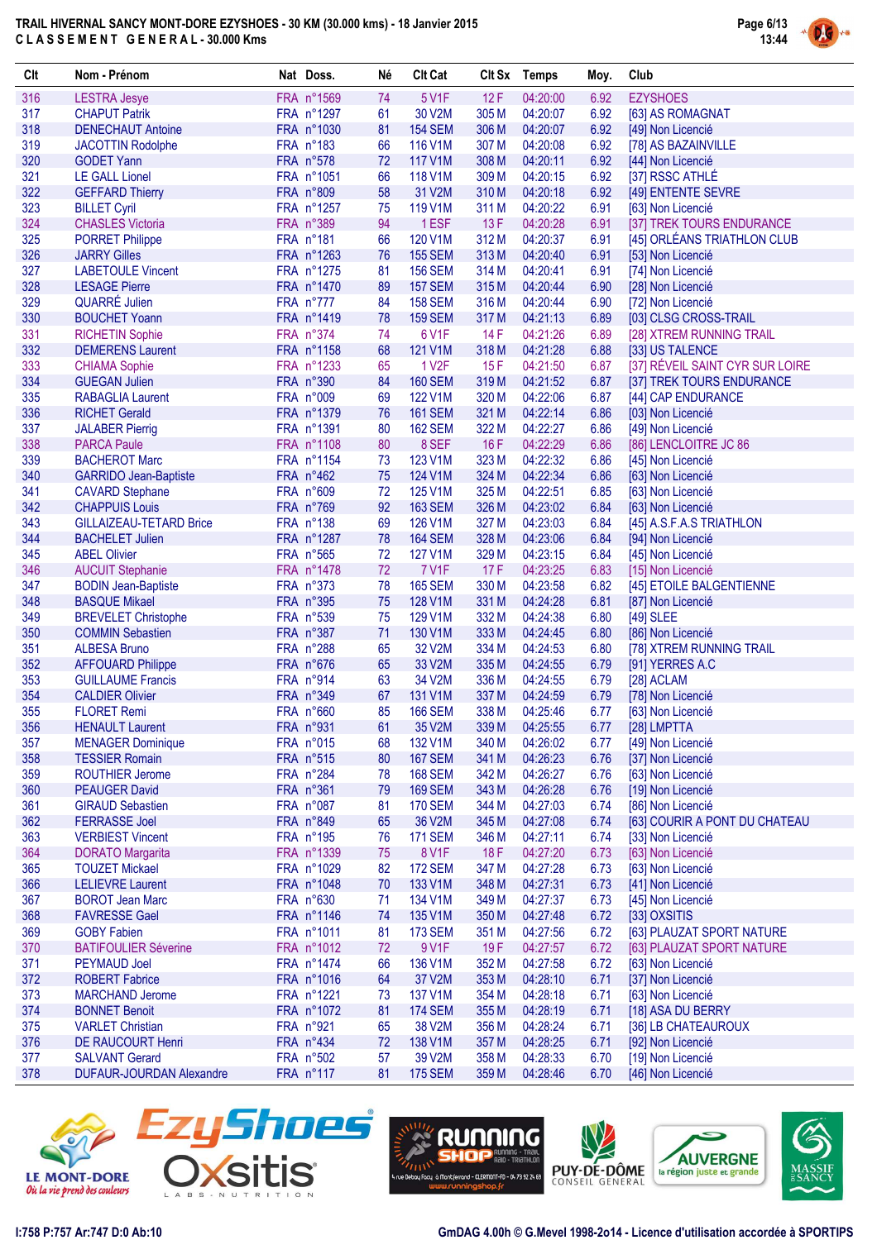

| Clt        | Nom - Prénom                                             | Nat Doss.               | Né       | <b>Clt Cat</b>            |                | CIt Sx Temps         | Moy.         | Club                                   |
|------------|----------------------------------------------------------|-------------------------|----------|---------------------------|----------------|----------------------|--------------|----------------------------------------|
| 316        | <b>LESTRA Jesye</b>                                      | FRA n°1569              | 74       | 5 V1F                     | 12F            | 04:20:00             | 6.92         | <b>EZYSHOES</b>                        |
| 317        | <b>CHAPUT Patrik</b>                                     | FRA n°1297              | 61       | 30 V2M                    | 305 M          | 04:20:07             | 6.92         | [63] AS ROMAGNAT                       |
| 318        | <b>DENECHAUT Antoine</b>                                 | FRA n°1030              | 81       | <b>154 SEM</b>            | 306 M          | 04:20:07             | 6.92         | [49] Non Licencié                      |
| 319        | <b>JACOTTIN Rodolphe</b>                                 | FRA n°183               | 66       | 116 V1M                   | 307 M          | 04:20:08             | 6.92         | [78] AS BAZAINVILLE                    |
| 320        | <b>GODET Yann</b>                                        | FRA n°578               | 72       | 117 V1M                   | 308 M          | 04:20:11             | 6.92         | [44] Non Licencié                      |
| 321        | <b>LE GALL Lionel</b>                                    | FRA n°1051              | 66       | 118 V1M                   | 309 M          | 04:20:15             | 6.92         | [37] RSSC ATHLÉ                        |
| 322        | <b>GEFFARD Thierry</b>                                   | FRA n°809               | 58       | 31 V2M                    | 310 M          | 04:20:18             | 6.92         | [49] ENTENTE SEVRE                     |
| 323        | <b>BILLET Cyril</b>                                      | FRA n°1257              | 75       | 119 V1M                   | 311 M          | 04:20:22             | 6.91         | [63] Non Licencié                      |
| 324        | <b>CHASLES Victoria</b>                                  | FRA n°389               | 94       | 1ESF                      | 13F            | 04:20:28             | 6.91         | [37] TREK TOURS ENDURANCE              |
| 325        | <b>PORRET Philippe</b>                                   | FRA n°181               | 66       | 120 V1M                   | 312 M          | 04:20:37             | 6.91         | [45] ORLÉANS TRIATHLON CLUB            |
| 326        | <b>JARRY Gilles</b>                                      | FRA n°1263              | 76       | <b>155 SEM</b>            | 313 M          | 04:20:40             | 6.91         | [53] Non Licencié                      |
| 327        | <b>LABETOULE Vincent</b>                                 | FRA n°1275              | 81       | <b>156 SEM</b>            | 314 M          | 04:20:41             | 6.91         | [74] Non Licencié                      |
| 328        | <b>LESAGE Pierre</b>                                     | FRA n°1470              | 89       | <b>157 SEM</b>            | 315 M          | 04:20:44             | 6.90         | [28] Non Licencié                      |
| 329        | <b>QUARRÉ Julien</b>                                     | FRA n°777               | 84       | <b>158 SEM</b>            | 316 M          | 04:20:44             | 6.90         | [72] Non Licencié                      |
| 330        | <b>BOUCHET Yoann</b>                                     | FRA n°1419              | 78       | <b>159 SEM</b>            | 317 M          | 04:21:13             | 6.89         | [03] CLSG CROSS-TRAIL                  |
| 331        | <b>RICHETIN Sophie</b>                                   | FRA n°374               | 74       | 6 V1F                     | 14F            | 04:21:26             | 6.89         | [28] XTREM RUNNING TRAIL               |
| 332        | <b>DEMERENS Laurent</b>                                  | FRA n°1158              | 68       | 121 V1M                   | 318 M          | 04:21:28             | 6.88         | [33] US TALENCE                        |
| 333        | <b>CHIAMA Sophie</b>                                     | FRA n°1233              | 65       | 1 V <sub>2</sub> F        | 15F            | 04:21:50             | 6.87         | [37] RÉVEIL SAINT CYR SUR LOIRE        |
| 334        | <b>GUEGAN Julien</b>                                     | FRA n°390               | 84       | <b>160 SEM</b>            | 319 M          | 04:21:52             | 6.87         | [37] TREK TOURS ENDURANCE              |
| 335        | <b>RABAGLIA Laurent</b>                                  | FRA n°009               | 69       | 122 V1M                   | 320 M          | 04:22:06             | 6.87         | [44] CAP ENDURANCE                     |
| 336        | <b>RICHET Gerald</b>                                     | FRA n°1379              | 76       | <b>161 SEM</b>            | 321 M          | 04:22:14             | 6.86         | [03] Non Licencié                      |
| 337        | <b>JALABER Pierrig</b>                                   | FRA n°1391              | 80       | <b>162 SEM</b>            | 322 M          | 04:22:27             | 6.86         | [49] Non Licencié                      |
| 338        | <b>PARCA Paule</b>                                       | FRA n°1108              | 80       | 8 SEF                     | 16F            | 04:22:29             | 6.86         | [86] LENCLOITRE JC 86                  |
| 339        | <b>BACHEROT Marc</b>                                     | FRA n°1154              | 73       | 123 V1M                   | 323 M          | 04:22:32             | 6.86         | [45] Non Licencié                      |
| 340        | <b>GARRIDO Jean-Baptiste</b>                             | FRA n°462               | 75       | 124 V1M                   | 324 M          | 04:22:34             | 6.86         | [63] Non Licencié                      |
| 341<br>342 | <b>CAVARD Stephane</b>                                   | FRA n°609               | 72<br>92 | 125 V1M                   | 325 M<br>326 M | 04:22:51             | 6.85         | [63] Non Licencié                      |
|            | <b>CHAPPUIS Louis</b>                                    | FRA n°769               |          | <b>163 SEM</b>            |                | 04:23:02             | 6.84         | [63] Non Licencié                      |
| 343<br>344 | <b>GILLAIZEAU-TETARD Brice</b><br><b>BACHELET Julien</b> | FRA n°138<br>FRA n°1287 | 69<br>78 | 126 V1M<br><b>164 SEM</b> | 327 M<br>328 M | 04:23:03<br>04:23:06 | 6.84<br>6.84 | [45] A.S.F.A.S TRIATHLON               |
| 345        | <b>ABEL Olivier</b>                                      | FRA n°565               | 72       | 127 V1M                   | 329 M          | 04:23:15             | 6.84         | [94] Non Licencié                      |
| 346        | <b>AUCUIT Stephanie</b>                                  | FRA n°1478              | 72       | 7 V1F                     | 17F            | 04:23:25             | 6.83         | [45] Non Licencié<br>[15] Non Licencié |
| 347        | <b>BODIN Jean-Baptiste</b>                               | FRA n°373               | 78       | <b>165 SEM</b>            | 330 M          | 04:23:58             | 6.82         | [45] ETOILE BALGENTIENNE               |
| 348        | <b>BASQUE Mikael</b>                                     | FRA n°395               | 75       | 128 V1M                   | 331 M          | 04:24:28             | 6.81         | [87] Non Licencié                      |
| 349        | <b>BREVELET Christophe</b>                               | FRA n°539               | 75       | 129 V1M                   | 332 M          | 04:24:38             | 6.80         | $[49]$ SLEE                            |
| 350        | <b>COMMIN Sebastien</b>                                  | FRA n°387               | 71       | 130 V1M                   | 333 M          | 04:24:45             | 6.80         | [86] Non Licencié                      |
| 351        | <b>ALBESA Bruno</b>                                      | FRA n°288               | 65       | 32 V2M                    | 334 M          | 04:24:53             | 6.80         | [78] XTREM RUNNING TRAIL               |
| 352        | <b>AFFOUARD Philippe</b>                                 | FRA n°676               | 65       | 33 V2M                    | 335 M          | 04:24:55             | 6.79         | [91] YERRES A.C                        |
| 353        | <b>GUILLAUME Francis</b>                                 | FRA n°914               | 63       | 34 V2M                    | 336 M          | 04:24:55             | 6.79         | [28] ACLAM                             |
| 354        | <b>CALDIER Olivier</b>                                   | FRA n°349               | 67       | 131 V1M                   | 337 M          | 04:24:59             | 6.79         | [78] Non Licencié                      |
| 355        | <b>FLORET Remi</b>                                       | FRA n°660               | 85       | <b>166 SEM</b>            | 338 M          | 04:25:46             | 6.77         | [63] Non Licencié                      |
| 356        | <b>HENAULT Laurent</b>                                   | FRA n°931               | 61       | 35 V2M                    |                | 339 M 04:25:55       |              | 6.77 [28] LMPTTA                       |
| 357        | <b>MENAGER Dominique</b>                                 | FRA n°015               | 68       | 132 V1M                   | 340 M          | 04:26:02             | 6.77         | [49] Non Licencié                      |
| 358        | <b>TESSIER Romain</b>                                    | FRA n°515               | 80       | <b>167 SEM</b>            | 341 M          | 04:26:23             | 6.76         | [37] Non Licencié                      |
| 359        | <b>ROUTHIER Jerome</b>                                   | FRA n°284               | 78       | <b>168 SEM</b>            | 342 M          | 04:26:27             | 6.76         | [63] Non Licencié                      |
| 360        | <b>PEAUGER David</b>                                     | FRA n°361               | 79       | <b>169 SEM</b>            | 343 M          | 04:26:28             | 6.76         | [19] Non Licencié                      |
| 361        | <b>GIRAUD Sebastien</b>                                  | FRA n°087               | 81       | <b>170 SEM</b>            | 344 M          | 04:27:03             | 6.74         | [86] Non Licencié                      |
| 362        | <b>FERRASSE Joel</b>                                     | FRA n°849               | 65       | 36 V2M                    | 345 M          | 04:27:08             | 6.74         | [63] COURIR A PONT DU CHATEAU          |
| 363        | <b>VERBIEST Vincent</b>                                  | FRA n°195               | 76       | <b>171 SEM</b>            | 346 M          | 04:27:11             | 6.74         | [33] Non Licencié                      |
| 364        | <b>DORATO Margarita</b>                                  | FRA n°1339              | 75       | 8 V1F                     | 18F            | 04:27:20             | 6.73         | [63] Non Licencié                      |
| 365        | <b>TOUZET Mickael</b>                                    | FRA n°1029              | 82       | <b>172 SEM</b>            | 347 M          | 04:27:28             | 6.73         | [63] Non Licencié                      |
| 366        | <b>LELIEVRE Laurent</b>                                  | FRA n°1048              | 70       | 133 V1M                   | 348 M          | 04:27:31             | 6.73         | [41] Non Licencié                      |
| 367        | <b>BOROT Jean Marc</b>                                   | FRA n°630               | 71       | 134 V1M                   | 349 M          | 04:27:37             | 6.73         | [45] Non Licencié                      |
| 368        | <b>FAVRESSE Gael</b>                                     | FRA n°1146              | 74       | 135 V1M                   | 350 M          | 04:27:48             | 6.72         | [33] OXSITIS                           |
| 369        | <b>GOBY Fabien</b>                                       | FRA n°1011              | 81       | <b>173 SEM</b>            | 351 M          | 04:27:56             | 6.72         | [63] PLAUZAT SPORT NATURE              |
| 370        | <b>BATIFOULIER Séverine</b>                              | FRA n°1012              | 72       | 9 V1F                     | 19F            | 04:27:57             | 6.72         | [63] PLAUZAT SPORT NATURE              |
| 371        | <b>PEYMAUD Joel</b>                                      | FRA n°1474              | 66       | 136 V1M                   | 352 M          | 04:27:58             | 6.72         | [63] Non Licencié                      |
| 372        | <b>ROBERT Fabrice</b>                                    | FRA n°1016              | 64       | 37 V2M                    | 353 M          | 04:28:10             | 6.71         | [37] Non Licencié                      |
| 373        | <b>MARCHAND Jerome</b>                                   | FRA n°1221              | 73       | 137 V1M                   | 354 M          | 04:28:18             | 6.71         | [63] Non Licencié                      |
| 374        | <b>BONNET Benoit</b>                                     | FRA n°1072              | 81       | <b>174 SEM</b>            | 355 M          | 04:28:19             | 6.71         | [18] ASA DU BERRY                      |
| 375        | <b>VARLET Christian</b>                                  | FRA n°921               | 65       | 38 V2M                    | 356 M          | 04:28:24             | 6.71         | [36] LB CHATEAUROUX                    |
| 376        | <b>DE RAUCOURT Henri</b>                                 | FRA n°434               | 72       | 138 V1M                   | 357 M          | 04:28:25             | 6.71         | [92] Non Licencié                      |
| 377        | <b>SALVANT Gerard</b>                                    | FRA n°502               | 57       | 39 V2M                    | 358 M          | 04:28:33             | 6.70         | [19] Non Licencié                      |
| 378        | <b>DUFAUR-JOURDAN Alexandre</b>                          | FRA n°117               | 81       | <b>175 SEM</b>            | 359 M          | 04:28:46             | 6.70         | [46] Non Licencié                      |









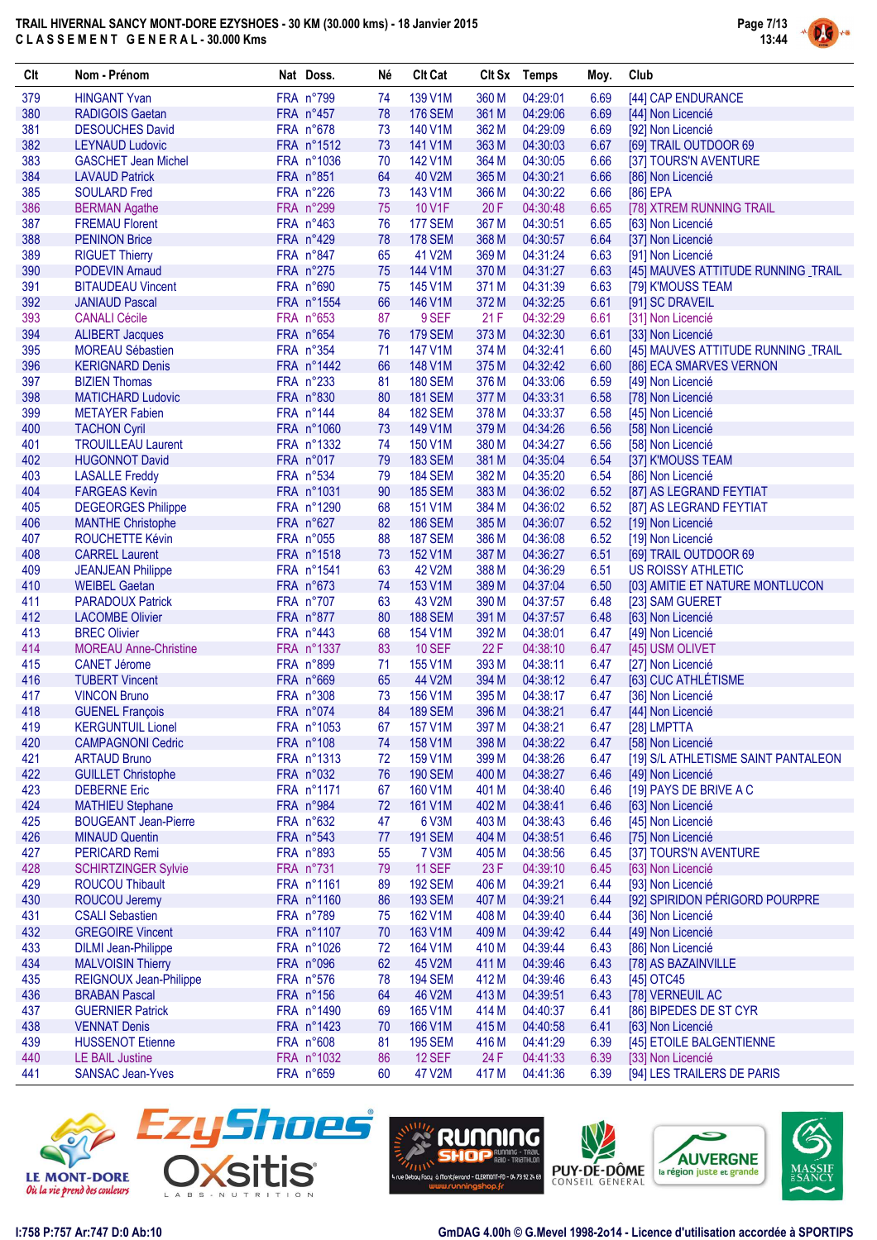

| Clt        | Nom - Prénom                                     | Nat Doss.              | Né       | <b>Clt Cat</b>    |                | Clt Sx Temps         | Moy.         | Club                                        |
|------------|--------------------------------------------------|------------------------|----------|-------------------|----------------|----------------------|--------------|---------------------------------------------|
| 379        | <b>HINGANT Yvan</b>                              | FRA n°799              | 74       | 139 V1M           | 360 M          | 04:29:01             | 6.69         | [44] CAP ENDURANCE                          |
| 380        | <b>RADIGOIS Gaetan</b>                           | FRA n°457              | 78       | <b>176 SEM</b>    | 361 M          | 04:29:06             | 6.69         | [44] Non Licencié                           |
| 381        | <b>DESOUCHES David</b>                           | FRA n°678              | 73       | 140 V1M           | 362 M          | 04:29:09             | 6.69         | [92] Non Licencié                           |
| 382        | <b>LEYNAUD Ludovic</b>                           | FRA n°1512             | 73       | 141 V1M           | 363 M          | 04:30:03             | 6.67         | [69] TRAIL OUTDOOR 69                       |
| 383        | <b>GASCHET Jean Michel</b>                       | FRA n°1036             | 70       | 142 V1M           | 364 M          | 04:30:05             | 6.66         | [37] TOURS'N AVENTURE                       |
| 384        | <b>LAVAUD Patrick</b>                            | FRA n°851              | 64       | 40 V2M            | 365 M          | 04:30:21             | 6.66         | [86] Non Licencié                           |
| 385        | <b>SOULARD Fred</b>                              | FRA n°226              | 73       | 143 V1M           | 366 M          | 04:30:22             | 6.66         | $[86]$ EPA                                  |
| 386        | <b>BERMAN Agathe</b>                             | FRA n°299              | 75       | 10 V1F            | 20F            | 04:30:48             | 6.65         | [78] XTREM RUNNING TRAIL                    |
| 387        | <b>FREMAU Florent</b>                            | FRA n°463              | 76       | <b>177 SEM</b>    | 367 M          | 04:30:51             | 6.65         | [63] Non Licencié                           |
| 388        | <b>PENINON Brice</b>                             | FRA n°429              | 78       | <b>178 SEM</b>    | 368 M          | 04:30:57             | 6.64         | [37] Non Licencié                           |
| 389        | <b>RIGUET Thierry</b>                            | FRA n°847              | 65       | 41 V2M            | 369 M          | 04:31:24             | 6.63         | [91] Non Licencié                           |
| 390        | <b>PODEVIN Arnaud</b>                            | FRA n°275              | 75       | 144 V1M           | 370 M          | 04:31:27             | 6.63         | [45] MAUVES ATTITUDE RUNNING _TRAIL         |
| 391        | <b>BITAUDEAU Vincent</b>                         | FRA n°690              | 75       | 145 V1M           | 371 M          | 04:31:39             | 6.63         | [79] K'MOUSS TEAM                           |
| 392        | <b>JANIAUD Pascal</b>                            | FRA n°1554             | 66       | 146 V1M           | 372 M          | 04:32:25             | 6.61         | [91] SC DRAVEIL                             |
| 393        | <b>CANALI Cécile</b>                             | FRA n°653              | 87       | 9 SEF             | 21F            | 04:32:29             | 6.61         | [31] Non Licencié                           |
| 394        | <b>ALIBERT Jacques</b>                           | FRA n°654              | 76       | <b>179 SEM</b>    | 373 M          | 04:32:30             | 6.61         | [33] Non Licencié                           |
| 395        | <b>MOREAU Sébastien</b>                          | FRA n°354              | 71       | 147 V1M           | 374 M          | 04:32:41             | 6.60         | [45] MAUVES ATTITUDE RUNNING _TRAIL         |
| 396        | <b>KERIGNARD Denis</b>                           | FRA n°1442             | 66       | 148 V1M           | 375 M          | 04:32:42             | 6.60         | [86] ECA SMARVES VERNON                     |
| 397        | <b>BIZIEN Thomas</b>                             | FRA n°233              | 81       | <b>180 SEM</b>    | 376 M          | 04:33:06             | 6.59         | [49] Non Licencié                           |
| 398        | <b>MATICHARD Ludovic</b>                         | FRA n°830              | 80       | <b>181 SEM</b>    | 377 M          | 04:33:31             | 6.58         | [78] Non Licencié                           |
| 399        | <b>METAYER Fabien</b>                            | FRA n°144              | 84       | <b>182 SEM</b>    | 378 M          | 04:33:37             | 6.58         | [45] Non Licencié                           |
| 400        | <b>TACHON Cyril</b>                              | FRA n°1060             | 73       | 149 V1M           | 379 M          | 04:34:26             | 6.56         | [58] Non Licencié                           |
| 401        | <b>TROUILLEAU Laurent</b>                        | FRA n°1332             | 74       | 150 V1M           | 380 M          | 04:34:27             | 6.56         | [58] Non Licencié                           |
| 402        | <b>HUGONNOT David</b>                            | FRA n°017              | 79       | <b>183 SEM</b>    | 381 M          | 04:35:04             | 6.54         | [37] K'MOUSS TEAM                           |
| 403        | <b>LASALLE Freddy</b>                            | FRA n°534              | 79       | <b>184 SEM</b>    | 382 M          | 04:35:20             | 6.54         | [86] Non Licencié                           |
| 404        | <b>FARGEAS Kevin</b>                             | FRA n°1031             | 90       | <b>185 SEM</b>    | 383 M          | 04:36:02             | 6.52         | [87] AS LEGRAND FEYTIAT                     |
| 405        | <b>DEGEORGES Philippe</b>                        | FRA n°1290             | 68       | 151 V1M           | 384 M          | 04:36:02             | 6.52         | [87] AS LEGRAND FEYTIAT                     |
| 406        | <b>MANTHE Christophe</b>                         | FRA n°627<br>FRA n°055 | 82<br>88 | <b>186 SEM</b>    | 385 M          | 04:36:07             | 6.52         | [19] Non Licencié                           |
| 407<br>408 | <b>ROUCHETTE Kévin</b>                           | FRA n°1518             | 73       | <b>187 SEM</b>    | 386 M          | 04:36:08             | 6.52         | [19] Non Licencié                           |
| 409        | <b>CARREL Laurent</b>                            | FRA n°1541             | 63       | 152 V1M<br>42 V2M | 387 M<br>388 M | 04:36:27<br>04:36:29 | 6.51<br>6.51 | [69] TRAIL OUTDOOR 69<br>US ROISSY ATHLETIC |
| 410        | <b>JEANJEAN Philippe</b><br><b>WEIBEL Gaetan</b> | FRA n°673              | 74       | 153 V1M           | 389 M          | 04:37:04             | 6.50         | [03] AMITIE ET NATURE MONTLUCON             |
| 411        | <b>PARADOUX Patrick</b>                          | FRA n°707              | 63       | 43 V2M            | 390 M          | 04:37:57             | 6.48         | [23] SAM GUERET                             |
| 412        | <b>LACOMBE Olivier</b>                           | FRA n°877              | 80       | <b>188 SEM</b>    | 391 M          | 04:37:57             | 6.48         | [63] Non Licencié                           |
| 413        | <b>BREC Olivier</b>                              | FRA n°443              | 68       | 154 V1M           | 392 M          | 04:38:01             | 6.47         | [49] Non Licencié                           |
| 414        | <b>MOREAU Anne-Christine</b>                     | FRA n°1337             | 83       | <b>10 SEF</b>     | 22F            | 04:38:10             | 6.47         | [45] USM OLIVET                             |
| 415        | <b>CANET Jérome</b>                              | FRA n°899              | 71       | 155 V1M           | 393 M          | 04:38:11             | 6.47         | [27] Non Licencié                           |
| 416        | <b>TUBERT Vincent</b>                            | FRA n°669              | 65       | 44 V2M            | 394 M          | 04:38:12             | 6.47         | [63] CUC ATHLÉTISME                         |
| 417        | <b>VINCON Bruno</b>                              | FRA n°308              | 73       | 156 V1M           | 395 M          | 04:38:17             | 6.47         | [36] Non Licencié                           |
| 418        | <b>GUENEL François</b>                           | FRA n°074              | 84       | <b>189 SEM</b>    | 396 M          | 04:38:21             | 6.47         | [44] Non Licencié                           |
| 419        | <b>KERGUNTUIL Lionel</b>                         | FRA n°1053             | 67       | <b>157 V1M</b>    | 397 M          | 04:38:21             | 6.47         | [28] LMPTTA                                 |
| 420        | <b>CAMPAGNONI Cedric</b>                         | FRA n°108              | 74       | 158 V1M           | 398 M          | 04:38:22             | 6.47         | [58] Non Licencié                           |
| 421        | <b>ARTAUD Bruno</b>                              | FRA n°1313             | 72       | 159 V1M           | 399 M          | 04:38:26             | 6.47         | [19] S/L ATHLETISME SAINT PANTALEON         |
| 422        | <b>GUILLET Christophe</b>                        | FRA n°032              | 76       | <b>190 SEM</b>    | 400 M          | 04:38:27             | 6.46         | [49] Non Licencié                           |
| 423        | <b>DEBERNE Eric</b>                              | FRA n°1171             | 67       | 160 V1M           | 401 M          | 04:38:40             | 6.46         | [19] PAYS DE BRIVE A C                      |
| 424        | <b>MATHIEU Stephane</b>                          | FRA n°984              | 72       | 161 V1M           | 402 M          | 04:38:41             | 6.46         | [63] Non Licencié                           |
| 425        | <b>BOUGEANT Jean-Pierre</b>                      | FRA n°632              | 47       | 6 V3M             | 403 M          | 04:38:43             | 6.46         | [45] Non Licencié                           |
| 426        | <b>MINAUD Quentin</b>                            | FRA n°543              | 77       | <b>191 SEM</b>    | 404 M          | 04:38:51             | 6.46         | [75] Non Licencié                           |
| 427        | <b>PERICARD Remi</b>                             | FRA n°893              | 55       | 7 V3M             | 405 M          | 04:38:56             | 6.45         | [37] TOURS'N AVENTURE                       |
| 428        | <b>SCHIRTZINGER Sylvie</b>                       | FRA n°731              | 79       | <b>11 SEF</b>     | 23 F           | 04:39:10             | 6.45         | [63] Non Licencié                           |
| 429        | ROUCOU Thibault                                  | FRA n°1161             | 89       | <b>192 SEM</b>    | 406 M          | 04:39:21             | 6.44         | [93] Non Licencié                           |
| 430        | ROUCOU Jeremy                                    | FRA n°1160             | 86       | <b>193 SEM</b>    | 407 M          | 04:39:21             | 6.44         | [92] SPIRIDON PÉRIGORD POURPRE              |
| 431        | <b>CSALI Sebastien</b>                           | FRA n°789              | 75       | 162 V1M           | 408 M          | 04:39:40             | 6.44         | [36] Non Licencié                           |
| 432        | <b>GREGOIRE Vincent</b>                          | FRA n°1107             | 70       | 163 V1M           | 409 M          | 04:39:42             | 6.44         | [49] Non Licencié                           |
| 433        | <b>DILMI Jean-Philippe</b>                       | FRA n°1026             | 72       | 164 V1M           | 410 M          | 04:39:44             | 6.43         | [86] Non Licencié                           |
| 434        | <b>MALVOISIN Thierry</b>                         | FRA n°096              | 62       | 45 V2M            | 411 M          | 04:39:46             | 6.43         | [78] AS BAZAINVILLE                         |
| 435        | REIGNOUX Jean-Philippe                           | FRA n°576              | 78       | <b>194 SEM</b>    | 412 M          | 04:39:46             | 6.43         | [45] OTC45                                  |
| 436        | <b>BRABAN Pascal</b>                             | FRA n°156              | 64       | 46 V2M            | 413 M          | 04:39:51             | 6.43         | [78] VERNEUIL AC                            |
| 437        | <b>GUERNIER Patrick</b>                          | FRA n°1490             | 69       | 165 V1M           | 414 M          | 04:40:37             | 6.41         | [86] BIPEDES DE ST CYR                      |
| 438        | <b>VENNAT Denis</b>                              | FRA n°1423             | 70       | 166 V1M           | 415 M          | 04:40:58             | 6.41         | [63] Non Licencié                           |
| 439        | <b>HUSSENOT Etienne</b>                          | FRA n°608              | 81       | <b>195 SEM</b>    | 416 M          | 04:41:29             | 6.39         | [45] ETOILE BALGENTIENNE                    |
| 440        | <b>LE BAIL Justine</b>                           | FRA n°1032             | 86       | <b>12 SEF</b>     | 24 F           | 04:41:33             | 6.39         | [33] Non Licencié                           |
| 441        | <b>SANSAC Jean-Yves</b>                          | FRA n°659              | 60       | 47 V2M            | 417 M          | 04:41:36             | 6.39         | [94] LES TRAILERS DE PARIS                  |









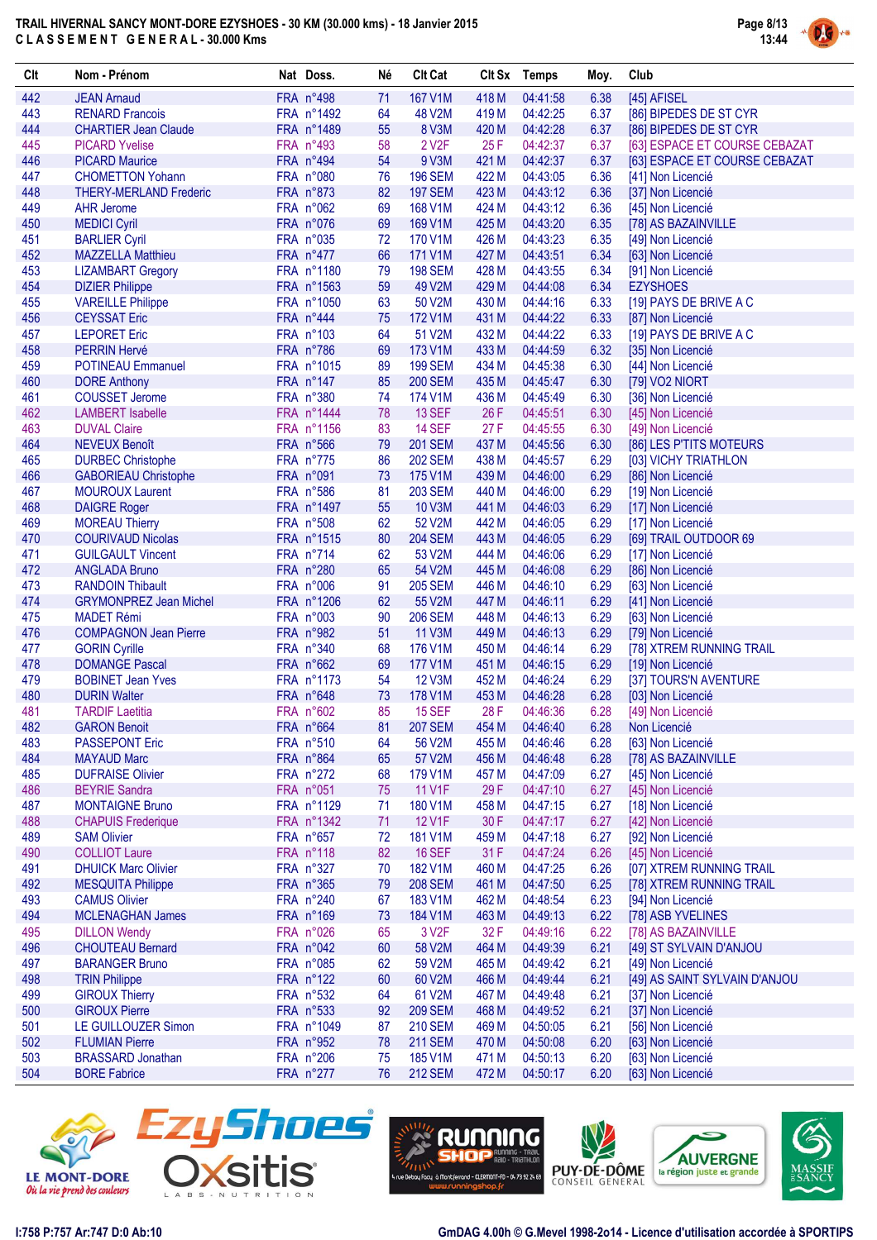

| Clt        | Nom - Prénom                                       | Nat Doss.                | Né       | <b>Clt Cat</b>           |                | Clt Sx Temps         | Moy.         | Club                                          |
|------------|----------------------------------------------------|--------------------------|----------|--------------------------|----------------|----------------------|--------------|-----------------------------------------------|
| 442        | <b>JEAN Arnaud</b>                                 | FRA n°498                | 71       | 167 V1M                  | 418 M          | 04:41:58             | 6.38         | [45] AFISEL                                   |
| 443        | <b>RENARD Francois</b>                             | FRA n°1492               | 64       | 48 V2M                   | 419 M          | 04:42:25             | 6.37         | [86] BIPEDES DE ST CYR                        |
| 444        | <b>CHARTIER Jean Claude</b>                        | FRA n°1489               | 55       | 8 V3M                    | 420 M          | 04:42:28             | 6.37         | [86] BIPEDES DE ST CYR                        |
| 445        | <b>PICARD Yvelise</b>                              | FRA n°493                | 58       | 2 V <sub>2</sub> F       | 25F            | 04:42:37             | 6.37         | [63] ESPACE ET COURSE CEBAZAT                 |
| 446        | <b>PICARD Maurice</b>                              | FRA n°494                | 54       | 9 V3M                    | 421 M          | 04:42:37             | 6.37         | [63] ESPACE ET COURSE CEBAZAT                 |
| 447        | <b>CHOMETTON Yohann</b>                            | FRA n°080                | 76       | <b>196 SEM</b>           | 422 M          | 04:43:05             | 6.36         | [41] Non Licencié                             |
| 448        | <b>THERY-MERLAND Frederic</b>                      | FRA n°873                | 82       | <b>197 SEM</b>           | 423 M          | 04:43:12             | 6.36         | [37] Non Licencié                             |
| 449        | <b>AHR Jerome</b>                                  | FRA n°062                | 69       | 168 V1M                  | 424 M          | 04:43:12             | 6.36         | [45] Non Licencié                             |
| 450        | <b>MEDICI Cyril</b>                                | FRA n°076                | 69       | 169 V1M                  | 425 M          | 04:43:20             | 6.35         | [78] AS BAZAINVILLE                           |
| 451        | <b>BARLIER Cyril</b>                               | FRA n°035                | 72       | 170 V1M                  | 426 M          | 04:43:23             | 6.35         | [49] Non Licencié                             |
| 452<br>453 | <b>MAZZELLA Matthieu</b>                           | FRA n°477                | 66       | 171 V1M                  | 427 M          | 04:43:51             | 6.34         | [63] Non Licencié                             |
| 454        | <b>LIZAMBART Gregory</b><br><b>DIZIER Philippe</b> | FRA n°1180<br>FRA n°1563 | 79<br>59 | <b>198 SEM</b><br>49 V2M | 428 M<br>429 M | 04:43:55<br>04:44:08 | 6.34<br>6.34 | [91] Non Licencié<br><b>EZYSHOES</b>          |
| 455        | <b>VAREILLE Philippe</b>                           | FRA n°1050               | 63       | 50 V2M                   | 430 M          | 04:44:16             | 6.33         | [19] PAYS DE BRIVE A C                        |
| 456        | <b>CEYSSAT Eric</b>                                | FRA n°444                | 75       | 172 V1M                  | 431 M          | 04:44:22             | 6.33         | [87] Non Licencié                             |
| 457        | <b>LEPORET Eric</b>                                | FRA n°103                | 64       | 51 V2M                   | 432 M          | 04:44:22             | 6.33         | [19] PAYS DE BRIVE A C                        |
| 458        | <b>PERRIN Hervé</b>                                | FRA n°786                | 69       | 173 V1M                  | 433 M          | 04:44:59             | 6.32         | [35] Non Licencié                             |
| 459        | <b>POTINEAU Emmanuel</b>                           | FRA n°1015               | 89       | <b>199 SEM</b>           | 434 M          | 04:45:38             | 6.30         | [44] Non Licencié                             |
| 460        | <b>DORE Anthony</b>                                | FRA n°147                | 85       | <b>200 SEM</b>           | 435 M          | 04:45:47             | 6.30         | [79] VO2 NIORT                                |
| 461        | <b>COUSSET Jerome</b>                              | FRA n°380                | 74       | 174 V1M                  | 436 M          | 04:45:49             | 6.30         | [36] Non Licencié                             |
| 462        | <b>LAMBERT</b> Isabelle                            | FRA n°1444               | 78       | <b>13 SEF</b>            | 26 F           | 04:45:51             | 6.30         | [45] Non Licencié                             |
| 463        | <b>DUVAL Claire</b>                                | FRA n°1156               | 83       | <b>14 SEF</b>            | 27F            | 04:45:55             | 6.30         | [49] Non Licencié                             |
| 464        | <b>NEVEUX Benoît</b>                               | FRA n°566                | 79       | <b>201 SEM</b>           | 437 M          | 04:45:56             | 6.30         | [86] LES P'TITS MOTEURS                       |
| 465        | <b>DURBEC Christophe</b>                           | FRA n°775                | 86       | <b>202 SEM</b>           | 438 M          | 04:45:57             | 6.29         | [03] VICHY TRIATHLON                          |
| 466        | <b>GABORIEAU Christophe</b>                        | FRA n°091                | 73       | 175 V1M                  | 439 M          | 04:46:00             | 6.29         | [86] Non Licencié                             |
| 467        | <b>MOUROUX Laurent</b>                             | FRA n°586                | 81       | <b>203 SEM</b>           | 440 M          | 04:46:00             | 6.29         | [19] Non Licencié                             |
| 468        | <b>DAIGRE Roger</b>                                | FRA n°1497               | 55       | <b>10 V3M</b>            | 441 M          | 04:46:03             | 6.29         | [17] Non Licencié                             |
| 469        | <b>MOREAU Thierry</b>                              | FRA n°508                | 62       | 52 V2M                   | 442 M          | 04:46:05             | 6.29         | [17] Non Licencié                             |
| 470        | <b>COURIVAUD Nicolas</b>                           | FRA n°1515               | 80       | <b>204 SEM</b>           | 443 M          | 04:46:05             | 6.29         | [69] TRAIL OUTDOOR 69                         |
| 471        | <b>GUILGAULT Vincent</b>                           | FRA n°714                | 62       | 53 V2M                   | 444 M          | 04:46:06             | 6.29         | [17] Non Licencié                             |
| 472<br>473 | <b>ANGLADA Bruno</b><br><b>RANDOIN Thibault</b>    | FRA n°280<br>FRA n°006   | 65<br>91 | 54 V2M<br><b>205 SEM</b> | 445 M<br>446 M | 04:46:08<br>04:46:10 | 6.29<br>6.29 | [86] Non Licencié<br>[63] Non Licencié        |
| 474        | <b>GRYMONPREZ Jean Michel</b>                      | FRA n°1206               | 62       | 55 V2M                   | 447 M          | 04:46:11             | 6.29         | [41] Non Licencié                             |
| 475        | <b>MADET Rémi</b>                                  | FRA n°003                | 90       | <b>206 SEM</b>           | 448 M          | 04:46:13             | 6.29         | [63] Non Licencié                             |
| 476        | <b>COMPAGNON Jean Pierre</b>                       | FRA n°982                | 51       | 11 V3M                   | 449 M          | 04:46:13             | 6.29         | [79] Non Licencié                             |
| 477        | <b>GORIN Cyrille</b>                               | FRA n°340                | 68       | 176 V1M                  | 450 M          | 04:46:14             | 6.29         | [78] XTREM RUNNING TRAIL                      |
| 478        | <b>DOMANGE Pascal</b>                              | FRA n°662                | 69       | 177 V1M                  | 451 M          | 04:46:15             | 6.29         | [19] Non Licencié                             |
| 479        | <b>BOBINET Jean Yves</b>                           | FRA n°1173               | 54       | <b>12 V3M</b>            | 452 M          | 04:46:24             | 6.29         | [37] TOURS'N AVENTURE                         |
| 480        | <b>DURIN Walter</b>                                | FRA n°648                | 73       | 178 V1M                  | 453 M          | 04:46:28             | 6.28         | [03] Non Licencié                             |
| 481        | <b>TARDIF Laetitia</b>                             | FRA n°602                | 85       | <b>15 SEF</b>            | 28 F           | 04:46:36             | 6.28         | [49] Non Licencié                             |
| 482        | <b>GARON Benoit</b>                                | FRA n°664                | 81       | 207 SEM                  | 454 M          | 04:46:40             | 6.28         | Non Licencié                                  |
| 483        | <b>PASSEPONT Eric</b>                              | FRA n°510                | 64       | 56 V2M                   | 455 M          | 04:46:46             | 6.28         | [63] Non Licencié                             |
| 484        | <b>MAYAUD Marc</b>                                 | FRA n°864                | 65       | 57 V2M                   | 456 M          | 04:46:48             | 6.28         | [78] AS BAZAINVILLE                           |
| 485        | <b>DUFRAISE Olivier</b>                            | FRA n°272                | 68       | 179 V1M                  | 457 M          | 04:47:09             | 6.27         | [45] Non Licencié                             |
| 486        | <b>BEYRIE Sandra</b>                               | FRA n°051                | 75       | 11 V1F                   | 29F            | 04:47:10             | 6.27         | [45] Non Licencié                             |
| 487        | <b>MONTAIGNE Bruno</b>                             | FRA n°1129               | 71       | 180 V1M                  | 458 M          | 04:47:15             | 6.27         | [18] Non Licencié                             |
| 488        | <b>CHAPUIS Frederique</b>                          | FRA n°1342               | 71       | <b>12 V1F</b>            | 30 F           | 04:47:17             | 6.27         | [42] Non Licencié                             |
| 489<br>490 | <b>SAM Olivier</b><br><b>COLLIOT Laure</b>         | FRA n°657<br>FRA n°118   | 72<br>82 | 181 V1M<br><b>16 SEF</b> | 459 M<br>31F   | 04:47:18<br>04:47:24 | 6.27<br>6.26 | [92] Non Licencié                             |
| 491        | <b>DHUICK Marc Olivier</b>                         | FRA n°327                | 70       | 182 V1M                  | 460 M          | 04:47:25             | 6.26         | [45] Non Licencié<br>[07] XTREM RUNNING TRAIL |
| 492        | <b>MESQUITA Philippe</b>                           | FRA n°365                | 79       | <b>208 SEM</b>           | 461 M          | 04:47:50             | 6.25         | [78] XTREM RUNNING TRAIL                      |
| 493        | <b>CAMUS Olivier</b>                               | FRA n°240                | 67       | 183 V1M                  | 462 M          | 04:48:54             | 6.23         | [94] Non Licencié                             |
| 494        | MCLENAGHAN James                                   | FRA n°169                | 73       | 184 V1M                  | 463 M          | 04:49:13             | 6.22         | [78] ASB YVELINES                             |
| 495        | <b>DILLON Wendy</b>                                | FRA n°026                | 65       | 3 V <sub>2</sub> F       | 32 F           | 04:49:16             | 6.22         | [78] AS BAZAINVILLE                           |
| 496        | <b>CHOUTEAU Bernard</b>                            | FRA n°042                | 60       | 58 V2M                   | 464 M          | 04:49:39             | 6.21         | [49] ST SYLVAIN D'ANJOU                       |
| 497        | <b>BARANGER Bruno</b>                              | FRA n°085                | 62       | 59 V2M                   | 465 M          | 04:49:42             | 6.21         | [49] Non Licencié                             |
| 498        | <b>TRIN Philippe</b>                               | FRA n°122                | 60       | 60 V2M                   | 466 M          | 04:49:44             | 6.21         | [49] AS SAINT SYLVAIN D'ANJOU                 |
| 499        | <b>GIROUX Thierry</b>                              | FRA n°532                | 64       | 61 V2M                   | 467 M          | 04:49:48             | 6.21         | [37] Non Licencié                             |
| 500        | <b>GIROUX Pierre</b>                               | FRA n°533                | 92       | <b>209 SEM</b>           | 468 M          | 04:49:52             | 6.21         | [37] Non Licencié                             |
| 501        | LE GUILLOUZER Simon                                | FRA n°1049               | 87       | <b>210 SEM</b>           | 469 M          | 04:50:05             | 6.21         | [56] Non Licencié                             |
| 502        | <b>FLUMIAN Pierre</b>                              | FRA n°952                | 78       | <b>211 SEM</b>           | 470 M          | 04:50:08             | 6.20         | [63] Non Licencié                             |
| 503        | <b>BRASSARD Jonathan</b>                           | FRA n°206                | 75       | 185 V1M                  | 471 M          | 04:50:13             | 6.20         | [63] Non Licencié                             |
| 504        | <b>BORE Fabrice</b>                                | FRA n°277                | 76       | <b>212 SEM</b>           | 472 M          | 04:50:17             | 6.20         | [63] Non Licencié                             |









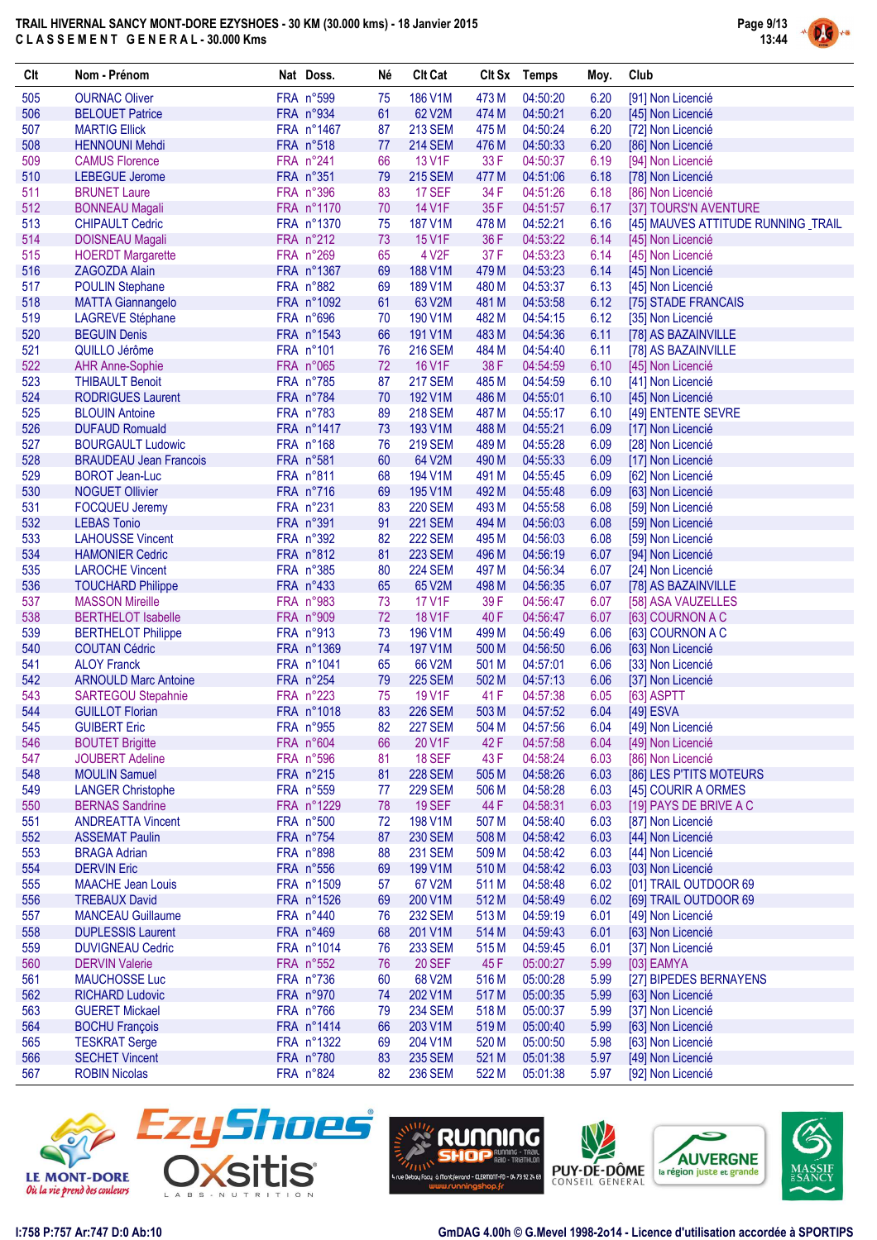

| FRA n°599<br>505<br><b>OURNAC Oliver</b><br>186 V1M<br>473 M<br>04:50:20<br>6.20<br>75<br>[91] Non Licencié<br>FRA n°934<br>506<br>61<br>62 V2M<br>474 M<br>04:50:21<br>6.20<br><b>BELOUET Patrice</b><br>[45] Non Licencié<br>507<br>FRA n°1467<br>6.20<br><b>MARTIG Ellick</b><br>87<br><b>213 SEM</b><br>475 M<br>04:50:24<br>[72] Non Licencié<br>508<br>FRA n°518<br>77<br><b>214 SEM</b><br>476 M<br>04:50:33<br>6.20<br><b>HENNOUNI Mehdi</b><br>[86] Non Licencié<br>FRA n°241<br>509<br>66<br>13 V1F<br>33 F<br>04:50:37<br>6.19<br><b>CAMUS Florence</b><br>[94] Non Licencié<br>510<br>FRA n°351<br><b>215 SEM</b><br>477 M<br>6.18<br><b>LEBEGUE Jerome</b><br>79<br>04:51:06<br>[78] Non Licencié<br>FRA n°396<br>34 F<br>511<br><b>BRUNET Laure</b><br>83<br><b>17 SEF</b><br>04:51:26<br>6.18<br>[86] Non Licencié<br>512<br>FRA n°1170<br>14 V1F<br>35F<br>70<br>04:51:57<br>6.17<br>[37] TOURS'N AVENTURE<br><b>BONNEAU Magali</b><br>513<br>FRA n°1370<br><b>CHIPAULT Cedric</b><br>75<br>187 V1M<br>478 M<br>04:52:21<br>6.16<br>[45] MAUVES ATTITUDE RUNNING _TRAIL<br>04:53:22<br>514<br>FRA n°212<br>73<br>15 V1F<br>36 F<br>6.14<br><b>DOISNEAU Magali</b><br>[45] Non Licencié<br>FRA n°269<br>37F<br>515<br>65<br>4 V <sub>2</sub> F<br>04:53:23<br>6.14<br><b>HOERDT Margarette</b><br>[45] Non Licencié<br>516<br>FRA n°1367<br>69<br>188 V1M<br>479 M<br>04:53:23<br><b>ZAGOZDA Alain</b><br>6.14<br>[45] Non Licencié<br>FRA n°882<br>517<br><b>POULIN Stephane</b><br>69<br>189 V1M<br>480 M<br>04:53:37<br>6.13<br>[45] Non Licencié<br>518<br>FRA n°1092<br>61<br>63 V2M<br>481 M<br>04:53:58<br>6.12<br>[75] STADE FRANCAIS<br><b>MATTA Giannangelo</b><br>519<br>FRA n°696<br>482 M<br>6.12<br><b>LAGREVE Stéphane</b><br>70<br>190 V1M<br>04:54:15<br>[35] Non Licencié<br>520<br>483 M<br><b>BEGUIN Denis</b><br>FRA n°1543<br>66<br>191 V1M<br>04:54:36<br>6.11<br>[78] AS BAZAINVILLE<br>FRA n°101<br>521<br>QUILLO Jérôme<br>76<br><b>216 SEM</b><br>484 M<br>04:54:40<br>6.11<br>[78] AS BAZAINVILLE<br>522<br>FRA n°065<br>72<br>16 V1F<br>38 F<br><b>AHR Anne-Sophie</b><br>04:54:59<br>6.10<br>[45] Non Licencié<br>523<br>FRA n°785<br>87<br><b>217 SEM</b><br>485 M<br>04:54:59<br>6.10<br><b>THIBAULT Benoit</b><br>[41] Non Licencié<br>524<br>FRA n°784<br><b>RODRIGUES Laurent</b><br>70<br>192 V1M<br>486 M<br>04:55:01<br>6.10<br>[45] Non Licencié<br>FRA n°783<br>525<br>89<br><b>218 SEM</b><br>487 M<br>04:55:17<br>6.10<br><b>BLOUIN Antoine</b><br>[49] ENTENTE SEVRE<br>526<br>FRA n°1417<br>73<br><b>DUFAUD Romuald</b><br>193 V1M<br>488 M<br>04:55:21<br>6.09<br>[17] Non Licencié<br>527<br>FRA n°168<br>76<br><b>219 SEM</b><br>489 M<br>04:55:28<br><b>BOURGAULT Ludowic</b><br>6.09<br>[28] Non Licencié<br>528<br>FRA n°581<br>60<br>64 V2M<br>490 M<br>04:55:33<br>6.09<br><b>BRAUDEAU Jean Francois</b><br>[17] Non Licencié<br>529<br>FRA n°811<br>68<br>194 V1M<br>491 M<br>04:55:45<br>6.09<br><b>BOROT Jean-Luc</b><br>[62] Non Licencié<br>530<br>FRA n°716<br><b>NOGUET Ollivier</b><br>69<br>195 V1M<br>492 M<br>04:55:48<br>6.09<br>[63] Non Licencié<br>FRA n°231<br>531<br>83<br><b>220 SEM</b><br>493 M<br>04:55:58<br>6.08<br><b>FOCQUEU Jeremy</b><br>[59] Non Licencié<br>532<br><b>LEBAS Tonio</b><br>FRA n°391<br>91<br>04:56:03<br><b>221 SEM</b><br>494 M<br>6.08<br>[59] Non Licencié<br>533<br>FRA n°392<br>82<br><b>222 SEM</b><br>495 M<br>04:56:03<br>6.08<br><b>LAHOUSSE Vincent</b><br>[59] Non Licencié<br>534<br>FRA n°812<br>81<br><b>HAMONIER Cedric</b><br><b>223 SEM</b><br>496 M<br>04:56:19<br>6.07<br>[94] Non Licencié<br>FRA n°385<br>535<br>80<br><b>224 SEM</b><br>04:56:34<br><b>LAROCHE Vincent</b><br>497 M<br>6.07<br>[24] Non Licencié<br>536<br>FRA n°433<br>65<br>65 V2M<br>498 M<br>04:56:35<br>6.07<br><b>TOUCHARD Philippe</b><br>[78] AS BAZAINVILLE<br>537<br>FRA n°983<br>73<br>17 V1F<br>39F<br>04:56:47<br>6.07<br><b>MASSON Mireille</b><br>[58] ASA VAUZELLES<br>538<br>72<br><b>18 V1F</b><br><b>BERTHELOT Isabelle</b><br>FRA n°909<br>40 F<br>04:56:47<br>6.07<br>[63] COURNON A C<br>539<br>FRA n°913<br>73<br>196 V1M<br>499 M<br>04:56:49<br>6.06<br>[63] COURNON A C<br><b>BERTHELOT Philippe</b><br>540<br>FRA n°1369<br>74<br><b>COUTAN Cédric</b><br>197 V1M<br>500 M<br>04:56:50<br>6.06<br>[63] Non Licencié<br>541<br><b>ALOY Franck</b><br>FRA n°1041<br>65<br>66 V2M<br>501 M<br>04:57:01<br>6.06<br>[33] Non Licencié<br>FRA n°254<br>542<br>79<br><b>225 SEM</b><br>502 M<br>04:57:13<br>6.06<br><b>ARNOULD Marc Antoine</b><br>[37] Non Licencié<br>FRA n°223<br>543<br>75<br>19 V1F<br>41 F<br>04:57:38<br><b>SARTEGOU Stepahnie</b><br>6.05<br>[63] ASPTT<br>544<br>83<br><b>GUILLOT Florian</b><br>FRA n°1018<br><b>226 SEM</b><br>503 M<br>04:57:52<br>6.04<br>[49] ESVA<br>[49] Non Licencié<br>545<br><b>GUIBERT Eric</b><br>FRA n°955<br><b>227 SEM</b><br>82<br>504 M<br>04:57:56<br>6.04<br>546<br><b>BOUTET Brigitte</b><br>FRA n°604<br>66<br>20 V1F<br>42 F<br>04:57:58<br>6.04<br>[49] Non Licencié<br>FRA n°596<br><b>18 SEF</b><br>43 F<br>04:58:24<br>6.03<br>547<br><b>JOUBERT Adeline</b><br>[86] Non Licencié<br>81<br>FRA n°215<br>548<br><b>MOULIN Samuel</b><br>81<br><b>228 SEM</b><br>505 M<br>04:58:26<br>6.03<br>[86] LES P'TITS MOTEURS<br>549<br><b>LANGER Christophe</b><br>FRA n°559<br><b>229 SEM</b><br>04:58:28<br>77<br>506 M<br>6.03<br>[45] COURIR A ORMES<br>550<br><b>BERNAS Sandrine</b><br>FRA n°1229<br>78<br><b>19 SEF</b><br>44 F<br>04:58:31<br>6.03<br>[19] PAYS DE BRIVE A C<br>551<br><b>ANDREATTA Vincent</b><br>FRA n°500<br>72<br>198 V1M<br>507 M<br>04:58:40<br>6.03<br>[87] Non Licencié<br>552<br>FRA n°754<br>87<br><b>230 SEM</b><br>508 M<br>04:58:42<br>6.03<br><b>ASSEMAT Paulin</b><br>[44] Non Licencié<br>553<br>FRA n°898<br>88<br><b>231 SEM</b><br>04:58:42<br><b>BRAGA Adrian</b><br>509 M<br>6.03<br>[44] Non Licencié<br>554<br><b>DERVIN Eric</b><br>FRA n°556<br>69<br>199 V1M<br>510 M<br>04:58:42<br>6.03<br>[03] Non Licencié<br>555<br>FRA n°1509<br>67 V2M<br>04:58:48<br>6.02<br>[01] TRAIL OUTDOOR 69<br><b>MAACHE Jean Louis</b><br>57<br>511 M<br>556<br>FRA n°1526<br>200 V1M<br>512 M<br>04:58:49<br>6.02<br>[69] TRAIL OUTDOOR 69<br><b>TREBAUX David</b><br>69<br>557<br>FRA n°440<br><b>232 SEM</b><br>04:59:19<br><b>MANCEAU Guillaume</b><br>76<br>513 M<br>6.01<br>[49] Non Licencié<br>558<br><b>DUPLESSIS Laurent</b><br>FRA n°469<br>68<br>514 M<br>201 V1M<br>04:59:43<br>6.01<br>[63] Non Licencié<br>559<br>FRA n°1014<br><b>DUVIGNEAU Cedric</b><br>76<br><b>233 SEM</b><br>515 M<br>04:59:45<br>6.01<br>[37] Non Licencié<br>560<br><b>20 SEF</b><br>5.99<br><b>DERVIN Valerie</b><br>FRA n°552<br>76<br>45 F<br>05:00:27<br>[03] EAMYA<br>561<br><b>MAUCHOSSE Luc</b><br>FRA n°736<br>68 V2M<br>516 M<br>05:00:28<br>5.99<br>[27] BIPEDES BERNAYENS<br>60<br>562<br>FRA n°970<br>202 V1M<br>05:00:35<br>5.99<br><b>RICHARD Ludovic</b><br>74<br>517 M<br>[63] Non Licencié<br>563<br><b>GUERET Mickael</b><br>FRA n°766<br><b>234 SEM</b><br>518 M<br>05:00:37<br>5.99<br>79<br>[37] Non Licencié<br>564<br>FRA n°1414<br>66<br>203 V1M<br>519 M<br>05:00:40<br>5.99<br><b>BOCHU François</b><br>[63] Non Licencié<br>565<br><b>TESKRAT Serge</b><br>FRA n°1322<br>69<br>204 V1M<br>520 M<br>05:00:50<br>5.98<br>[63] Non Licencié<br>566<br><b>SECHET Vincent</b><br>FRA n°780<br>83<br><b>235 SEM</b><br>521 M<br>05:01:38<br>5.97<br>[49] Non Licencié<br>567<br><b>ROBIN Nicolas</b><br>FRA n°824<br><b>236 SEM</b><br>522 M<br>82<br>05:01:38<br>5.97<br>[92] Non Licencié | Clt | Nom - Prénom | Nat Doss. | Né | <b>Clt Cat</b> | Clt Sx Temps | Moy. | Club |
|------------------------------------------------------------------------------------------------------------------------------------------------------------------------------------------------------------------------------------------------------------------------------------------------------------------------------------------------------------------------------------------------------------------------------------------------------------------------------------------------------------------------------------------------------------------------------------------------------------------------------------------------------------------------------------------------------------------------------------------------------------------------------------------------------------------------------------------------------------------------------------------------------------------------------------------------------------------------------------------------------------------------------------------------------------------------------------------------------------------------------------------------------------------------------------------------------------------------------------------------------------------------------------------------------------------------------------------------------------------------------------------------------------------------------------------------------------------------------------------------------------------------------------------------------------------------------------------------------------------------------------------------------------------------------------------------------------------------------------------------------------------------------------------------------------------------------------------------------------------------------------------------------------------------------------------------------------------------------------------------------------------------------------------------------------------------------------------------------------------------------------------------------------------------------------------------------------------------------------------------------------------------------------------------------------------------------------------------------------------------------------------------------------------------------------------------------------------------------------------------------------------------------------------------------------------------------------------------------------------------------------------------------------------------------------------------------------------------------------------------------------------------------------------------------------------------------------------------------------------------------------------------------------------------------------------------------------------------------------------------------------------------------------------------------------------------------------------------------------------------------------------------------------------------------------------------------------------------------------------------------------------------------------------------------------------------------------------------------------------------------------------------------------------------------------------------------------------------------------------------------------------------------------------------------------------------------------------------------------------------------------------------------------------------------------------------------------------------------------------------------------------------------------------------------------------------------------------------------------------------------------------------------------------------------------------------------------------------------------------------------------------------------------------------------------------------------------------------------------------------------------------------------------------------------------------------------------------------------------------------------------------------------------------------------------------------------------------------------------------------------------------------------------------------------------------------------------------------------------------------------------------------------------------------------------------------------------------------------------------------------------------------------------------------------------------------------------------------------------------------------------------------------------------------------------------------------------------------------------------------------------------------------------------------------------------------------------------------------------------------------------------------------------------------------------------------------------------------------------------------------------------------------------------------------------------------------------------------------------------------------------------------------------------------------------------------------------------------------------------------------------------------------------------------------------------------------------------------------------------------------------------------------------------------------------------------------------------------------------------------------------------------------------------------------------------------------------------------------------------------------------------------------------------------------------------------------------------------------------------------------------------------------------------------------------------------------------------------------------------------------------------------------------------------------------------------------------------------------------------------------------------------------------------------------------------------------------------------------------------------------------------------------------------------------------------------------------------------------------------------------------------------------------------------------------------------------------------------------------------------------------------------------------------------------------------------------------------------------------------------------------------------------------------------------------------------------------------------------------------------------------------------------------------------------------------------------------------------------------------------------------------------------------------------------------------------------------------------------------------------------------------------------------------------------------------------------------------------------------------------------------------------------------------------------------------------------------------------------------------------------------------------------------------------------------------------------------------------------------------------------------------------------------------------------------------------------------------------------------------------------------------------------------------------------------------------------------------------------------------------------|-----|--------------|-----------|----|----------------|--------------|------|------|
|                                                                                                                                                                                                                                                                                                                                                                                                                                                                                                                                                                                                                                                                                                                                                                                                                                                                                                                                                                                                                                                                                                                                                                                                                                                                                                                                                                                                                                                                                                                                                                                                                                                                                                                                                                                                                                                                                                                                                                                                                                                                                                                                                                                                                                                                                                                                                                                                                                                                                                                                                                                                                                                                                                                                                                                                                                                                                                                                                                                                                                                                                                                                                                                                                                                                                                                                                                                                                                                                                                                                                                                                                                                                                                                                                                                                                                                                                                                                                                                                                                                                                                                                                                                                                                                                                                                                                                                                                                                                                                                                                                                                                                                                                                                                                                                                                                                                                                                                                                                                                                                                                                                                                                                                                                                                                                                                                                                                                                                                                                                                                                                                                                                                                                                                                                                                                                                                                                                                                                                                                                                                                                                                                                                                                                                                                                                                                                                                                                                                                                                                                                                                                                                                                                                                                                                                                                                                                                                                                                                                                                                                                                                                                                                                                                                                                                                                                                                                                                                                                                                                                                                                                              |     |              |           |    |                |              |      |      |
|                                                                                                                                                                                                                                                                                                                                                                                                                                                                                                                                                                                                                                                                                                                                                                                                                                                                                                                                                                                                                                                                                                                                                                                                                                                                                                                                                                                                                                                                                                                                                                                                                                                                                                                                                                                                                                                                                                                                                                                                                                                                                                                                                                                                                                                                                                                                                                                                                                                                                                                                                                                                                                                                                                                                                                                                                                                                                                                                                                                                                                                                                                                                                                                                                                                                                                                                                                                                                                                                                                                                                                                                                                                                                                                                                                                                                                                                                                                                                                                                                                                                                                                                                                                                                                                                                                                                                                                                                                                                                                                                                                                                                                                                                                                                                                                                                                                                                                                                                                                                                                                                                                                                                                                                                                                                                                                                                                                                                                                                                                                                                                                                                                                                                                                                                                                                                                                                                                                                                                                                                                                                                                                                                                                                                                                                                                                                                                                                                                                                                                                                                                                                                                                                                                                                                                                                                                                                                                                                                                                                                                                                                                                                                                                                                                                                                                                                                                                                                                                                                                                                                                                                                              |     |              |           |    |                |              |      |      |
|                                                                                                                                                                                                                                                                                                                                                                                                                                                                                                                                                                                                                                                                                                                                                                                                                                                                                                                                                                                                                                                                                                                                                                                                                                                                                                                                                                                                                                                                                                                                                                                                                                                                                                                                                                                                                                                                                                                                                                                                                                                                                                                                                                                                                                                                                                                                                                                                                                                                                                                                                                                                                                                                                                                                                                                                                                                                                                                                                                                                                                                                                                                                                                                                                                                                                                                                                                                                                                                                                                                                                                                                                                                                                                                                                                                                                                                                                                                                                                                                                                                                                                                                                                                                                                                                                                                                                                                                                                                                                                                                                                                                                                                                                                                                                                                                                                                                                                                                                                                                                                                                                                                                                                                                                                                                                                                                                                                                                                                                                                                                                                                                                                                                                                                                                                                                                                                                                                                                                                                                                                                                                                                                                                                                                                                                                                                                                                                                                                                                                                                                                                                                                                                                                                                                                                                                                                                                                                                                                                                                                                                                                                                                                                                                                                                                                                                                                                                                                                                                                                                                                                                                                              |     |              |           |    |                |              |      |      |
|                                                                                                                                                                                                                                                                                                                                                                                                                                                                                                                                                                                                                                                                                                                                                                                                                                                                                                                                                                                                                                                                                                                                                                                                                                                                                                                                                                                                                                                                                                                                                                                                                                                                                                                                                                                                                                                                                                                                                                                                                                                                                                                                                                                                                                                                                                                                                                                                                                                                                                                                                                                                                                                                                                                                                                                                                                                                                                                                                                                                                                                                                                                                                                                                                                                                                                                                                                                                                                                                                                                                                                                                                                                                                                                                                                                                                                                                                                                                                                                                                                                                                                                                                                                                                                                                                                                                                                                                                                                                                                                                                                                                                                                                                                                                                                                                                                                                                                                                                                                                                                                                                                                                                                                                                                                                                                                                                                                                                                                                                                                                                                                                                                                                                                                                                                                                                                                                                                                                                                                                                                                                                                                                                                                                                                                                                                                                                                                                                                                                                                                                                                                                                                                                                                                                                                                                                                                                                                                                                                                                                                                                                                                                                                                                                                                                                                                                                                                                                                                                                                                                                                                                                              |     |              |           |    |                |              |      |      |
|                                                                                                                                                                                                                                                                                                                                                                                                                                                                                                                                                                                                                                                                                                                                                                                                                                                                                                                                                                                                                                                                                                                                                                                                                                                                                                                                                                                                                                                                                                                                                                                                                                                                                                                                                                                                                                                                                                                                                                                                                                                                                                                                                                                                                                                                                                                                                                                                                                                                                                                                                                                                                                                                                                                                                                                                                                                                                                                                                                                                                                                                                                                                                                                                                                                                                                                                                                                                                                                                                                                                                                                                                                                                                                                                                                                                                                                                                                                                                                                                                                                                                                                                                                                                                                                                                                                                                                                                                                                                                                                                                                                                                                                                                                                                                                                                                                                                                                                                                                                                                                                                                                                                                                                                                                                                                                                                                                                                                                                                                                                                                                                                                                                                                                                                                                                                                                                                                                                                                                                                                                                                                                                                                                                                                                                                                                                                                                                                                                                                                                                                                                                                                                                                                                                                                                                                                                                                                                                                                                                                                                                                                                                                                                                                                                                                                                                                                                                                                                                                                                                                                                                                                              |     |              |           |    |                |              |      |      |
|                                                                                                                                                                                                                                                                                                                                                                                                                                                                                                                                                                                                                                                                                                                                                                                                                                                                                                                                                                                                                                                                                                                                                                                                                                                                                                                                                                                                                                                                                                                                                                                                                                                                                                                                                                                                                                                                                                                                                                                                                                                                                                                                                                                                                                                                                                                                                                                                                                                                                                                                                                                                                                                                                                                                                                                                                                                                                                                                                                                                                                                                                                                                                                                                                                                                                                                                                                                                                                                                                                                                                                                                                                                                                                                                                                                                                                                                                                                                                                                                                                                                                                                                                                                                                                                                                                                                                                                                                                                                                                                                                                                                                                                                                                                                                                                                                                                                                                                                                                                                                                                                                                                                                                                                                                                                                                                                                                                                                                                                                                                                                                                                                                                                                                                                                                                                                                                                                                                                                                                                                                                                                                                                                                                                                                                                                                                                                                                                                                                                                                                                                                                                                                                                                                                                                                                                                                                                                                                                                                                                                                                                                                                                                                                                                                                                                                                                                                                                                                                                                                                                                                                                                              |     |              |           |    |                |              |      |      |
|                                                                                                                                                                                                                                                                                                                                                                                                                                                                                                                                                                                                                                                                                                                                                                                                                                                                                                                                                                                                                                                                                                                                                                                                                                                                                                                                                                                                                                                                                                                                                                                                                                                                                                                                                                                                                                                                                                                                                                                                                                                                                                                                                                                                                                                                                                                                                                                                                                                                                                                                                                                                                                                                                                                                                                                                                                                                                                                                                                                                                                                                                                                                                                                                                                                                                                                                                                                                                                                                                                                                                                                                                                                                                                                                                                                                                                                                                                                                                                                                                                                                                                                                                                                                                                                                                                                                                                                                                                                                                                                                                                                                                                                                                                                                                                                                                                                                                                                                                                                                                                                                                                                                                                                                                                                                                                                                                                                                                                                                                                                                                                                                                                                                                                                                                                                                                                                                                                                                                                                                                                                                                                                                                                                                                                                                                                                                                                                                                                                                                                                                                                                                                                                                                                                                                                                                                                                                                                                                                                                                                                                                                                                                                                                                                                                                                                                                                                                                                                                                                                                                                                                                                              |     |              |           |    |                |              |      |      |
|                                                                                                                                                                                                                                                                                                                                                                                                                                                                                                                                                                                                                                                                                                                                                                                                                                                                                                                                                                                                                                                                                                                                                                                                                                                                                                                                                                                                                                                                                                                                                                                                                                                                                                                                                                                                                                                                                                                                                                                                                                                                                                                                                                                                                                                                                                                                                                                                                                                                                                                                                                                                                                                                                                                                                                                                                                                                                                                                                                                                                                                                                                                                                                                                                                                                                                                                                                                                                                                                                                                                                                                                                                                                                                                                                                                                                                                                                                                                                                                                                                                                                                                                                                                                                                                                                                                                                                                                                                                                                                                                                                                                                                                                                                                                                                                                                                                                                                                                                                                                                                                                                                                                                                                                                                                                                                                                                                                                                                                                                                                                                                                                                                                                                                                                                                                                                                                                                                                                                                                                                                                                                                                                                                                                                                                                                                                                                                                                                                                                                                                                                                                                                                                                                                                                                                                                                                                                                                                                                                                                                                                                                                                                                                                                                                                                                                                                                                                                                                                                                                                                                                                                                              |     |              |           |    |                |              |      |      |
|                                                                                                                                                                                                                                                                                                                                                                                                                                                                                                                                                                                                                                                                                                                                                                                                                                                                                                                                                                                                                                                                                                                                                                                                                                                                                                                                                                                                                                                                                                                                                                                                                                                                                                                                                                                                                                                                                                                                                                                                                                                                                                                                                                                                                                                                                                                                                                                                                                                                                                                                                                                                                                                                                                                                                                                                                                                                                                                                                                                                                                                                                                                                                                                                                                                                                                                                                                                                                                                                                                                                                                                                                                                                                                                                                                                                                                                                                                                                                                                                                                                                                                                                                                                                                                                                                                                                                                                                                                                                                                                                                                                                                                                                                                                                                                                                                                                                                                                                                                                                                                                                                                                                                                                                                                                                                                                                                                                                                                                                                                                                                                                                                                                                                                                                                                                                                                                                                                                                                                                                                                                                                                                                                                                                                                                                                                                                                                                                                                                                                                                                                                                                                                                                                                                                                                                                                                                                                                                                                                                                                                                                                                                                                                                                                                                                                                                                                                                                                                                                                                                                                                                                                              |     |              |           |    |                |              |      |      |
|                                                                                                                                                                                                                                                                                                                                                                                                                                                                                                                                                                                                                                                                                                                                                                                                                                                                                                                                                                                                                                                                                                                                                                                                                                                                                                                                                                                                                                                                                                                                                                                                                                                                                                                                                                                                                                                                                                                                                                                                                                                                                                                                                                                                                                                                                                                                                                                                                                                                                                                                                                                                                                                                                                                                                                                                                                                                                                                                                                                                                                                                                                                                                                                                                                                                                                                                                                                                                                                                                                                                                                                                                                                                                                                                                                                                                                                                                                                                                                                                                                                                                                                                                                                                                                                                                                                                                                                                                                                                                                                                                                                                                                                                                                                                                                                                                                                                                                                                                                                                                                                                                                                                                                                                                                                                                                                                                                                                                                                                                                                                                                                                                                                                                                                                                                                                                                                                                                                                                                                                                                                                                                                                                                                                                                                                                                                                                                                                                                                                                                                                                                                                                                                                                                                                                                                                                                                                                                                                                                                                                                                                                                                                                                                                                                                                                                                                                                                                                                                                                                                                                                                                                              |     |              |           |    |                |              |      |      |
|                                                                                                                                                                                                                                                                                                                                                                                                                                                                                                                                                                                                                                                                                                                                                                                                                                                                                                                                                                                                                                                                                                                                                                                                                                                                                                                                                                                                                                                                                                                                                                                                                                                                                                                                                                                                                                                                                                                                                                                                                                                                                                                                                                                                                                                                                                                                                                                                                                                                                                                                                                                                                                                                                                                                                                                                                                                                                                                                                                                                                                                                                                                                                                                                                                                                                                                                                                                                                                                                                                                                                                                                                                                                                                                                                                                                                                                                                                                                                                                                                                                                                                                                                                                                                                                                                                                                                                                                                                                                                                                                                                                                                                                                                                                                                                                                                                                                                                                                                                                                                                                                                                                                                                                                                                                                                                                                                                                                                                                                                                                                                                                                                                                                                                                                                                                                                                                                                                                                                                                                                                                                                                                                                                                                                                                                                                                                                                                                                                                                                                                                                                                                                                                                                                                                                                                                                                                                                                                                                                                                                                                                                                                                                                                                                                                                                                                                                                                                                                                                                                                                                                                                                              |     |              |           |    |                |              |      |      |
|                                                                                                                                                                                                                                                                                                                                                                                                                                                                                                                                                                                                                                                                                                                                                                                                                                                                                                                                                                                                                                                                                                                                                                                                                                                                                                                                                                                                                                                                                                                                                                                                                                                                                                                                                                                                                                                                                                                                                                                                                                                                                                                                                                                                                                                                                                                                                                                                                                                                                                                                                                                                                                                                                                                                                                                                                                                                                                                                                                                                                                                                                                                                                                                                                                                                                                                                                                                                                                                                                                                                                                                                                                                                                                                                                                                                                                                                                                                                                                                                                                                                                                                                                                                                                                                                                                                                                                                                                                                                                                                                                                                                                                                                                                                                                                                                                                                                                                                                                                                                                                                                                                                                                                                                                                                                                                                                                                                                                                                                                                                                                                                                                                                                                                                                                                                                                                                                                                                                                                                                                                                                                                                                                                                                                                                                                                                                                                                                                                                                                                                                                                                                                                                                                                                                                                                                                                                                                                                                                                                                                                                                                                                                                                                                                                                                                                                                                                                                                                                                                                                                                                                                                              |     |              |           |    |                |              |      |      |
|                                                                                                                                                                                                                                                                                                                                                                                                                                                                                                                                                                                                                                                                                                                                                                                                                                                                                                                                                                                                                                                                                                                                                                                                                                                                                                                                                                                                                                                                                                                                                                                                                                                                                                                                                                                                                                                                                                                                                                                                                                                                                                                                                                                                                                                                                                                                                                                                                                                                                                                                                                                                                                                                                                                                                                                                                                                                                                                                                                                                                                                                                                                                                                                                                                                                                                                                                                                                                                                                                                                                                                                                                                                                                                                                                                                                                                                                                                                                                                                                                                                                                                                                                                                                                                                                                                                                                                                                                                                                                                                                                                                                                                                                                                                                                                                                                                                                                                                                                                                                                                                                                                                                                                                                                                                                                                                                                                                                                                                                                                                                                                                                                                                                                                                                                                                                                                                                                                                                                                                                                                                                                                                                                                                                                                                                                                                                                                                                                                                                                                                                                                                                                                                                                                                                                                                                                                                                                                                                                                                                                                                                                                                                                                                                                                                                                                                                                                                                                                                                                                                                                                                                                              |     |              |           |    |                |              |      |      |
|                                                                                                                                                                                                                                                                                                                                                                                                                                                                                                                                                                                                                                                                                                                                                                                                                                                                                                                                                                                                                                                                                                                                                                                                                                                                                                                                                                                                                                                                                                                                                                                                                                                                                                                                                                                                                                                                                                                                                                                                                                                                                                                                                                                                                                                                                                                                                                                                                                                                                                                                                                                                                                                                                                                                                                                                                                                                                                                                                                                                                                                                                                                                                                                                                                                                                                                                                                                                                                                                                                                                                                                                                                                                                                                                                                                                                                                                                                                                                                                                                                                                                                                                                                                                                                                                                                                                                                                                                                                                                                                                                                                                                                                                                                                                                                                                                                                                                                                                                                                                                                                                                                                                                                                                                                                                                                                                                                                                                                                                                                                                                                                                                                                                                                                                                                                                                                                                                                                                                                                                                                                                                                                                                                                                                                                                                                                                                                                                                                                                                                                                                                                                                                                                                                                                                                                                                                                                                                                                                                                                                                                                                                                                                                                                                                                                                                                                                                                                                                                                                                                                                                                                                              |     |              |           |    |                |              |      |      |
|                                                                                                                                                                                                                                                                                                                                                                                                                                                                                                                                                                                                                                                                                                                                                                                                                                                                                                                                                                                                                                                                                                                                                                                                                                                                                                                                                                                                                                                                                                                                                                                                                                                                                                                                                                                                                                                                                                                                                                                                                                                                                                                                                                                                                                                                                                                                                                                                                                                                                                                                                                                                                                                                                                                                                                                                                                                                                                                                                                                                                                                                                                                                                                                                                                                                                                                                                                                                                                                                                                                                                                                                                                                                                                                                                                                                                                                                                                                                                                                                                                                                                                                                                                                                                                                                                                                                                                                                                                                                                                                                                                                                                                                                                                                                                                                                                                                                                                                                                                                                                                                                                                                                                                                                                                                                                                                                                                                                                                                                                                                                                                                                                                                                                                                                                                                                                                                                                                                                                                                                                                                                                                                                                                                                                                                                                                                                                                                                                                                                                                                                                                                                                                                                                                                                                                                                                                                                                                                                                                                                                                                                                                                                                                                                                                                                                                                                                                                                                                                                                                                                                                                                                              |     |              |           |    |                |              |      |      |
|                                                                                                                                                                                                                                                                                                                                                                                                                                                                                                                                                                                                                                                                                                                                                                                                                                                                                                                                                                                                                                                                                                                                                                                                                                                                                                                                                                                                                                                                                                                                                                                                                                                                                                                                                                                                                                                                                                                                                                                                                                                                                                                                                                                                                                                                                                                                                                                                                                                                                                                                                                                                                                                                                                                                                                                                                                                                                                                                                                                                                                                                                                                                                                                                                                                                                                                                                                                                                                                                                                                                                                                                                                                                                                                                                                                                                                                                                                                                                                                                                                                                                                                                                                                                                                                                                                                                                                                                                                                                                                                                                                                                                                                                                                                                                                                                                                                                                                                                                                                                                                                                                                                                                                                                                                                                                                                                                                                                                                                                                                                                                                                                                                                                                                                                                                                                                                                                                                                                                                                                                                                                                                                                                                                                                                                                                                                                                                                                                                                                                                                                                                                                                                                                                                                                                                                                                                                                                                                                                                                                                                                                                                                                                                                                                                                                                                                                                                                                                                                                                                                                                                                                                              |     |              |           |    |                |              |      |      |
|                                                                                                                                                                                                                                                                                                                                                                                                                                                                                                                                                                                                                                                                                                                                                                                                                                                                                                                                                                                                                                                                                                                                                                                                                                                                                                                                                                                                                                                                                                                                                                                                                                                                                                                                                                                                                                                                                                                                                                                                                                                                                                                                                                                                                                                                                                                                                                                                                                                                                                                                                                                                                                                                                                                                                                                                                                                                                                                                                                                                                                                                                                                                                                                                                                                                                                                                                                                                                                                                                                                                                                                                                                                                                                                                                                                                                                                                                                                                                                                                                                                                                                                                                                                                                                                                                                                                                                                                                                                                                                                                                                                                                                                                                                                                                                                                                                                                                                                                                                                                                                                                                                                                                                                                                                                                                                                                                                                                                                                                                                                                                                                                                                                                                                                                                                                                                                                                                                                                                                                                                                                                                                                                                                                                                                                                                                                                                                                                                                                                                                                                                                                                                                                                                                                                                                                                                                                                                                                                                                                                                                                                                                                                                                                                                                                                                                                                                                                                                                                                                                                                                                                                                              |     |              |           |    |                |              |      |      |
|                                                                                                                                                                                                                                                                                                                                                                                                                                                                                                                                                                                                                                                                                                                                                                                                                                                                                                                                                                                                                                                                                                                                                                                                                                                                                                                                                                                                                                                                                                                                                                                                                                                                                                                                                                                                                                                                                                                                                                                                                                                                                                                                                                                                                                                                                                                                                                                                                                                                                                                                                                                                                                                                                                                                                                                                                                                                                                                                                                                                                                                                                                                                                                                                                                                                                                                                                                                                                                                                                                                                                                                                                                                                                                                                                                                                                                                                                                                                                                                                                                                                                                                                                                                                                                                                                                                                                                                                                                                                                                                                                                                                                                                                                                                                                                                                                                                                                                                                                                                                                                                                                                                                                                                                                                                                                                                                                                                                                                                                                                                                                                                                                                                                                                                                                                                                                                                                                                                                                                                                                                                                                                                                                                                                                                                                                                                                                                                                                                                                                                                                                                                                                                                                                                                                                                                                                                                                                                                                                                                                                                                                                                                                                                                                                                                                                                                                                                                                                                                                                                                                                                                                                              |     |              |           |    |                |              |      |      |
|                                                                                                                                                                                                                                                                                                                                                                                                                                                                                                                                                                                                                                                                                                                                                                                                                                                                                                                                                                                                                                                                                                                                                                                                                                                                                                                                                                                                                                                                                                                                                                                                                                                                                                                                                                                                                                                                                                                                                                                                                                                                                                                                                                                                                                                                                                                                                                                                                                                                                                                                                                                                                                                                                                                                                                                                                                                                                                                                                                                                                                                                                                                                                                                                                                                                                                                                                                                                                                                                                                                                                                                                                                                                                                                                                                                                                                                                                                                                                                                                                                                                                                                                                                                                                                                                                                                                                                                                                                                                                                                                                                                                                                                                                                                                                                                                                                                                                                                                                                                                                                                                                                                                                                                                                                                                                                                                                                                                                                                                                                                                                                                                                                                                                                                                                                                                                                                                                                                                                                                                                                                                                                                                                                                                                                                                                                                                                                                                                                                                                                                                                                                                                                                                                                                                                                                                                                                                                                                                                                                                                                                                                                                                                                                                                                                                                                                                                                                                                                                                                                                                                                                                                              |     |              |           |    |                |              |      |      |
|                                                                                                                                                                                                                                                                                                                                                                                                                                                                                                                                                                                                                                                                                                                                                                                                                                                                                                                                                                                                                                                                                                                                                                                                                                                                                                                                                                                                                                                                                                                                                                                                                                                                                                                                                                                                                                                                                                                                                                                                                                                                                                                                                                                                                                                                                                                                                                                                                                                                                                                                                                                                                                                                                                                                                                                                                                                                                                                                                                                                                                                                                                                                                                                                                                                                                                                                                                                                                                                                                                                                                                                                                                                                                                                                                                                                                                                                                                                                                                                                                                                                                                                                                                                                                                                                                                                                                                                                                                                                                                                                                                                                                                                                                                                                                                                                                                                                                                                                                                                                                                                                                                                                                                                                                                                                                                                                                                                                                                                                                                                                                                                                                                                                                                                                                                                                                                                                                                                                                                                                                                                                                                                                                                                                                                                                                                                                                                                                                                                                                                                                                                                                                                                                                                                                                                                                                                                                                                                                                                                                                                                                                                                                                                                                                                                                                                                                                                                                                                                                                                                                                                                                                              |     |              |           |    |                |              |      |      |
|                                                                                                                                                                                                                                                                                                                                                                                                                                                                                                                                                                                                                                                                                                                                                                                                                                                                                                                                                                                                                                                                                                                                                                                                                                                                                                                                                                                                                                                                                                                                                                                                                                                                                                                                                                                                                                                                                                                                                                                                                                                                                                                                                                                                                                                                                                                                                                                                                                                                                                                                                                                                                                                                                                                                                                                                                                                                                                                                                                                                                                                                                                                                                                                                                                                                                                                                                                                                                                                                                                                                                                                                                                                                                                                                                                                                                                                                                                                                                                                                                                                                                                                                                                                                                                                                                                                                                                                                                                                                                                                                                                                                                                                                                                                                                                                                                                                                                                                                                                                                                                                                                                                                                                                                                                                                                                                                                                                                                                                                                                                                                                                                                                                                                                                                                                                                                                                                                                                                                                                                                                                                                                                                                                                                                                                                                                                                                                                                                                                                                                                                                                                                                                                                                                                                                                                                                                                                                                                                                                                                                                                                                                                                                                                                                                                                                                                                                                                                                                                                                                                                                                                                                              |     |              |           |    |                |              |      |      |
|                                                                                                                                                                                                                                                                                                                                                                                                                                                                                                                                                                                                                                                                                                                                                                                                                                                                                                                                                                                                                                                                                                                                                                                                                                                                                                                                                                                                                                                                                                                                                                                                                                                                                                                                                                                                                                                                                                                                                                                                                                                                                                                                                                                                                                                                                                                                                                                                                                                                                                                                                                                                                                                                                                                                                                                                                                                                                                                                                                                                                                                                                                                                                                                                                                                                                                                                                                                                                                                                                                                                                                                                                                                                                                                                                                                                                                                                                                                                                                                                                                                                                                                                                                                                                                                                                                                                                                                                                                                                                                                                                                                                                                                                                                                                                                                                                                                                                                                                                                                                                                                                                                                                                                                                                                                                                                                                                                                                                                                                                                                                                                                                                                                                                                                                                                                                                                                                                                                                                                                                                                                                                                                                                                                                                                                                                                                                                                                                                                                                                                                                                                                                                                                                                                                                                                                                                                                                                                                                                                                                                                                                                                                                                                                                                                                                                                                                                                                                                                                                                                                                                                                                                              |     |              |           |    |                |              |      |      |
|                                                                                                                                                                                                                                                                                                                                                                                                                                                                                                                                                                                                                                                                                                                                                                                                                                                                                                                                                                                                                                                                                                                                                                                                                                                                                                                                                                                                                                                                                                                                                                                                                                                                                                                                                                                                                                                                                                                                                                                                                                                                                                                                                                                                                                                                                                                                                                                                                                                                                                                                                                                                                                                                                                                                                                                                                                                                                                                                                                                                                                                                                                                                                                                                                                                                                                                                                                                                                                                                                                                                                                                                                                                                                                                                                                                                                                                                                                                                                                                                                                                                                                                                                                                                                                                                                                                                                                                                                                                                                                                                                                                                                                                                                                                                                                                                                                                                                                                                                                                                                                                                                                                                                                                                                                                                                                                                                                                                                                                                                                                                                                                                                                                                                                                                                                                                                                                                                                                                                                                                                                                                                                                                                                                                                                                                                                                                                                                                                                                                                                                                                                                                                                                                                                                                                                                                                                                                                                                                                                                                                                                                                                                                                                                                                                                                                                                                                                                                                                                                                                                                                                                                                              |     |              |           |    |                |              |      |      |
|                                                                                                                                                                                                                                                                                                                                                                                                                                                                                                                                                                                                                                                                                                                                                                                                                                                                                                                                                                                                                                                                                                                                                                                                                                                                                                                                                                                                                                                                                                                                                                                                                                                                                                                                                                                                                                                                                                                                                                                                                                                                                                                                                                                                                                                                                                                                                                                                                                                                                                                                                                                                                                                                                                                                                                                                                                                                                                                                                                                                                                                                                                                                                                                                                                                                                                                                                                                                                                                                                                                                                                                                                                                                                                                                                                                                                                                                                                                                                                                                                                                                                                                                                                                                                                                                                                                                                                                                                                                                                                                                                                                                                                                                                                                                                                                                                                                                                                                                                                                                                                                                                                                                                                                                                                                                                                                                                                                                                                                                                                                                                                                                                                                                                                                                                                                                                                                                                                                                                                                                                                                                                                                                                                                                                                                                                                                                                                                                                                                                                                                                                                                                                                                                                                                                                                                                                                                                                                                                                                                                                                                                                                                                                                                                                                                                                                                                                                                                                                                                                                                                                                                                                              |     |              |           |    |                |              |      |      |
|                                                                                                                                                                                                                                                                                                                                                                                                                                                                                                                                                                                                                                                                                                                                                                                                                                                                                                                                                                                                                                                                                                                                                                                                                                                                                                                                                                                                                                                                                                                                                                                                                                                                                                                                                                                                                                                                                                                                                                                                                                                                                                                                                                                                                                                                                                                                                                                                                                                                                                                                                                                                                                                                                                                                                                                                                                                                                                                                                                                                                                                                                                                                                                                                                                                                                                                                                                                                                                                                                                                                                                                                                                                                                                                                                                                                                                                                                                                                                                                                                                                                                                                                                                                                                                                                                                                                                                                                                                                                                                                                                                                                                                                                                                                                                                                                                                                                                                                                                                                                                                                                                                                                                                                                                                                                                                                                                                                                                                                                                                                                                                                                                                                                                                                                                                                                                                                                                                                                                                                                                                                                                                                                                                                                                                                                                                                                                                                                                                                                                                                                                                                                                                                                                                                                                                                                                                                                                                                                                                                                                                                                                                                                                                                                                                                                                                                                                                                                                                                                                                                                                                                                                              |     |              |           |    |                |              |      |      |
|                                                                                                                                                                                                                                                                                                                                                                                                                                                                                                                                                                                                                                                                                                                                                                                                                                                                                                                                                                                                                                                                                                                                                                                                                                                                                                                                                                                                                                                                                                                                                                                                                                                                                                                                                                                                                                                                                                                                                                                                                                                                                                                                                                                                                                                                                                                                                                                                                                                                                                                                                                                                                                                                                                                                                                                                                                                                                                                                                                                                                                                                                                                                                                                                                                                                                                                                                                                                                                                                                                                                                                                                                                                                                                                                                                                                                                                                                                                                                                                                                                                                                                                                                                                                                                                                                                                                                                                                                                                                                                                                                                                                                                                                                                                                                                                                                                                                                                                                                                                                                                                                                                                                                                                                                                                                                                                                                                                                                                                                                                                                                                                                                                                                                                                                                                                                                                                                                                                                                                                                                                                                                                                                                                                                                                                                                                                                                                                                                                                                                                                                                                                                                                                                                                                                                                                                                                                                                                                                                                                                                                                                                                                                                                                                                                                                                                                                                                                                                                                                                                                                                                                                                              |     |              |           |    |                |              |      |      |
|                                                                                                                                                                                                                                                                                                                                                                                                                                                                                                                                                                                                                                                                                                                                                                                                                                                                                                                                                                                                                                                                                                                                                                                                                                                                                                                                                                                                                                                                                                                                                                                                                                                                                                                                                                                                                                                                                                                                                                                                                                                                                                                                                                                                                                                                                                                                                                                                                                                                                                                                                                                                                                                                                                                                                                                                                                                                                                                                                                                                                                                                                                                                                                                                                                                                                                                                                                                                                                                                                                                                                                                                                                                                                                                                                                                                                                                                                                                                                                                                                                                                                                                                                                                                                                                                                                                                                                                                                                                                                                                                                                                                                                                                                                                                                                                                                                                                                                                                                                                                                                                                                                                                                                                                                                                                                                                                                                                                                                                                                                                                                                                                                                                                                                                                                                                                                                                                                                                                                                                                                                                                                                                                                                                                                                                                                                                                                                                                                                                                                                                                                                                                                                                                                                                                                                                                                                                                                                                                                                                                                                                                                                                                                                                                                                                                                                                                                                                                                                                                                                                                                                                                                              |     |              |           |    |                |              |      |      |
|                                                                                                                                                                                                                                                                                                                                                                                                                                                                                                                                                                                                                                                                                                                                                                                                                                                                                                                                                                                                                                                                                                                                                                                                                                                                                                                                                                                                                                                                                                                                                                                                                                                                                                                                                                                                                                                                                                                                                                                                                                                                                                                                                                                                                                                                                                                                                                                                                                                                                                                                                                                                                                                                                                                                                                                                                                                                                                                                                                                                                                                                                                                                                                                                                                                                                                                                                                                                                                                                                                                                                                                                                                                                                                                                                                                                                                                                                                                                                                                                                                                                                                                                                                                                                                                                                                                                                                                                                                                                                                                                                                                                                                                                                                                                                                                                                                                                                                                                                                                                                                                                                                                                                                                                                                                                                                                                                                                                                                                                                                                                                                                                                                                                                                                                                                                                                                                                                                                                                                                                                                                                                                                                                                                                                                                                                                                                                                                                                                                                                                                                                                                                                                                                                                                                                                                                                                                                                                                                                                                                                                                                                                                                                                                                                                                                                                                                                                                                                                                                                                                                                                                                                              |     |              |           |    |                |              |      |      |
|                                                                                                                                                                                                                                                                                                                                                                                                                                                                                                                                                                                                                                                                                                                                                                                                                                                                                                                                                                                                                                                                                                                                                                                                                                                                                                                                                                                                                                                                                                                                                                                                                                                                                                                                                                                                                                                                                                                                                                                                                                                                                                                                                                                                                                                                                                                                                                                                                                                                                                                                                                                                                                                                                                                                                                                                                                                                                                                                                                                                                                                                                                                                                                                                                                                                                                                                                                                                                                                                                                                                                                                                                                                                                                                                                                                                                                                                                                                                                                                                                                                                                                                                                                                                                                                                                                                                                                                                                                                                                                                                                                                                                                                                                                                                                                                                                                                                                                                                                                                                                                                                                                                                                                                                                                                                                                                                                                                                                                                                                                                                                                                                                                                                                                                                                                                                                                                                                                                                                                                                                                                                                                                                                                                                                                                                                                                                                                                                                                                                                                                                                                                                                                                                                                                                                                                                                                                                                                                                                                                                                                                                                                                                                                                                                                                                                                                                                                                                                                                                                                                                                                                                                              |     |              |           |    |                |              |      |      |
|                                                                                                                                                                                                                                                                                                                                                                                                                                                                                                                                                                                                                                                                                                                                                                                                                                                                                                                                                                                                                                                                                                                                                                                                                                                                                                                                                                                                                                                                                                                                                                                                                                                                                                                                                                                                                                                                                                                                                                                                                                                                                                                                                                                                                                                                                                                                                                                                                                                                                                                                                                                                                                                                                                                                                                                                                                                                                                                                                                                                                                                                                                                                                                                                                                                                                                                                                                                                                                                                                                                                                                                                                                                                                                                                                                                                                                                                                                                                                                                                                                                                                                                                                                                                                                                                                                                                                                                                                                                                                                                                                                                                                                                                                                                                                                                                                                                                                                                                                                                                                                                                                                                                                                                                                                                                                                                                                                                                                                                                                                                                                                                                                                                                                                                                                                                                                                                                                                                                                                                                                                                                                                                                                                                                                                                                                                                                                                                                                                                                                                                                                                                                                                                                                                                                                                                                                                                                                                                                                                                                                                                                                                                                                                                                                                                                                                                                                                                                                                                                                                                                                                                                                              |     |              |           |    |                |              |      |      |
|                                                                                                                                                                                                                                                                                                                                                                                                                                                                                                                                                                                                                                                                                                                                                                                                                                                                                                                                                                                                                                                                                                                                                                                                                                                                                                                                                                                                                                                                                                                                                                                                                                                                                                                                                                                                                                                                                                                                                                                                                                                                                                                                                                                                                                                                                                                                                                                                                                                                                                                                                                                                                                                                                                                                                                                                                                                                                                                                                                                                                                                                                                                                                                                                                                                                                                                                                                                                                                                                                                                                                                                                                                                                                                                                                                                                                                                                                                                                                                                                                                                                                                                                                                                                                                                                                                                                                                                                                                                                                                                                                                                                                                                                                                                                                                                                                                                                                                                                                                                                                                                                                                                                                                                                                                                                                                                                                                                                                                                                                                                                                                                                                                                                                                                                                                                                                                                                                                                                                                                                                                                                                                                                                                                                                                                                                                                                                                                                                                                                                                                                                                                                                                                                                                                                                                                                                                                                                                                                                                                                                                                                                                                                                                                                                                                                                                                                                                                                                                                                                                                                                                                                                              |     |              |           |    |                |              |      |      |
|                                                                                                                                                                                                                                                                                                                                                                                                                                                                                                                                                                                                                                                                                                                                                                                                                                                                                                                                                                                                                                                                                                                                                                                                                                                                                                                                                                                                                                                                                                                                                                                                                                                                                                                                                                                                                                                                                                                                                                                                                                                                                                                                                                                                                                                                                                                                                                                                                                                                                                                                                                                                                                                                                                                                                                                                                                                                                                                                                                                                                                                                                                                                                                                                                                                                                                                                                                                                                                                                                                                                                                                                                                                                                                                                                                                                                                                                                                                                                                                                                                                                                                                                                                                                                                                                                                                                                                                                                                                                                                                                                                                                                                                                                                                                                                                                                                                                                                                                                                                                                                                                                                                                                                                                                                                                                                                                                                                                                                                                                                                                                                                                                                                                                                                                                                                                                                                                                                                                                                                                                                                                                                                                                                                                                                                                                                                                                                                                                                                                                                                                                                                                                                                                                                                                                                                                                                                                                                                                                                                                                                                                                                                                                                                                                                                                                                                                                                                                                                                                                                                                                                                                                              |     |              |           |    |                |              |      |      |
|                                                                                                                                                                                                                                                                                                                                                                                                                                                                                                                                                                                                                                                                                                                                                                                                                                                                                                                                                                                                                                                                                                                                                                                                                                                                                                                                                                                                                                                                                                                                                                                                                                                                                                                                                                                                                                                                                                                                                                                                                                                                                                                                                                                                                                                                                                                                                                                                                                                                                                                                                                                                                                                                                                                                                                                                                                                                                                                                                                                                                                                                                                                                                                                                                                                                                                                                                                                                                                                                                                                                                                                                                                                                                                                                                                                                                                                                                                                                                                                                                                                                                                                                                                                                                                                                                                                                                                                                                                                                                                                                                                                                                                                                                                                                                                                                                                                                                                                                                                                                                                                                                                                                                                                                                                                                                                                                                                                                                                                                                                                                                                                                                                                                                                                                                                                                                                                                                                                                                                                                                                                                                                                                                                                                                                                                                                                                                                                                                                                                                                                                                                                                                                                                                                                                                                                                                                                                                                                                                                                                                                                                                                                                                                                                                                                                                                                                                                                                                                                                                                                                                                                                                              |     |              |           |    |                |              |      |      |
|                                                                                                                                                                                                                                                                                                                                                                                                                                                                                                                                                                                                                                                                                                                                                                                                                                                                                                                                                                                                                                                                                                                                                                                                                                                                                                                                                                                                                                                                                                                                                                                                                                                                                                                                                                                                                                                                                                                                                                                                                                                                                                                                                                                                                                                                                                                                                                                                                                                                                                                                                                                                                                                                                                                                                                                                                                                                                                                                                                                                                                                                                                                                                                                                                                                                                                                                                                                                                                                                                                                                                                                                                                                                                                                                                                                                                                                                                                                                                                                                                                                                                                                                                                                                                                                                                                                                                                                                                                                                                                                                                                                                                                                                                                                                                                                                                                                                                                                                                                                                                                                                                                                                                                                                                                                                                                                                                                                                                                                                                                                                                                                                                                                                                                                                                                                                                                                                                                                                                                                                                                                                                                                                                                                                                                                                                                                                                                                                                                                                                                                                                                                                                                                                                                                                                                                                                                                                                                                                                                                                                                                                                                                                                                                                                                                                                                                                                                                                                                                                                                                                                                                                                              |     |              |           |    |                |              |      |      |
|                                                                                                                                                                                                                                                                                                                                                                                                                                                                                                                                                                                                                                                                                                                                                                                                                                                                                                                                                                                                                                                                                                                                                                                                                                                                                                                                                                                                                                                                                                                                                                                                                                                                                                                                                                                                                                                                                                                                                                                                                                                                                                                                                                                                                                                                                                                                                                                                                                                                                                                                                                                                                                                                                                                                                                                                                                                                                                                                                                                                                                                                                                                                                                                                                                                                                                                                                                                                                                                                                                                                                                                                                                                                                                                                                                                                                                                                                                                                                                                                                                                                                                                                                                                                                                                                                                                                                                                                                                                                                                                                                                                                                                                                                                                                                                                                                                                                                                                                                                                                                                                                                                                                                                                                                                                                                                                                                                                                                                                                                                                                                                                                                                                                                                                                                                                                                                                                                                                                                                                                                                                                                                                                                                                                                                                                                                                                                                                                                                                                                                                                                                                                                                                                                                                                                                                                                                                                                                                                                                                                                                                                                                                                                                                                                                                                                                                                                                                                                                                                                                                                                                                                                              |     |              |           |    |                |              |      |      |
|                                                                                                                                                                                                                                                                                                                                                                                                                                                                                                                                                                                                                                                                                                                                                                                                                                                                                                                                                                                                                                                                                                                                                                                                                                                                                                                                                                                                                                                                                                                                                                                                                                                                                                                                                                                                                                                                                                                                                                                                                                                                                                                                                                                                                                                                                                                                                                                                                                                                                                                                                                                                                                                                                                                                                                                                                                                                                                                                                                                                                                                                                                                                                                                                                                                                                                                                                                                                                                                                                                                                                                                                                                                                                                                                                                                                                                                                                                                                                                                                                                                                                                                                                                                                                                                                                                                                                                                                                                                                                                                                                                                                                                                                                                                                                                                                                                                                                                                                                                                                                                                                                                                                                                                                                                                                                                                                                                                                                                                                                                                                                                                                                                                                                                                                                                                                                                                                                                                                                                                                                                                                                                                                                                                                                                                                                                                                                                                                                                                                                                                                                                                                                                                                                                                                                                                                                                                                                                                                                                                                                                                                                                                                                                                                                                                                                                                                                                                                                                                                                                                                                                                                                              |     |              |           |    |                |              |      |      |
|                                                                                                                                                                                                                                                                                                                                                                                                                                                                                                                                                                                                                                                                                                                                                                                                                                                                                                                                                                                                                                                                                                                                                                                                                                                                                                                                                                                                                                                                                                                                                                                                                                                                                                                                                                                                                                                                                                                                                                                                                                                                                                                                                                                                                                                                                                                                                                                                                                                                                                                                                                                                                                                                                                                                                                                                                                                                                                                                                                                                                                                                                                                                                                                                                                                                                                                                                                                                                                                                                                                                                                                                                                                                                                                                                                                                                                                                                                                                                                                                                                                                                                                                                                                                                                                                                                                                                                                                                                                                                                                                                                                                                                                                                                                                                                                                                                                                                                                                                                                                                                                                                                                                                                                                                                                                                                                                                                                                                                                                                                                                                                                                                                                                                                                                                                                                                                                                                                                                                                                                                                                                                                                                                                                                                                                                                                                                                                                                                                                                                                                                                                                                                                                                                                                                                                                                                                                                                                                                                                                                                                                                                                                                                                                                                                                                                                                                                                                                                                                                                                                                                                                                                              |     |              |           |    |                |              |      |      |
|                                                                                                                                                                                                                                                                                                                                                                                                                                                                                                                                                                                                                                                                                                                                                                                                                                                                                                                                                                                                                                                                                                                                                                                                                                                                                                                                                                                                                                                                                                                                                                                                                                                                                                                                                                                                                                                                                                                                                                                                                                                                                                                                                                                                                                                                                                                                                                                                                                                                                                                                                                                                                                                                                                                                                                                                                                                                                                                                                                                                                                                                                                                                                                                                                                                                                                                                                                                                                                                                                                                                                                                                                                                                                                                                                                                                                                                                                                                                                                                                                                                                                                                                                                                                                                                                                                                                                                                                                                                                                                                                                                                                                                                                                                                                                                                                                                                                                                                                                                                                                                                                                                                                                                                                                                                                                                                                                                                                                                                                                                                                                                                                                                                                                                                                                                                                                                                                                                                                                                                                                                                                                                                                                                                                                                                                                                                                                                                                                                                                                                                                                                                                                                                                                                                                                                                                                                                                                                                                                                                                                                                                                                                                                                                                                                                                                                                                                                                                                                                                                                                                                                                                                              |     |              |           |    |                |              |      |      |
|                                                                                                                                                                                                                                                                                                                                                                                                                                                                                                                                                                                                                                                                                                                                                                                                                                                                                                                                                                                                                                                                                                                                                                                                                                                                                                                                                                                                                                                                                                                                                                                                                                                                                                                                                                                                                                                                                                                                                                                                                                                                                                                                                                                                                                                                                                                                                                                                                                                                                                                                                                                                                                                                                                                                                                                                                                                                                                                                                                                                                                                                                                                                                                                                                                                                                                                                                                                                                                                                                                                                                                                                                                                                                                                                                                                                                                                                                                                                                                                                                                                                                                                                                                                                                                                                                                                                                                                                                                                                                                                                                                                                                                                                                                                                                                                                                                                                                                                                                                                                                                                                                                                                                                                                                                                                                                                                                                                                                                                                                                                                                                                                                                                                                                                                                                                                                                                                                                                                                                                                                                                                                                                                                                                                                                                                                                                                                                                                                                                                                                                                                                                                                                                                                                                                                                                                                                                                                                                                                                                                                                                                                                                                                                                                                                                                                                                                                                                                                                                                                                                                                                                                                              |     |              |           |    |                |              |      |      |
|                                                                                                                                                                                                                                                                                                                                                                                                                                                                                                                                                                                                                                                                                                                                                                                                                                                                                                                                                                                                                                                                                                                                                                                                                                                                                                                                                                                                                                                                                                                                                                                                                                                                                                                                                                                                                                                                                                                                                                                                                                                                                                                                                                                                                                                                                                                                                                                                                                                                                                                                                                                                                                                                                                                                                                                                                                                                                                                                                                                                                                                                                                                                                                                                                                                                                                                                                                                                                                                                                                                                                                                                                                                                                                                                                                                                                                                                                                                                                                                                                                                                                                                                                                                                                                                                                                                                                                                                                                                                                                                                                                                                                                                                                                                                                                                                                                                                                                                                                                                                                                                                                                                                                                                                                                                                                                                                                                                                                                                                                                                                                                                                                                                                                                                                                                                                                                                                                                                                                                                                                                                                                                                                                                                                                                                                                                                                                                                                                                                                                                                                                                                                                                                                                                                                                                                                                                                                                                                                                                                                                                                                                                                                                                                                                                                                                                                                                                                                                                                                                                                                                                                                                              |     |              |           |    |                |              |      |      |
|                                                                                                                                                                                                                                                                                                                                                                                                                                                                                                                                                                                                                                                                                                                                                                                                                                                                                                                                                                                                                                                                                                                                                                                                                                                                                                                                                                                                                                                                                                                                                                                                                                                                                                                                                                                                                                                                                                                                                                                                                                                                                                                                                                                                                                                                                                                                                                                                                                                                                                                                                                                                                                                                                                                                                                                                                                                                                                                                                                                                                                                                                                                                                                                                                                                                                                                                                                                                                                                                                                                                                                                                                                                                                                                                                                                                                                                                                                                                                                                                                                                                                                                                                                                                                                                                                                                                                                                                                                                                                                                                                                                                                                                                                                                                                                                                                                                                                                                                                                                                                                                                                                                                                                                                                                                                                                                                                                                                                                                                                                                                                                                                                                                                                                                                                                                                                                                                                                                                                                                                                                                                                                                                                                                                                                                                                                                                                                                                                                                                                                                                                                                                                                                                                                                                                                                                                                                                                                                                                                                                                                                                                                                                                                                                                                                                                                                                                                                                                                                                                                                                                                                                                              |     |              |           |    |                |              |      |      |
|                                                                                                                                                                                                                                                                                                                                                                                                                                                                                                                                                                                                                                                                                                                                                                                                                                                                                                                                                                                                                                                                                                                                                                                                                                                                                                                                                                                                                                                                                                                                                                                                                                                                                                                                                                                                                                                                                                                                                                                                                                                                                                                                                                                                                                                                                                                                                                                                                                                                                                                                                                                                                                                                                                                                                                                                                                                                                                                                                                                                                                                                                                                                                                                                                                                                                                                                                                                                                                                                                                                                                                                                                                                                                                                                                                                                                                                                                                                                                                                                                                                                                                                                                                                                                                                                                                                                                                                                                                                                                                                                                                                                                                                                                                                                                                                                                                                                                                                                                                                                                                                                                                                                                                                                                                                                                                                                                                                                                                                                                                                                                                                                                                                                                                                                                                                                                                                                                                                                                                                                                                                                                                                                                                                                                                                                                                                                                                                                                                                                                                                                                                                                                                                                                                                                                                                                                                                                                                                                                                                                                                                                                                                                                                                                                                                                                                                                                                                                                                                                                                                                                                                                                              |     |              |           |    |                |              |      |      |
|                                                                                                                                                                                                                                                                                                                                                                                                                                                                                                                                                                                                                                                                                                                                                                                                                                                                                                                                                                                                                                                                                                                                                                                                                                                                                                                                                                                                                                                                                                                                                                                                                                                                                                                                                                                                                                                                                                                                                                                                                                                                                                                                                                                                                                                                                                                                                                                                                                                                                                                                                                                                                                                                                                                                                                                                                                                                                                                                                                                                                                                                                                                                                                                                                                                                                                                                                                                                                                                                                                                                                                                                                                                                                                                                                                                                                                                                                                                                                                                                                                                                                                                                                                                                                                                                                                                                                                                                                                                                                                                                                                                                                                                                                                                                                                                                                                                                                                                                                                                                                                                                                                                                                                                                                                                                                                                                                                                                                                                                                                                                                                                                                                                                                                                                                                                                                                                                                                                                                                                                                                                                                                                                                                                                                                                                                                                                                                                                                                                                                                                                                                                                                                                                                                                                                                                                                                                                                                                                                                                                                                                                                                                                                                                                                                                                                                                                                                                                                                                                                                                                                                                                                              |     |              |           |    |                |              |      |      |
|                                                                                                                                                                                                                                                                                                                                                                                                                                                                                                                                                                                                                                                                                                                                                                                                                                                                                                                                                                                                                                                                                                                                                                                                                                                                                                                                                                                                                                                                                                                                                                                                                                                                                                                                                                                                                                                                                                                                                                                                                                                                                                                                                                                                                                                                                                                                                                                                                                                                                                                                                                                                                                                                                                                                                                                                                                                                                                                                                                                                                                                                                                                                                                                                                                                                                                                                                                                                                                                                                                                                                                                                                                                                                                                                                                                                                                                                                                                                                                                                                                                                                                                                                                                                                                                                                                                                                                                                                                                                                                                                                                                                                                                                                                                                                                                                                                                                                                                                                                                                                                                                                                                                                                                                                                                                                                                                                                                                                                                                                                                                                                                                                                                                                                                                                                                                                                                                                                                                                                                                                                                                                                                                                                                                                                                                                                                                                                                                                                                                                                                                                                                                                                                                                                                                                                                                                                                                                                                                                                                                                                                                                                                                                                                                                                                                                                                                                                                                                                                                                                                                                                                                                              |     |              |           |    |                |              |      |      |
|                                                                                                                                                                                                                                                                                                                                                                                                                                                                                                                                                                                                                                                                                                                                                                                                                                                                                                                                                                                                                                                                                                                                                                                                                                                                                                                                                                                                                                                                                                                                                                                                                                                                                                                                                                                                                                                                                                                                                                                                                                                                                                                                                                                                                                                                                                                                                                                                                                                                                                                                                                                                                                                                                                                                                                                                                                                                                                                                                                                                                                                                                                                                                                                                                                                                                                                                                                                                                                                                                                                                                                                                                                                                                                                                                                                                                                                                                                                                                                                                                                                                                                                                                                                                                                                                                                                                                                                                                                                                                                                                                                                                                                                                                                                                                                                                                                                                                                                                                                                                                                                                                                                                                                                                                                                                                                                                                                                                                                                                                                                                                                                                                                                                                                                                                                                                                                                                                                                                                                                                                                                                                                                                                                                                                                                                                                                                                                                                                                                                                                                                                                                                                                                                                                                                                                                                                                                                                                                                                                                                                                                                                                                                                                                                                                                                                                                                                                                                                                                                                                                                                                                                                              |     |              |           |    |                |              |      |      |
|                                                                                                                                                                                                                                                                                                                                                                                                                                                                                                                                                                                                                                                                                                                                                                                                                                                                                                                                                                                                                                                                                                                                                                                                                                                                                                                                                                                                                                                                                                                                                                                                                                                                                                                                                                                                                                                                                                                                                                                                                                                                                                                                                                                                                                                                                                                                                                                                                                                                                                                                                                                                                                                                                                                                                                                                                                                                                                                                                                                                                                                                                                                                                                                                                                                                                                                                                                                                                                                                                                                                                                                                                                                                                                                                                                                                                                                                                                                                                                                                                                                                                                                                                                                                                                                                                                                                                                                                                                                                                                                                                                                                                                                                                                                                                                                                                                                                                                                                                                                                                                                                                                                                                                                                                                                                                                                                                                                                                                                                                                                                                                                                                                                                                                                                                                                                                                                                                                                                                                                                                                                                                                                                                                                                                                                                                                                                                                                                                                                                                                                                                                                                                                                                                                                                                                                                                                                                                                                                                                                                                                                                                                                                                                                                                                                                                                                                                                                                                                                                                                                                                                                                                              |     |              |           |    |                |              |      |      |
|                                                                                                                                                                                                                                                                                                                                                                                                                                                                                                                                                                                                                                                                                                                                                                                                                                                                                                                                                                                                                                                                                                                                                                                                                                                                                                                                                                                                                                                                                                                                                                                                                                                                                                                                                                                                                                                                                                                                                                                                                                                                                                                                                                                                                                                                                                                                                                                                                                                                                                                                                                                                                                                                                                                                                                                                                                                                                                                                                                                                                                                                                                                                                                                                                                                                                                                                                                                                                                                                                                                                                                                                                                                                                                                                                                                                                                                                                                                                                                                                                                                                                                                                                                                                                                                                                                                                                                                                                                                                                                                                                                                                                                                                                                                                                                                                                                                                                                                                                                                                                                                                                                                                                                                                                                                                                                                                                                                                                                                                                                                                                                                                                                                                                                                                                                                                                                                                                                                                                                                                                                                                                                                                                                                                                                                                                                                                                                                                                                                                                                                                                                                                                                                                                                                                                                                                                                                                                                                                                                                                                                                                                                                                                                                                                                                                                                                                                                                                                                                                                                                                                                                                                              |     |              |           |    |                |              |      |      |
|                                                                                                                                                                                                                                                                                                                                                                                                                                                                                                                                                                                                                                                                                                                                                                                                                                                                                                                                                                                                                                                                                                                                                                                                                                                                                                                                                                                                                                                                                                                                                                                                                                                                                                                                                                                                                                                                                                                                                                                                                                                                                                                                                                                                                                                                                                                                                                                                                                                                                                                                                                                                                                                                                                                                                                                                                                                                                                                                                                                                                                                                                                                                                                                                                                                                                                                                                                                                                                                                                                                                                                                                                                                                                                                                                                                                                                                                                                                                                                                                                                                                                                                                                                                                                                                                                                                                                                                                                                                                                                                                                                                                                                                                                                                                                                                                                                                                                                                                                                                                                                                                                                                                                                                                                                                                                                                                                                                                                                                                                                                                                                                                                                                                                                                                                                                                                                                                                                                                                                                                                                                                                                                                                                                                                                                                                                                                                                                                                                                                                                                                                                                                                                                                                                                                                                                                                                                                                                                                                                                                                                                                                                                                                                                                                                                                                                                                                                                                                                                                                                                                                                                                                              |     |              |           |    |                |              |      |      |
|                                                                                                                                                                                                                                                                                                                                                                                                                                                                                                                                                                                                                                                                                                                                                                                                                                                                                                                                                                                                                                                                                                                                                                                                                                                                                                                                                                                                                                                                                                                                                                                                                                                                                                                                                                                                                                                                                                                                                                                                                                                                                                                                                                                                                                                                                                                                                                                                                                                                                                                                                                                                                                                                                                                                                                                                                                                                                                                                                                                                                                                                                                                                                                                                                                                                                                                                                                                                                                                                                                                                                                                                                                                                                                                                                                                                                                                                                                                                                                                                                                                                                                                                                                                                                                                                                                                                                                                                                                                                                                                                                                                                                                                                                                                                                                                                                                                                                                                                                                                                                                                                                                                                                                                                                                                                                                                                                                                                                                                                                                                                                                                                                                                                                                                                                                                                                                                                                                                                                                                                                                                                                                                                                                                                                                                                                                                                                                                                                                                                                                                                                                                                                                                                                                                                                                                                                                                                                                                                                                                                                                                                                                                                                                                                                                                                                                                                                                                                                                                                                                                                                                                                                              |     |              |           |    |                |              |      |      |
|                                                                                                                                                                                                                                                                                                                                                                                                                                                                                                                                                                                                                                                                                                                                                                                                                                                                                                                                                                                                                                                                                                                                                                                                                                                                                                                                                                                                                                                                                                                                                                                                                                                                                                                                                                                                                                                                                                                                                                                                                                                                                                                                                                                                                                                                                                                                                                                                                                                                                                                                                                                                                                                                                                                                                                                                                                                                                                                                                                                                                                                                                                                                                                                                                                                                                                                                                                                                                                                                                                                                                                                                                                                                                                                                                                                                                                                                                                                                                                                                                                                                                                                                                                                                                                                                                                                                                                                                                                                                                                                                                                                                                                                                                                                                                                                                                                                                                                                                                                                                                                                                                                                                                                                                                                                                                                                                                                                                                                                                                                                                                                                                                                                                                                                                                                                                                                                                                                                                                                                                                                                                                                                                                                                                                                                                                                                                                                                                                                                                                                                                                                                                                                                                                                                                                                                                                                                                                                                                                                                                                                                                                                                                                                                                                                                                                                                                                                                                                                                                                                                                                                                                                              |     |              |           |    |                |              |      |      |
|                                                                                                                                                                                                                                                                                                                                                                                                                                                                                                                                                                                                                                                                                                                                                                                                                                                                                                                                                                                                                                                                                                                                                                                                                                                                                                                                                                                                                                                                                                                                                                                                                                                                                                                                                                                                                                                                                                                                                                                                                                                                                                                                                                                                                                                                                                                                                                                                                                                                                                                                                                                                                                                                                                                                                                                                                                                                                                                                                                                                                                                                                                                                                                                                                                                                                                                                                                                                                                                                                                                                                                                                                                                                                                                                                                                                                                                                                                                                                                                                                                                                                                                                                                                                                                                                                                                                                                                                                                                                                                                                                                                                                                                                                                                                                                                                                                                                                                                                                                                                                                                                                                                                                                                                                                                                                                                                                                                                                                                                                                                                                                                                                                                                                                                                                                                                                                                                                                                                                                                                                                                                                                                                                                                                                                                                                                                                                                                                                                                                                                                                                                                                                                                                                                                                                                                                                                                                                                                                                                                                                                                                                                                                                                                                                                                                                                                                                                                                                                                                                                                                                                                                                              |     |              |           |    |                |              |      |      |
|                                                                                                                                                                                                                                                                                                                                                                                                                                                                                                                                                                                                                                                                                                                                                                                                                                                                                                                                                                                                                                                                                                                                                                                                                                                                                                                                                                                                                                                                                                                                                                                                                                                                                                                                                                                                                                                                                                                                                                                                                                                                                                                                                                                                                                                                                                                                                                                                                                                                                                                                                                                                                                                                                                                                                                                                                                                                                                                                                                                                                                                                                                                                                                                                                                                                                                                                                                                                                                                                                                                                                                                                                                                                                                                                                                                                                                                                                                                                                                                                                                                                                                                                                                                                                                                                                                                                                                                                                                                                                                                                                                                                                                                                                                                                                                                                                                                                                                                                                                                                                                                                                                                                                                                                                                                                                                                                                                                                                                                                                                                                                                                                                                                                                                                                                                                                                                                                                                                                                                                                                                                                                                                                                                                                                                                                                                                                                                                                                                                                                                                                                                                                                                                                                                                                                                                                                                                                                                                                                                                                                                                                                                                                                                                                                                                                                                                                                                                                                                                                                                                                                                                                                              |     |              |           |    |                |              |      |      |
|                                                                                                                                                                                                                                                                                                                                                                                                                                                                                                                                                                                                                                                                                                                                                                                                                                                                                                                                                                                                                                                                                                                                                                                                                                                                                                                                                                                                                                                                                                                                                                                                                                                                                                                                                                                                                                                                                                                                                                                                                                                                                                                                                                                                                                                                                                                                                                                                                                                                                                                                                                                                                                                                                                                                                                                                                                                                                                                                                                                                                                                                                                                                                                                                                                                                                                                                                                                                                                                                                                                                                                                                                                                                                                                                                                                                                                                                                                                                                                                                                                                                                                                                                                                                                                                                                                                                                                                                                                                                                                                                                                                                                                                                                                                                                                                                                                                                                                                                                                                                                                                                                                                                                                                                                                                                                                                                                                                                                                                                                                                                                                                                                                                                                                                                                                                                                                                                                                                                                                                                                                                                                                                                                                                                                                                                                                                                                                                                                                                                                                                                                                                                                                                                                                                                                                                                                                                                                                                                                                                                                                                                                                                                                                                                                                                                                                                                                                                                                                                                                                                                                                                                                              |     |              |           |    |                |              |      |      |
|                                                                                                                                                                                                                                                                                                                                                                                                                                                                                                                                                                                                                                                                                                                                                                                                                                                                                                                                                                                                                                                                                                                                                                                                                                                                                                                                                                                                                                                                                                                                                                                                                                                                                                                                                                                                                                                                                                                                                                                                                                                                                                                                                                                                                                                                                                                                                                                                                                                                                                                                                                                                                                                                                                                                                                                                                                                                                                                                                                                                                                                                                                                                                                                                                                                                                                                                                                                                                                                                                                                                                                                                                                                                                                                                                                                                                                                                                                                                                                                                                                                                                                                                                                                                                                                                                                                                                                                                                                                                                                                                                                                                                                                                                                                                                                                                                                                                                                                                                                                                                                                                                                                                                                                                                                                                                                                                                                                                                                                                                                                                                                                                                                                                                                                                                                                                                                                                                                                                                                                                                                                                                                                                                                                                                                                                                                                                                                                                                                                                                                                                                                                                                                                                                                                                                                                                                                                                                                                                                                                                                                                                                                                                                                                                                                                                                                                                                                                                                                                                                                                                                                                                                              |     |              |           |    |                |              |      |      |
|                                                                                                                                                                                                                                                                                                                                                                                                                                                                                                                                                                                                                                                                                                                                                                                                                                                                                                                                                                                                                                                                                                                                                                                                                                                                                                                                                                                                                                                                                                                                                                                                                                                                                                                                                                                                                                                                                                                                                                                                                                                                                                                                                                                                                                                                                                                                                                                                                                                                                                                                                                                                                                                                                                                                                                                                                                                                                                                                                                                                                                                                                                                                                                                                                                                                                                                                                                                                                                                                                                                                                                                                                                                                                                                                                                                                                                                                                                                                                                                                                                                                                                                                                                                                                                                                                                                                                                                                                                                                                                                                                                                                                                                                                                                                                                                                                                                                                                                                                                                                                                                                                                                                                                                                                                                                                                                                                                                                                                                                                                                                                                                                                                                                                                                                                                                                                                                                                                                                                                                                                                                                                                                                                                                                                                                                                                                                                                                                                                                                                                                                                                                                                                                                                                                                                                                                                                                                                                                                                                                                                                                                                                                                                                                                                                                                                                                                                                                                                                                                                                                                                                                                                              |     |              |           |    |                |              |      |      |
|                                                                                                                                                                                                                                                                                                                                                                                                                                                                                                                                                                                                                                                                                                                                                                                                                                                                                                                                                                                                                                                                                                                                                                                                                                                                                                                                                                                                                                                                                                                                                                                                                                                                                                                                                                                                                                                                                                                                                                                                                                                                                                                                                                                                                                                                                                                                                                                                                                                                                                                                                                                                                                                                                                                                                                                                                                                                                                                                                                                                                                                                                                                                                                                                                                                                                                                                                                                                                                                                                                                                                                                                                                                                                                                                                                                                                                                                                                                                                                                                                                                                                                                                                                                                                                                                                                                                                                                                                                                                                                                                                                                                                                                                                                                                                                                                                                                                                                                                                                                                                                                                                                                                                                                                                                                                                                                                                                                                                                                                                                                                                                                                                                                                                                                                                                                                                                                                                                                                                                                                                                                                                                                                                                                                                                                                                                                                                                                                                                                                                                                                                                                                                                                                                                                                                                                                                                                                                                                                                                                                                                                                                                                                                                                                                                                                                                                                                                                                                                                                                                                                                                                                                              |     |              |           |    |                |              |      |      |
|                                                                                                                                                                                                                                                                                                                                                                                                                                                                                                                                                                                                                                                                                                                                                                                                                                                                                                                                                                                                                                                                                                                                                                                                                                                                                                                                                                                                                                                                                                                                                                                                                                                                                                                                                                                                                                                                                                                                                                                                                                                                                                                                                                                                                                                                                                                                                                                                                                                                                                                                                                                                                                                                                                                                                                                                                                                                                                                                                                                                                                                                                                                                                                                                                                                                                                                                                                                                                                                                                                                                                                                                                                                                                                                                                                                                                                                                                                                                                                                                                                                                                                                                                                                                                                                                                                                                                                                                                                                                                                                                                                                                                                                                                                                                                                                                                                                                                                                                                                                                                                                                                                                                                                                                                                                                                                                                                                                                                                                                                                                                                                                                                                                                                                                                                                                                                                                                                                                                                                                                                                                                                                                                                                                                                                                                                                                                                                                                                                                                                                                                                                                                                                                                                                                                                                                                                                                                                                                                                                                                                                                                                                                                                                                                                                                                                                                                                                                                                                                                                                                                                                                                                              |     |              |           |    |                |              |      |      |
|                                                                                                                                                                                                                                                                                                                                                                                                                                                                                                                                                                                                                                                                                                                                                                                                                                                                                                                                                                                                                                                                                                                                                                                                                                                                                                                                                                                                                                                                                                                                                                                                                                                                                                                                                                                                                                                                                                                                                                                                                                                                                                                                                                                                                                                                                                                                                                                                                                                                                                                                                                                                                                                                                                                                                                                                                                                                                                                                                                                                                                                                                                                                                                                                                                                                                                                                                                                                                                                                                                                                                                                                                                                                                                                                                                                                                                                                                                                                                                                                                                                                                                                                                                                                                                                                                                                                                                                                                                                                                                                                                                                                                                                                                                                                                                                                                                                                                                                                                                                                                                                                                                                                                                                                                                                                                                                                                                                                                                                                                                                                                                                                                                                                                                                                                                                                                                                                                                                                                                                                                                                                                                                                                                                                                                                                                                                                                                                                                                                                                                                                                                                                                                                                                                                                                                                                                                                                                                                                                                                                                                                                                                                                                                                                                                                                                                                                                                                                                                                                                                                                                                                                                              |     |              |           |    |                |              |      |      |
|                                                                                                                                                                                                                                                                                                                                                                                                                                                                                                                                                                                                                                                                                                                                                                                                                                                                                                                                                                                                                                                                                                                                                                                                                                                                                                                                                                                                                                                                                                                                                                                                                                                                                                                                                                                                                                                                                                                                                                                                                                                                                                                                                                                                                                                                                                                                                                                                                                                                                                                                                                                                                                                                                                                                                                                                                                                                                                                                                                                                                                                                                                                                                                                                                                                                                                                                                                                                                                                                                                                                                                                                                                                                                                                                                                                                                                                                                                                                                                                                                                                                                                                                                                                                                                                                                                                                                                                                                                                                                                                                                                                                                                                                                                                                                                                                                                                                                                                                                                                                                                                                                                                                                                                                                                                                                                                                                                                                                                                                                                                                                                                                                                                                                                                                                                                                                                                                                                                                                                                                                                                                                                                                                                                                                                                                                                                                                                                                                                                                                                                                                                                                                                                                                                                                                                                                                                                                                                                                                                                                                                                                                                                                                                                                                                                                                                                                                                                                                                                                                                                                                                                                                              |     |              |           |    |                |              |      |      |
|                                                                                                                                                                                                                                                                                                                                                                                                                                                                                                                                                                                                                                                                                                                                                                                                                                                                                                                                                                                                                                                                                                                                                                                                                                                                                                                                                                                                                                                                                                                                                                                                                                                                                                                                                                                                                                                                                                                                                                                                                                                                                                                                                                                                                                                                                                                                                                                                                                                                                                                                                                                                                                                                                                                                                                                                                                                                                                                                                                                                                                                                                                                                                                                                                                                                                                                                                                                                                                                                                                                                                                                                                                                                                                                                                                                                                                                                                                                                                                                                                                                                                                                                                                                                                                                                                                                                                                                                                                                                                                                                                                                                                                                                                                                                                                                                                                                                                                                                                                                                                                                                                                                                                                                                                                                                                                                                                                                                                                                                                                                                                                                                                                                                                                                                                                                                                                                                                                                                                                                                                                                                                                                                                                                                                                                                                                                                                                                                                                                                                                                                                                                                                                                                                                                                                                                                                                                                                                                                                                                                                                                                                                                                                                                                                                                                                                                                                                                                                                                                                                                                                                                                                              |     |              |           |    |                |              |      |      |
|                                                                                                                                                                                                                                                                                                                                                                                                                                                                                                                                                                                                                                                                                                                                                                                                                                                                                                                                                                                                                                                                                                                                                                                                                                                                                                                                                                                                                                                                                                                                                                                                                                                                                                                                                                                                                                                                                                                                                                                                                                                                                                                                                                                                                                                                                                                                                                                                                                                                                                                                                                                                                                                                                                                                                                                                                                                                                                                                                                                                                                                                                                                                                                                                                                                                                                                                                                                                                                                                                                                                                                                                                                                                                                                                                                                                                                                                                                                                                                                                                                                                                                                                                                                                                                                                                                                                                                                                                                                                                                                                                                                                                                                                                                                                                                                                                                                                                                                                                                                                                                                                                                                                                                                                                                                                                                                                                                                                                                                                                                                                                                                                                                                                                                                                                                                                                                                                                                                                                                                                                                                                                                                                                                                                                                                                                                                                                                                                                                                                                                                                                                                                                                                                                                                                                                                                                                                                                                                                                                                                                                                                                                                                                                                                                                                                                                                                                                                                                                                                                                                                                                                                                              |     |              |           |    |                |              |      |      |









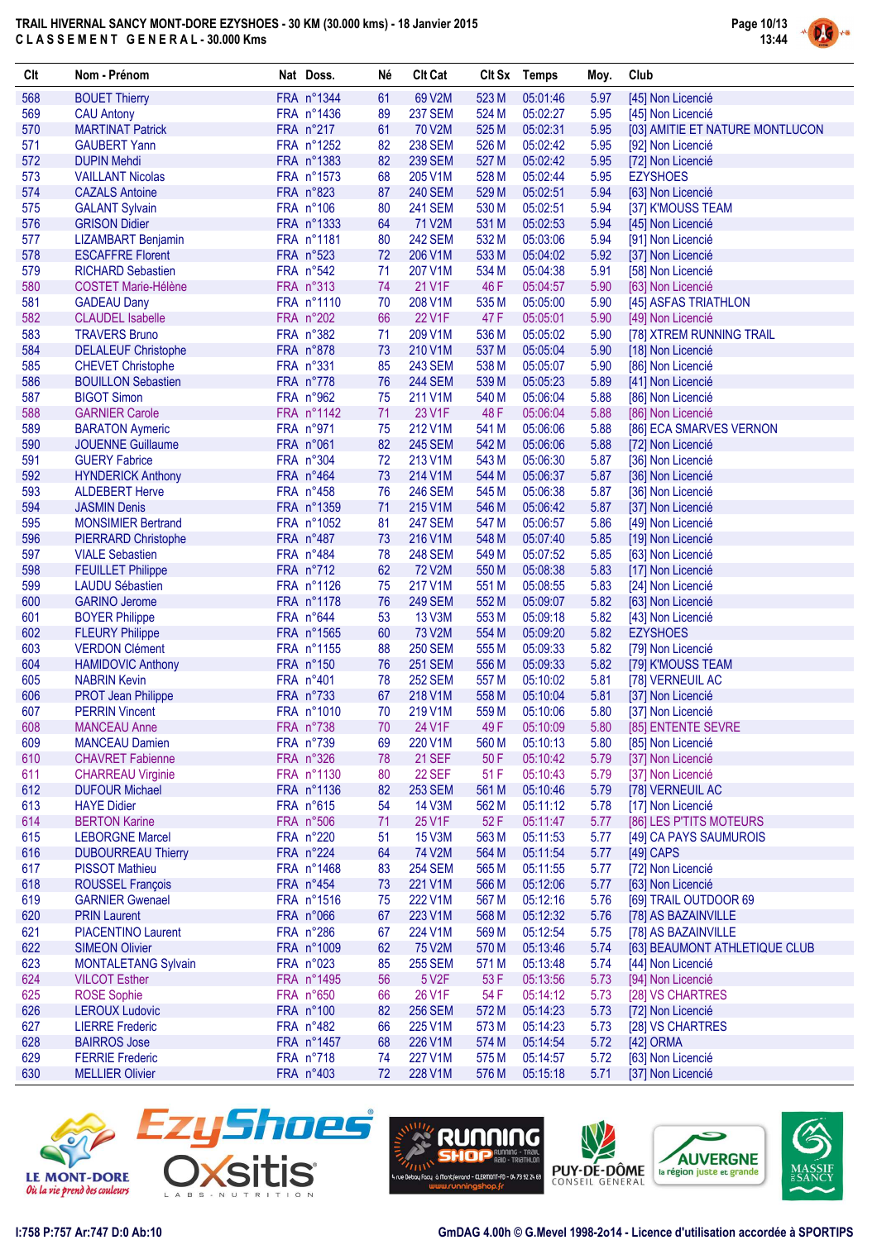

| Clt        | Nom - Prénom                                           | Nat Doss.               | Né       | <b>Clt Cat</b>           |                | Clt Sx Temps         | Moy.         | Club                                                 |
|------------|--------------------------------------------------------|-------------------------|----------|--------------------------|----------------|----------------------|--------------|------------------------------------------------------|
| 568        | <b>BOUET Thierry</b>                                   | FRA n°1344              | 61       | 69 V2M                   | 523 M          | 05:01:46             | 5.97         | [45] Non Licencié                                    |
| 569        | <b>CAU Antony</b>                                      | FRA n°1436              | 89       | <b>237 SEM</b>           | 524 M          | 05:02:27             | 5.95         | [45] Non Licencié                                    |
| 570        | <b>MARTINAT Patrick</b>                                | FRA n°217               | 61       | 70 V2M                   | 525 M          | 05:02:31             | 5.95         | [03] AMITIE ET NATURE MONTLUCON                      |
| 571        | <b>GAUBERT Yann</b>                                    | FRA n°1252              | 82       | <b>238 SEM</b>           | 526 M          | 05:02:42             | 5.95         | [92] Non Licencié                                    |
| 572        | <b>DUPIN Mehdi</b>                                     | FRA n°1383              | 82       | <b>239 SEM</b>           | 527 M          | 05:02:42             | 5.95         | [72] Non Licencié                                    |
| 573        | <b>VAILLANT Nicolas</b>                                | FRA n°1573              | 68       | 205 V1M                  | 528 M          | 05:02:44             | 5.95         | <b>EZYSHOES</b>                                      |
| 574        | <b>CAZALS Antoine</b>                                  | FRA n°823               | 87       | <b>240 SEM</b>           | 529 M          | 05:02:51             | 5.94         | [63] Non Licencié                                    |
| 575        | <b>GALANT Sylvain</b>                                  | FRA n°106               | 80       | <b>241 SEM</b>           | 530 M          | 05:02:51             | 5.94         | [37] K'MOUSS TEAM                                    |
| 576        | <b>GRISON Didier</b>                                   | FRA n°1333              | 64       | 71 V2M                   | 531 M          | 05:02:53             | 5.94         | [45] Non Licencié                                    |
| 577        | <b>LIZAMBART Benjamin</b>                              | FRA n°1181              | 80       | <b>242 SEM</b>           | 532 M          | 05:03:06             | 5.94         | [91] Non Licencié                                    |
| 578        | <b>ESCAFFRE Florent</b>                                | FRA n°523<br>FRA n°542  | 72       | 206 V1M                  | 533 M          | 05:04:02             | 5.92         | [37] Non Licencié                                    |
| 579<br>580 | <b>RICHARD Sebastien</b><br><b>COSTET Marie-Hélène</b> | FRA n°313               | 71<br>74 | 207 V1M<br>21 V1F        | 534 M<br>46 F  | 05:04:38<br>05:04:57 | 5.91<br>5.90 | [58] Non Licencié<br>[63] Non Licencié               |
| 581        | <b>GADEAU Dany</b>                                     | FRA n°1110              | 70       | 208 V1M                  | 535 M          | 05:05:00             | 5.90         | [45] ASFAS TRIATHLON                                 |
| 582        | <b>CLAUDEL Isabelle</b>                                | FRA n°202               | 66       | 22 V1F                   | 47 F           | 05:05:01             | 5.90         | [49] Non Licencié                                    |
| 583        | <b>TRAVERS Bruno</b>                                   | FRA n°382               | 71       | 209 V1M                  | 536 M          | 05:05:02             | 5.90         | [78] XTREM RUNNING TRAIL                             |
| 584        | <b>DELALEUF Christophe</b>                             | FRA n°878               | 73       | 210 V1M                  | 537 M          | 05:05:04             | 5.90         | [18] Non Licencié                                    |
| 585        | <b>CHEVET Christophe</b>                               | FRA n°331               | 85       | <b>243 SEM</b>           | 538 M          | 05:05:07             | 5.90         | [86] Non Licencié                                    |
| 586        | <b>BOUILLON Sebastien</b>                              | FRA n°778               | 76       | <b>244 SEM</b>           | 539 M          | 05:05:23             | 5.89         | [41] Non Licencié                                    |
| 587        | <b>BIGOT Simon</b>                                     | FRA n°962               | 75       | 211 V1M                  | 540 M          | 05:06:04             | 5.88         | [86] Non Licencié                                    |
| 588        | <b>GARNIER Carole</b>                                  | FRA n°1142              | 71       | 23 V1F                   | 48F            | 05:06:04             | 5.88         | [86] Non Licencié                                    |
| 589        | <b>BARATON Aymeric</b>                                 | FRA n°971               | 75       | 212 V1M                  | 541 M          | 05:06:06             | 5.88         | [86] ECA SMARVES VERNON                              |
| 590        | <b>JOUENNE Guillaume</b>                               | FRA n°061               | 82       | <b>245 SEM</b>           | 542 M          | 05:06:06             | 5.88         | [72] Non Licencié                                    |
| 591        | <b>GUERY Fabrice</b>                                   | FRA n°304               | 72       | 213 V1M                  | 543 M          | 05:06:30             | 5.87         | [36] Non Licencié                                    |
| 592        | <b>HYNDERICK Anthony</b>                               | FRA n°464               | 73       | 214 V1M                  | 544 M          | 05:06:37             | 5.87         | [36] Non Licencié                                    |
| 593        | <b>ALDEBERT Herve</b>                                  | FRA n°458               | 76       | <b>246 SEM</b>           | 545 M          | 05:06:38             | 5.87         | [36] Non Licencié                                    |
| 594        | <b>JASMIN Denis</b>                                    | FRA n°1359              | 71       | 215 V1M                  | 546 M          | 05:06:42             | 5.87         | [37] Non Licencié                                    |
| 595        | <b>MONSIMIER Bertrand</b>                              | FRA n°1052              | 81       | <b>247 SEM</b>           | 547 M          | 05:06:57             | 5.86         | [49] Non Licencié                                    |
| 596        | <b>PIERRARD Christophe</b>                             | FRA n°487               | 73       | 216 V1M                  | 548 M          | 05:07:40             | 5.85         | [19] Non Licencié                                    |
| 597        | <b>VIALE Sebastien</b>                                 | FRA n°484               | 78       | <b>248 SEM</b>           | 549 M          | 05:07:52             | 5.85         | [63] Non Licencié                                    |
| 598        | <b>FEUILLET Philippe</b>                               | FRA n°712               | 62       | 72 V2M                   | 550 M          | 05:08:38             | 5.83         | [17] Non Licencié                                    |
| 599        | <b>LAUDU Sébastien</b>                                 | FRA n°1126              | 75       | 217 V1M                  | 551 M          | 05:08:55             | 5.83         | [24] Non Licencié                                    |
| 600        | <b>GARINO Jerome</b>                                   | FRA n°1178              | 76       | <b>249 SEM</b>           | 552 M          | 05:09:07             | 5.82         | [63] Non Licencié                                    |
| 601<br>602 | <b>BOYER Philippe</b><br><b>FLEURY Philippe</b>        | FRA n°644<br>FRA n°1565 | 53<br>60 | 13 V3M<br>73 V2M         | 553 M<br>554 M | 05:09:18<br>05:09:20 | 5.82<br>5.82 | [43] Non Licencié<br><b>EZYSHOES</b>                 |
| 603        | <b>VERDON Clément</b>                                  | FRA n°1155              | 88       | <b>250 SEM</b>           | 555 M          | 05:09:33             | 5.82         | [79] Non Licencié                                    |
| 604        | <b>HAMIDOVIC Anthony</b>                               | FRA n°150               | 76       | <b>251 SEM</b>           | 556 M          | 05:09:33             | 5.82         | [79] K'MOUSS TEAM                                    |
| 605        | <b>NABRIN Kevin</b>                                    | FRA n°401               | 78       | <b>252 SEM</b>           | 557 M          | 05:10:02             | 5.81         | [78] VERNEUIL AC                                     |
| 606        | <b>PROT Jean Philippe</b>                              | FRA n°733               | 67       | 218 V1M                  | 558 M          | 05:10:04             | 5.81         | [37] Non Licencié                                    |
| 607        | <b>PERRIN Vincent</b>                                  | FRA n°1010              | 70       | 219 V1M                  | 559 M          | 05:10:06             | 5.80         | [37] Non Licencié                                    |
| 608        | <b>MANCEAU Anne</b>                                    | FRA n°738               | 70       | 24 V1F                   | 49 F           | 05:10:09             | 5.80         | [85] ENTENTE SEVRE                                   |
| 609        | <b>MANCEAU Damien</b>                                  | FRA n°739               | 69       | 220 V1M                  | 560 M          | 05:10:13             | 5.80         | [85] Non Licencié                                    |
| 610        | <b>CHAVRET Fabienne</b>                                | FRA n°326               | 78       | <b>21 SEF</b>            | 50 F           | 05:10:42             | 5.79         | [37] Non Licencié                                    |
| 611        | <b>CHARREAU Virginie</b>                               | FRA n°1130              | 80       | 22 SEF                   | 51 F           | 05:10:43             | 5.79         | [37] Non Licencié                                    |
| 612        | <b>DUFOUR Michael</b>                                  | FRA n°1136              | 82       | <b>253 SEM</b>           | 561 M          | 05:10:46             | 5.79         | [78] VERNEUIL AC                                     |
| 613        | <b>HAYE Didier</b>                                     | FRA n°615               | 54       | <b>14 V3M</b>            | 562 M          | 05:11:12             | 5.78         | [17] Non Licencié                                    |
| 614        | <b>BERTON Karine</b>                                   | FRA n°506               | 71       | 25 V1F                   | 52 F           | 05:11:47             | 5.77         | [86] LES P'TITS MOTEURS                              |
| 615        | <b>LEBORGNE Marcel</b>                                 | FRA n°220               | 51       | 15 V3M                   | 563 M          | 05:11:53             | 5.77         | [49] CA PAYS SAUMUROIS                               |
| 616        | <b>DUBOURREAU Thierry</b>                              | FRA n°224               | 64       | 74 V2M                   | 564 M          | 05:11:54             | 5.77         | $[49]$ CAPS                                          |
| 617        | <b>PISSOT Mathieu</b>                                  | FRA n°1468              | 83       | <b>254 SEM</b>           | 565 M          | 05:11:55             | 5.77         | [72] Non Licencié                                    |
| 618        | <b>ROUSSEL François</b>                                | FRA n°454               | 73       | 221 V1M                  | 566 M          | 05:12:06             | 5.77         | [63] Non Licencié                                    |
| 619        | <b>GARNIER Gwenael</b>                                 | FRA n°1516              | 75       | 222 V1M                  | 567 M          | 05:12:16             | 5.76         | [69] TRAIL OUTDOOR 69                                |
| 620        | <b>PRIN Laurent</b>                                    | FRA n°066               | 67       | 223 V1M                  | 568 M          | 05:12:32             | 5.76         | [78] AS BAZAINVILLE                                  |
| 621<br>622 | <b>PIACENTINO Laurent</b>                              | FRA n°286<br>FRA n°1009 | 67       | 224 V1M                  | 569 M          | 05:12:54             | 5.75         | [78] AS BAZAINVILLE<br>[63] BEAUMONT ATHLETIQUE CLUB |
| 623        | <b>SIMEON Olivier</b><br><b>MONTALETANG Sylvain</b>    | FRA n°023               | 62<br>85 | 75 V2M<br><b>255 SEM</b> | 570 M<br>571 M | 05:13:46<br>05:13:48 | 5.74<br>5.74 | [44] Non Licencié                                    |
| 624        | <b>VILCOT Esther</b>                                   | FRA n°1495              | 56       | 5 V2F                    | 53 F           | 05:13:56             | 5.73         | [94] Non Licencié                                    |
| 625        | <b>ROSE Sophie</b>                                     | FRA n°650               | 66       | 26 V1F                   | 54 F           | 05:14:12             | 5.73         | [28] VS CHARTRES                                     |
| 626        | <b>LEROUX Ludovic</b>                                  | FRA n°100               | 82       | <b>256 SEM</b>           | 572 M          | 05:14:23             | 5.73         | [72] Non Licencié                                    |
| 627        | <b>LIERRE Frederic</b>                                 | FRA n°482               | 66       | 225 V1M                  | 573 M          | 05:14:23             | 5.73         | [28] VS CHARTRES                                     |
| 628        | <b>BAIRROS Jose</b>                                    | FRA n°1457              | 68       | 226 V1M                  | 574 M          | 05:14:54             | 5.72         | [42] ORMA                                            |
| 629        | <b>FERRIE Frederic</b>                                 | FRA n°718               | 74       | 227 V1M                  | 575 M          | 05:14:57             | 5.72         | [63] Non Licencié                                    |
| 630        | <b>MELLIER Olivier</b>                                 | FRA n°403               | 72       | 228 V1M                  | 576 M          | 05:15:18             | 5.71         | [37] Non Licencié                                    |
|            |                                                        |                         |          |                          |                |                      |              |                                                      |









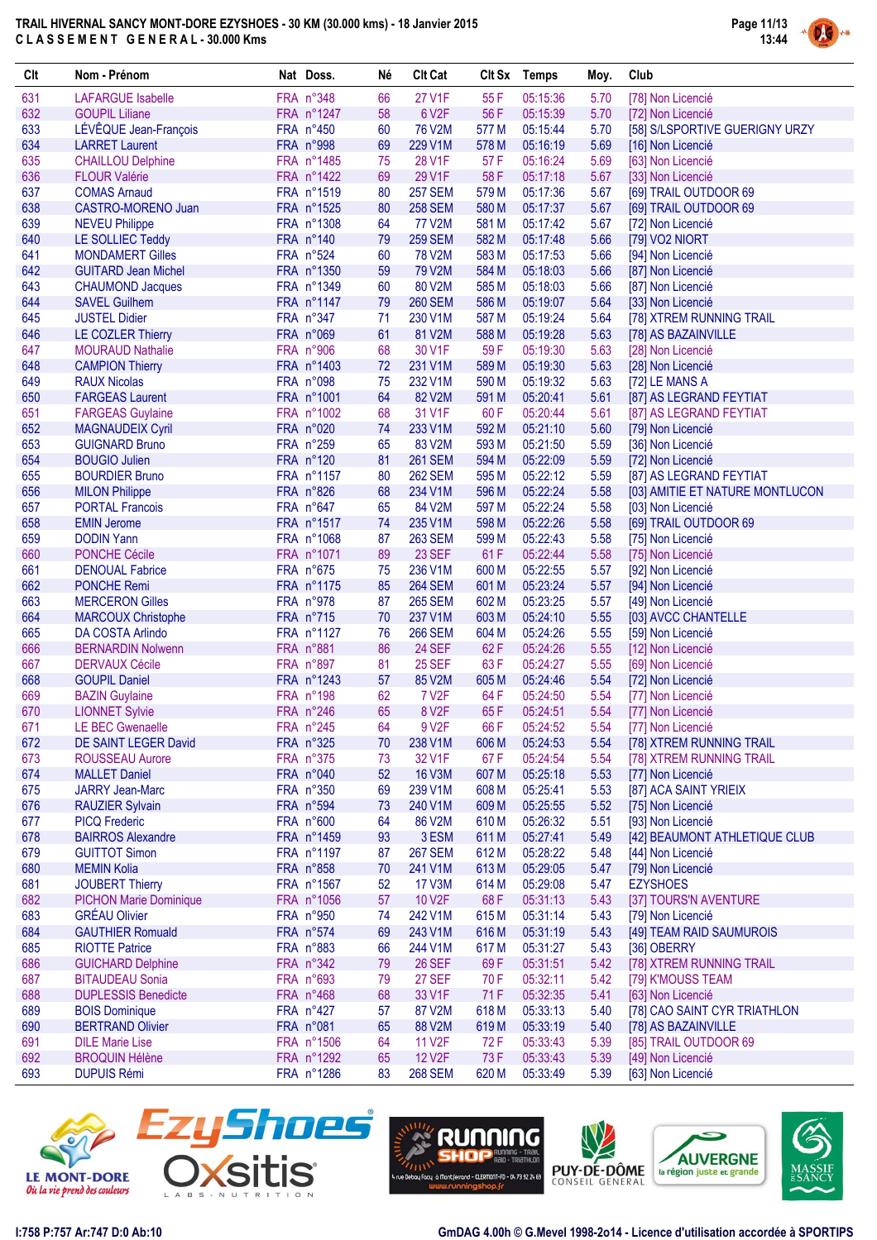

| Clt        | Nom - Prénom                                     | Nat Doss.                | Né       | <b>Clt Cat</b>           |                | Clt Sx Temps         | Moy.         | Club                                          |
|------------|--------------------------------------------------|--------------------------|----------|--------------------------|----------------|----------------------|--------------|-----------------------------------------------|
| 631        | <b>LAFARGUE Isabelle</b>                         | FRA n°348                | 66       | <b>27 V1F</b>            | 55 F           | 05:15:36             | 5.70         | [78] Non Licencié                             |
| 632        | <b>GOUPIL Liliane</b>                            | FRA n°1247               | 58       | 6 V2F                    | 56 F           | 05:15:39             | 5.70         | [72] Non Licencié                             |
| 633        | LÉVÊQUE Jean-François                            | FRA n°450                | 60       | 76 V2M                   | 577 M          | 05:15:44             | 5.70         | [58] S/LSPORTIVE GUERIGNY URZY                |
| 634        | <b>LARRET Laurent</b>                            | FRA n°998                | 69       | 229 V1M                  | 578 M          | 05:16:19             | 5.69         | [16] Non Licencié                             |
| 635        | <b>CHAILLOU Delphine</b>                         | FRA n°1485               | 75       | 28 V1F                   | 57 F           | 05:16:24             | 5.69         | [63] Non Licencié                             |
| 636        | <b>FLOUR Valérie</b>                             | FRA n°1422               | 69       | 29 V1F                   | 58 F           | 05:17:18             | 5.67         | [33] Non Licencié                             |
| 637        | <b>COMAS Arnaud</b>                              | FRA n°1519               | 80       | <b>257 SEM</b>           | 579 M          | 05:17:36             | 5.67         | [69] TRAIL OUTDOOR 69                         |
| 638        | CASTRO-MORENO Juan                               | FRA n°1525               | 80       | <b>258 SEM</b>           | 580 M          | 05:17:37             | 5.67         | [69] TRAIL OUTDOOR 69                         |
| 639        | <b>NEVEU Philippe</b>                            | FRA n°1308               | 64       | 77 V2M                   | 581 M          | 05:17:42             | 5.67         | [72] Non Licencié                             |
| 640        | LE SOLLIEC Teddy                                 | FRA n°140                | 79       | <b>259 SEM</b>           | 582 M          | 05:17:48             | 5.66         | [79] VO2 NIORT                                |
| 641        | <b>MONDAMERT Gilles</b>                          | FRA n°524                | 60       | 78 V2M                   | 583 M          | 05:17:53             | 5.66         | [94] Non Licencié                             |
| 642        | <b>GUITARD Jean Michel</b>                       | FRA n°1350               | 59       | 79 V2M                   | 584 M          | 05:18:03             | 5.66         | [87] Non Licencié                             |
| 643        | <b>CHAUMOND Jacques</b>                          | FRA n°1349               | 60       | 80 V2M                   | 585 M          | 05:18:03             | 5.66         | [87] Non Licencié                             |
| 644        | <b>SAVEL Guilhem</b>                             | FRA n°1147               | 79       | <b>260 SEM</b>           | 586 M          | 05:19:07             | 5.64         | [33] Non Licencié                             |
| 645        | <b>JUSTEL Didier</b>                             | FRA n°347                | 71       | 230 V1M                  | 587 M          | 05:19:24             | 5.64         | [78] XTREM RUNNING TRAIL                      |
| 646        | LE COZLER Thierry                                | FRA n°069                | 61       | 81 V2M                   | 588 M          | 05:19:28             | 5.63         | [78] AS BAZAINVILLE                           |
| 647        | <b>MOURAUD Nathalie</b>                          | FRA n°906                | 68       | 30 V1F                   | 59F            | 05:19:30             | 5.63         | [28] Non Licencié                             |
| 648        | <b>CAMPION Thierry</b>                           | FRA n°1403               | 72       | 231 V1M                  | 589 M          | 05:19:30             | 5.63         | [28] Non Licencié                             |
| 649        | <b>RAUX Nicolas</b>                              | FRA n°098                | 75       | 232 V1M                  | 590 M          | 05:19:32             | 5.63         | [72] LE MANS A                                |
| 650        | <b>FARGEAS Laurent</b>                           | FRA n°1001               | 64       | 82 V2M                   | 591 M          | 05:20:41             | 5.61         | [87] AS LEGRAND FEYTIAT                       |
| 651        | <b>FARGEAS Guylaine</b>                          | FRA n°1002               | 68       | 31 V1F                   | 60 F           | 05:20:44             | 5.61         | [87] AS LEGRAND FEYTIAT                       |
| 652        | <b>MAGNAUDEIX Cyril</b>                          | FRA n°020                | 74       | 233 V1M                  | 592 M          | 05:21:10             | 5.60         | [79] Non Licencié                             |
| 653        | <b>GUIGNARD Bruno</b>                            | FRA n°259                | 65       | 83 V2M                   | 593 M          | 05:21:50             | 5.59         | [36] Non Licencié                             |
| 654        | <b>BOUGIO Julien</b>                             | FRA n°120                | 81       | <b>261 SEM</b>           | 594 M          | 05:22:09             | 5.59         | [72] Non Licencié                             |
| 655        | <b>BOURDIER Bruno</b>                            | FRA n°1157               | 80       | <b>262 SEM</b>           | 595 M          | 05:22:12             | 5.59         | [87] AS LEGRAND FEYTIAT                       |
| 656        | <b>MILON Philippe</b>                            | FRA n°826                | 68       | 234 V1M                  | 596 M          | 05:22:24             | 5.58         | [03] AMITIE ET NATURE MONTLUCON               |
| 657        | <b>PORTAL Francois</b>                           | FRA n°647                | 65       | 84 V2M                   | 597 M          | 05:22:24             | 5.58         | [03] Non Licencié                             |
| 658        | <b>EMIN Jerome</b>                               | FRA n°1517               | 74       | 235 V1M                  | 598 M          | 05:22:26             | 5.58         | [69] TRAIL OUTDOOR 69                         |
| 659        | <b>DODIN Yann</b>                                | FRA n°1068               | 87       | <b>263 SEM</b>           | 599 M          | 05:22:43             | 5.58         | [75] Non Licencié                             |
| 660        | <b>PONCHE Cécile</b>                             | FRA n°1071               | 89       | <b>23 SEF</b>            | 61 F           | 05:22:44             | 5.58         | [75] Non Licencié                             |
| 661        | <b>DENOUAL Fabrice</b>                           | FRA n°675                | 75       | 236 V1M                  | 600 M          | 05:22:55             | 5.57         | [92] Non Licencié                             |
| 662        | <b>PONCHE Remi</b>                               | FRA n°1175               | 85       | <b>264 SEM</b>           | 601 M          | 05:23:24             | 5.57         | [94] Non Licencié                             |
| 663        | <b>MERCERON Gilles</b>                           | FRA n°978                | 87       | <b>265 SEM</b>           | 602 M          | 05:23:25             | 5.57         | [49] Non Licencié                             |
| 664        | <b>MARCOUX Christophe</b>                        | FRA n°715                | 70       | 237 V1M                  | 603 M          | 05:24:10             | 5.55         | [03] AVCC CHANTELLE                           |
| 665        | <b>DA COSTA Arlindo</b>                          | FRA n°1127               | 76       | <b>266 SEM</b>           | 604 M          | 05:24:26             | 5.55         | [59] Non Licencié                             |
| 666        | <b>BERNARDIN Nolwenn</b>                         | FRA n°881                | 86       | <b>24 SEF</b>            | 62F            | 05:24:26             | 5.55         | [12] Non Licencié                             |
| 667        | <b>DERVAUX Cécile</b>                            | FRA n°897                | 81       | <b>25 SEF</b>            | 63 F           | 05:24:27             | 5.55         | [69] Non Licencié                             |
| 668        | <b>GOUPIL Daniel</b>                             | FRA n°1243               | 57       | 85 V2M                   | 605 M          | 05:24:46             | 5.54         | [72] Non Licencié                             |
| 669        | <b>BAZIN Guylaine</b>                            | FRA n°198                | 62       | 7 V <sub>2</sub> F       | 64 F           | 05:24:50             | 5.54         | [77] Non Licencié                             |
| 670        | <b>LIONNET Sylvie</b>                            | FRA n°246                | 65       | 8 V <sub>2</sub> F       | 65F            | 05:24:51             | 5.54         |                                               |
| 671        | <b>LE BEC Gwenaelle</b>                          | FRA n°245                | 64       | 9 V <sub>2</sub> F       | 66 F           | 05:24:52             | 5.54         | [77] Non Licencié<br>[77] Non Licencié        |
| 672        | DE SAINT LEGER David                             | FRA n°325                | 70       | 238 V1M                  | 606 M          | 05:24:53             | 5.54         | [78] XTREM RUNNING TRAIL                      |
|            |                                                  |                          |          |                          |                |                      |              |                                               |
| 673        | <b>ROUSSEAU Aurore</b><br><b>MALLET Daniel</b>   | FRA n°375                | 73       | 32 V1F                   | 67 F           | 05:24:54             | 5.54         | [78] XTREM RUNNING TRAIL<br>[77] Non Licencié |
| 674<br>675 |                                                  | FRA n°040<br>FRA n°350   | 52       | <b>16 V3M</b>            | 607 M<br>608 M | 05:25:18             | 5.53<br>5.53 | [87] ACA SAINT YRIEIX                         |
| 676        | <b>JARRY Jean-Marc</b><br><b>RAUZIER Sylvain</b> | FRA n°594                | 69<br>73 | 239 V1M<br>240 V1M       | 609 M          | 05:25:41<br>05:25:55 | 5.52         | [75] Non Licencié                             |
| 677        |                                                  | FRA n°600                | 64       | 86 V2M                   | 610 M          |                      | 5.51         | [93] Non Licencié                             |
|            | <b>PICQ Frederic</b>                             |                          |          |                          |                | 05:26:32             |              |                                               |
| 678        | <b>BAIRROS Alexandre</b>                         | FRA n°1459<br>FRA n°1197 | 93       | 3 ESM<br><b>267 SEM</b>  | 611 M          | 05:27:41<br>05:28:22 | 5.49         | [42] BEAUMONT ATHLETIQUE CLUB                 |
| 679        | <b>GUITTOT Simon</b>                             |                          | 87       |                          | 612 M          |                      | 5.48         | [44] Non Licencié                             |
| 680        | <b>MEMIN Kolia</b><br><b>JOUBERT Thierry</b>     | FRA n°858                | 70       | 241 V1M<br><b>17 V3M</b> | 613 M          | 05:29:05             | 5.47         | [79] Non Licencié                             |
| 681        |                                                  | FRA n°1567<br>FRA n°1056 | 52       | 10 V2F                   | 614 M          | 05:29:08             | 5.47         | <b>EZYSHOES</b>                               |
| 682        | <b>PICHON Marie Dominique</b>                    |                          | 57       |                          | 68 F           | 05:31:13             | 5.43         | [37] TOURS'N AVENTURE                         |
| 683        | <b>GRÉAU Olivier</b>                             | FRA n°950                | 74       | 242 V1M                  | 615 M          | 05:31:14             | 5.43         | [79] Non Licencié                             |
| 684        | <b>GAUTHIER Romuald</b>                          | FRA n°574                | 69       | 243 V1M                  | 616 M          | 05:31:19             | 5.43         | [49] TEAM RAID SAUMUROIS                      |
| 685        | <b>RIOTTE Patrice</b>                            | FRA n°883                | 66       | 244 V1M                  | 617 M          | 05:31:27             | 5.43         | [36] OBERRY                                   |
| 686        | <b>GUICHARD Delphine</b>                         | FRA n°342                | 79       | <b>26 SEF</b>            | 69 F           | 05:31:51             | 5.42         | [78] XTREM RUNNING TRAIL                      |
| 687        | <b>BITAUDEAU Sonia</b>                           | FRA n°693                | 79       | <b>27 SEF</b>            | 70 F           | 05:32:11             | 5.42         | [79] K'MOUSS TEAM                             |
| 688        | <b>DUPLESSIS Benedicte</b>                       | FRA n°468                | 68       | 33 V1F                   | 71 F           | 05:32:35             | 5.41         | [63] Non Licencié                             |
| 689        | <b>BOIS Dominique</b>                            | FRA n°427                | 57       | 87 V2M                   | 618 M          | 05:33:13             | 5.40         | [78] CAO SAINT CYR TRIATHLON                  |
| 690        | <b>BERTRAND Olivier</b>                          | FRA n°081                | 65       | 88 V2M                   | 619 M          | 05:33:19             | 5.40         | [78] AS BAZAINVILLE                           |
| 691        | <b>DILE Marie Lise</b>                           | FRA n°1506               | 64       | 11 V <sub>2</sub> F      | 72 F           | 05:33:43             | 5.39         | [85] TRAIL OUTDOOR 69                         |
| 692        | <b>BROQUIN Hélène</b>                            | FRA n°1292               | 65       | <b>12 V2F</b>            | 73 F           | 05:33:43             | 5.39         | [49] Non Licencié                             |
| 693        | <b>DUPUIS Rémi</b>                               | FRA n°1286               | 83       | <b>268 SEM</b>           | 620 M          | 05:33:49             | 5.39         | [63] Non Licencié                             |









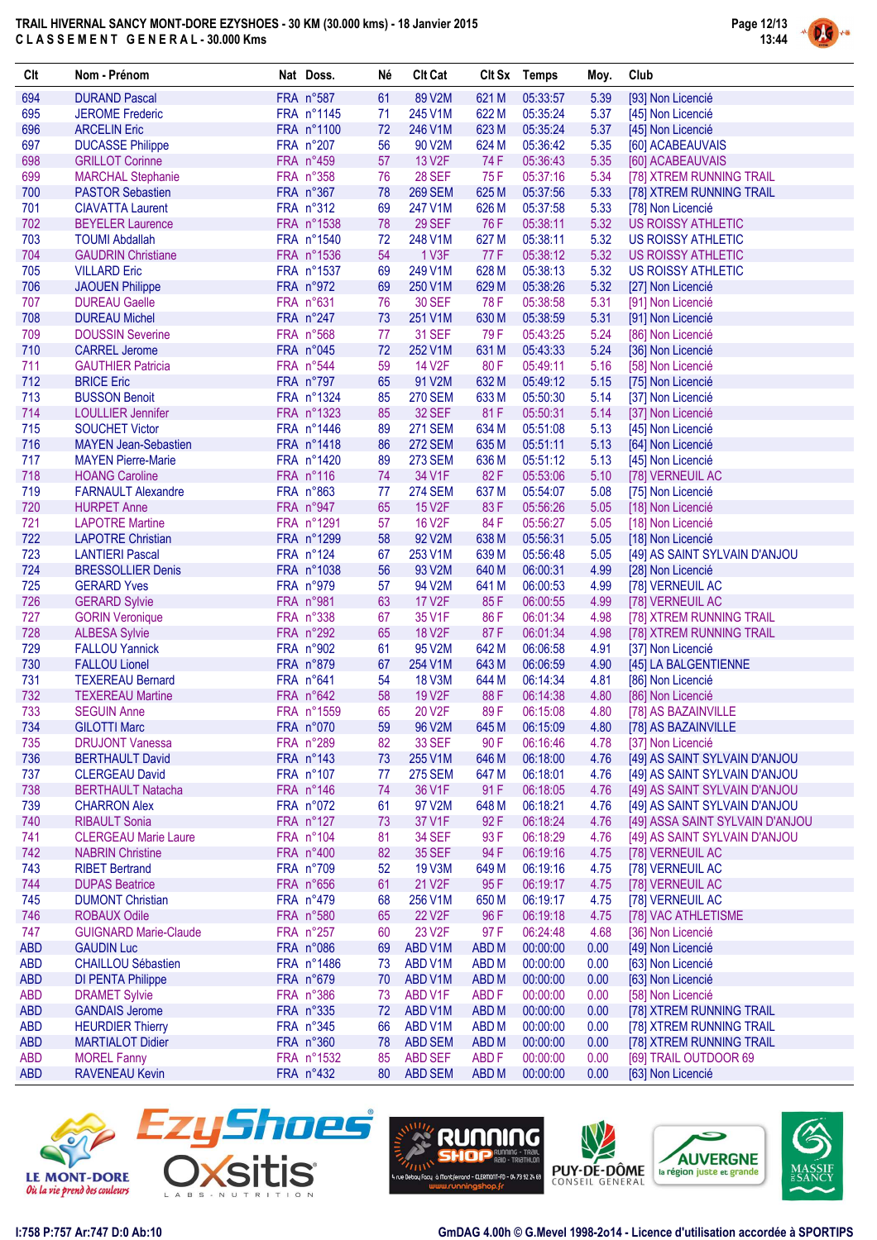

| Clt               | Nom - Prénom                                     | Nat Doss.               | Né       | <b>Clt Cat</b>      |                                 | CIt Sx Temps         | Moy.         | Club                                           |
|-------------------|--------------------------------------------------|-------------------------|----------|---------------------|---------------------------------|----------------------|--------------|------------------------------------------------|
| 694               | <b>DURAND Pascal</b>                             | FRA n°587               | 61       | 89 V2M              | 621 M                           | 05:33:57             | 5.39         | [93] Non Licencié                              |
| 695               | <b>JEROME Frederic</b>                           | FRA n°1145              | 71       | 245 V1M             | 622 M                           | 05:35:24             | 5.37         | [45] Non Licencié                              |
| 696               | <b>ARCELIN Eric</b>                              | FRA n°1100              | 72       | 246 V1M             | 623 M                           | 05:35:24             | 5.37         | [45] Non Licencié                              |
| 697               | <b>DUCASSE Philippe</b>                          | FRA n°207               | 56       | 90 V2M              | 624 M                           | 05:36:42             | 5.35         | [60] ACABEAUVAIS                               |
| 698               | <b>GRILLOT Corinne</b>                           | FRA n°459               | 57       | <b>13 V2F</b>       | 74 F                            | 05:36:43             | 5.35         | [60] ACABEAUVAIS                               |
| 699               | <b>MARCHAL Stephanie</b>                         | FRA n°358               | 76       | <b>28 SEF</b>       | 75F                             | 05:37:16             | 5.34         | [78] XTREM RUNNING TRAIL                       |
| 700               | <b>PASTOR Sebastien</b>                          | FRA n°367               | 78       | <b>269 SEM</b>      | 625 M                           | 05:37:56             | 5.33         | [78] XTREM RUNNING TRAIL                       |
| 701               | <b>CIAVATTA Laurent</b>                          | FRA n°312               | 69       | 247 V1M             | 626 M                           | 05:37:58             | 5.33         | [78] Non Licencié                              |
| 702               | <b>BEYELER Laurence</b>                          | FRA n°1538              | 78       | 29 SEF              | 76 F                            | 05:38:11             | 5.32         | US ROISSY ATHLETIC                             |
| 703               | <b>TOUMI Abdallah</b>                            | FRA n°1540              | 72       | 248 V1M             | 627 M                           | 05:38:11             | 5.32         | US ROISSY ATHLETIC                             |
| 704<br>705        | <b>GAUDRIN Christiane</b>                        | FRA n°1536              | 54<br>69 | 1 V3F<br>249 V1M    | 77F                             | 05:38:12             | 5.32<br>5.32 | <b>US ROISSY ATHLETIC</b>                      |
| 706               | <b>VILLARD Eric</b><br><b>JAOUEN Philippe</b>    | FRA n°1537<br>FRA n°972 | 69       | 250 V1M             | 628 M<br>629 M                  | 05:38:13<br>05:38:26 | 5.32         | <b>US ROISSY ATHLETIC</b><br>[27] Non Licencié |
| 707               | <b>DUREAU Gaelle</b>                             | FRA n°631               | 76       | <b>30 SEF</b>       | 78F                             | 05:38:58             | 5.31         | [91] Non Licencié                              |
| 708               | <b>DUREAU Michel</b>                             | FRA n°247               | 73       | 251 V1M             | 630 M                           | 05:38:59             | 5.31         | [91] Non Licencié                              |
| 709               | <b>DOUSSIN Severine</b>                          | FRA n°568               | 77       | <b>31 SEF</b>       | 79F                             | 05:43:25             | 5.24         | [86] Non Licencié                              |
| 710               | <b>CARREL Jerome</b>                             | FRA n°045               | 72       | 252 V1M             | 631 M                           | 05:43:33             | 5.24         | [36] Non Licencié                              |
| 711               | <b>GAUTHIER Patricia</b>                         | FRA n°544               | 59       | 14 V <sub>2</sub> F | 80F                             | 05:49:11             | 5.16         | [58] Non Licencié                              |
| 712               | <b>BRICE Eric</b>                                | FRA n°797               | 65       | 91 V2M              | 632 M                           | 05:49:12             | 5.15         | [75] Non Licencié                              |
| 713               | <b>BUSSON Benoit</b>                             | FRA n°1324              | 85       | <b>270 SEM</b>      | 633 M                           | 05:50:30             | 5.14         | [37] Non Licencié                              |
| 714               | <b>LOULLIER Jennifer</b>                         | FRA n°1323              | 85       | 32 SEF              | 81F                             | 05:50:31             | 5.14         | [37] Non Licencié                              |
| 715               | <b>SOUCHET Victor</b>                            | FRA n°1446              | 89       | <b>271 SEM</b>      | 634 M                           | 05:51:08             | 5.13         | [45] Non Licencié                              |
| 716               | <b>MAYEN Jean-Sebastien</b>                      | FRA n°1418              | 86       | <b>272 SEM</b>      | 635 M                           | 05:51:11             | 5.13         | [64] Non Licencié                              |
| 717               | <b>MAYEN Pierre-Marie</b>                        | FRA n°1420              | 89       | <b>273 SEM</b>      | 636 M                           | 05:51:12             | 5.13         | [45] Non Licencié                              |
| 718               | <b>HOANG Caroline</b>                            | FRA n°116               | 74       | 34 V1F              | 82F                             | 05:53:06             | 5.10         | [78] VERNEUIL AC                               |
| 719               | <b>FARNAULT Alexandre</b>                        | FRA n°863               | 77       | <b>274 SEM</b>      | 637 M                           | 05:54:07             | 5.08         | [75] Non Licencié                              |
| 720               | <b>HURPET Anne</b>                               | FRA n°947               | 65       | 15 V2F              | 83F                             | 05:56:26             | 5.05         | [18] Non Licencié                              |
| 721               | <b>LAPOTRE Martine</b>                           | FRA n°1291              | 57       | <b>16 V2F</b>       | 84 F                            | 05:56:27             | 5.05         | [18] Non Licencié                              |
| 722               | <b>LAPOTRE Christian</b>                         | FRA n°1299              | 58       | 92 V2M              | 638 M                           | 05:56:31             | 5.05         | [18] Non Licencié                              |
| 723               | <b>LANTIERI Pascal</b>                           | FRA n°124               | 67       | 253 V1M             | 639 M                           | 05:56:48             | 5.05         | [49] AS SAINT SYLVAIN D'ANJOU                  |
| 724               | <b>BRESSOLLIER Denis</b>                         | FRA n°1038              | 56       | 93 V2M              | 640 M                           | 06:00:31             | 4.99         | [28] Non Licencié                              |
| 725               | <b>GERARD Yves</b>                               | FRA n°979               | 57       | 94 V2M              | 641 M                           | 06:00:53             | 4.99         | [78] VERNEUIL AC                               |
| 726               | <b>GERARD Sylvie</b>                             | FRA n°981               | 63       | <b>17 V2F</b>       | 85F                             | 06:00:55             | 4.99         | [78] VERNEUIL AC                               |
| 727               | <b>GORIN Veronique</b>                           | FRA n°338               | 67       | 35 V1F              | 86 F                            | 06:01:34             | 4.98         | [78] XTREM RUNNING TRAIL                       |
| 728<br>729        | <b>ALBESA Sylvie</b><br><b>FALLOU Yannick</b>    | FRA n°292               | 65       | <b>18 V2F</b>       | 87F<br>642 M                    | 06:01:34             | 4.98         | [78] XTREM RUNNING TRAIL                       |
| 730               | <b>FALLOU Lionel</b>                             | FRA n°902<br>FRA n°879  | 61<br>67 | 95 V2M<br>254 V1M   | 643 M                           | 06:06:58<br>06:06:59 | 4.91<br>4.90 | [37] Non Licencié<br>[45] LA BALGENTIENNE      |
| 731               | <b>TEXEREAU Bernard</b>                          | FRA n°641               | 54       | <b>18 V3M</b>       | 644 M                           | 06:14:34             | 4.81         | [86] Non Licencié                              |
| 732               | <b>TEXEREAU Martine</b>                          | FRA n°642               | 58       | <b>19 V2F</b>       | 88F                             | 06:14:38             | 4.80         | [86] Non Licencié                              |
| 733               | <b>SEGUIN Anne</b>                               | FRA n°1559              | 65       | 20 V2F              | 89F                             | 06:15:08             | 4.80         | [78] AS BAZAINVILLE                            |
| 734               | <b>GILOTTI Marc</b>                              | FRA n°070               | 59       | 96 V2M              | 645 M                           | 06:15:09             | 4.80         | [78] AS BAZAINVILLE                            |
| 735               | <b>DRUJONT Vanessa</b>                           | FRA n°289               | 82       | <b>33 SEF</b>       | 90 F                            | 06:16:46             | 4.78         | [37] Non Licencié                              |
| 736               | <b>BERTHAULT David</b>                           | FRA n°143               | 73       | 255 V1M             | 646 M                           | 06:18:00             | 4.76         | [49] AS SAINT SYLVAIN D'ANJOU                  |
| 737               | <b>CLERGEAU David</b>                            | FRA n°107               | 77       | <b>275 SEM</b>      | 647 M                           | 06:18:01             | 4.76         | [49] AS SAINT SYLVAIN D'ANJOU                  |
| 738               | <b>BERTHAULT Natacha</b>                         | FRA n°146               | 74       | 36 V1F              | 91 F                            | 06:18:05             | 4.76         | [49] AS SAINT SYLVAIN D'ANJOU                  |
| 739               | <b>CHARRON Alex</b>                              | FRA n°072               | 61       | 97 V2M              | 648 M                           | 06:18:21             | 4.76         | [49] AS SAINT SYLVAIN D'ANJOU                  |
| 740               | <b>RIBAULT Sonia</b>                             | FRA n°127               | 73       | 37 V1F              | 92 F                            | 06:18:24             | 4.76         | [49] ASSA SAINT SYLVAIN D'ANJOU                |
| 741               | <b>CLERGEAU Marie Laure</b>                      | FRA n°104               | 81       | <b>34 SEF</b>       | 93F                             | 06:18:29             | 4.76         | [49] AS SAINT SYLVAIN D'ANJOU                  |
| 742               | <b>NABRIN Christine</b>                          | FRA n°400               | 82       | <b>35 SEF</b>       | 94 F                            | 06:19:16             | 4.75         | [78] VERNEUIL AC                               |
| 743               | <b>RIBET Bertrand</b>                            | FRA n°709               | 52       | 19 V3M              | 649 M                           | 06:19:16             | 4.75         | [78] VERNEUIL AC                               |
| 744               | <b>DUPAS Beatrice</b>                            | FRA n°656               | 61       | 21 V2F              | 95F                             | 06:19:17             | 4.75         | [78] VERNEUIL AC                               |
| 745               | <b>DUMONT Christian</b>                          | FRA n°479               | 68       | 256 V1M             | 650 M                           | 06:19:17             | 4.75         | [78] VERNEUIL AC                               |
| 746               | <b>ROBAUX Odile</b>                              | FRA n°580               | 65       | <b>22 V2F</b>       | 96 F                            | 06:19:18             | 4.75         | [78] VAC ATHLETISME                            |
| 747               | <b>GUIGNARD Marie-Claude</b>                     | FRA n°257               | 60       | 23 V <sub>2</sub> F | 97 F                            | 06:24:48             | 4.68         | [36] Non Licencié                              |
| <b>ABD</b>        | <b>GAUDIN Luc</b>                                | FRA n°086<br>FRA n°1486 | 69       | ABD V1M             | ABD <sub>M</sub>                | 00:00:00             | 0.00         | [49] Non Licencié                              |
| ABD<br><b>ABD</b> | <b>CHAILLOU Sébastien</b>                        | FRA n°679               | 73<br>70 | ABD V1M<br>ABD V1M  | ABD <sub>M</sub><br><b>ABDM</b> | 00:00:00<br>00:00:00 | 0.00         | [63] Non Licencié<br>[63] Non Licencié         |
| ABD               | <b>DI PENTA Philippe</b><br><b>DRAMET Sylvie</b> | FRA n°386               | 73       | ABD V1F             | <b>ABDF</b>                     | 00:00:00             | 0.00<br>0.00 | [58] Non Licencié                              |
| <b>ABD</b>        | <b>GANDAIS Jerome</b>                            | FRA n°335               | 72       | ABD V1M             | ABD <sub>M</sub>                | 00:00:00             | 0.00         | [78] XTREM RUNNING TRAIL                       |
| ABD               | <b>HEURDIER Thierry</b>                          | FRA n°345               | 66       | ABD V1M             | ABD <sub>M</sub>                | 00:00:00             | 0.00         | [78] XTREM RUNNING TRAIL                       |
| <b>ABD</b>        | <b>MARTIALOT Didier</b>                          | FRA n°360               | 78       | <b>ABD SEM</b>      | ABD <sub>M</sub>                | 00:00:00             | 0.00         | [78] XTREM RUNNING TRAIL                       |
| <b>ABD</b>        | <b>MOREL Fanny</b>                               | FRA n°1532              | 85       | <b>ABD SEF</b>      | <b>ABDF</b>                     | 00:00:00             | 0.00         | [69] TRAIL OUTDOOR 69                          |
| <b>ABD</b>        | <b>RAVENEAU Kevin</b>                            | FRA n°432               | 80       | <b>ABD SEM</b>      | ABD <sub>M</sub>                | 00:00:00             | 0.00         | [63] Non Licencié                              |
|                   |                                                  |                         |          |                     |                                 |                      |              |                                                |